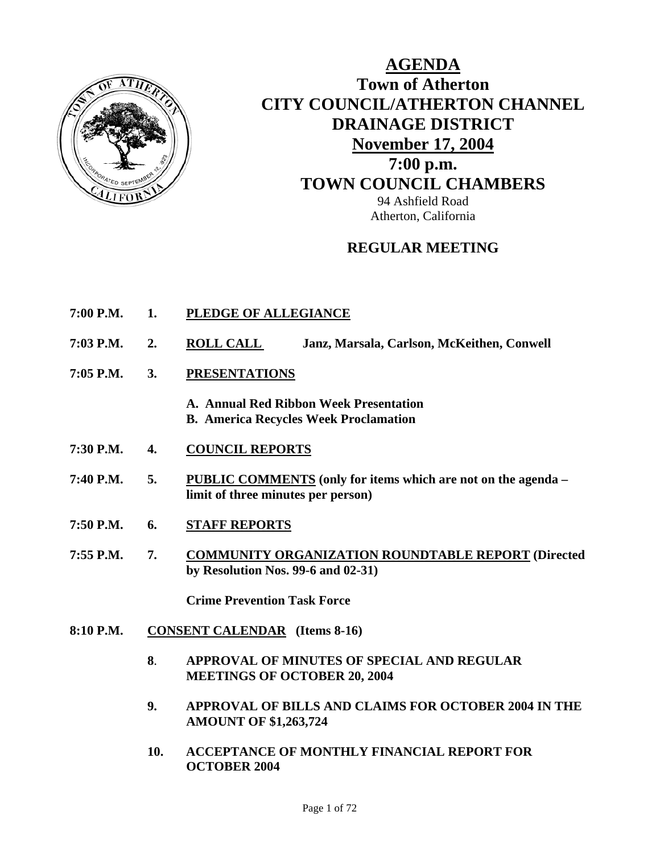

# **AGENDA Town of Atherton CITY COUNCIL/ATHERTON CHANNEL DRAINAGE DISTRICT November 17, 2004 7:00 p.m. TOWN COUNCIL CHAMBERS** 94 Ashfield Road Atherton, California

### **REGULAR MEETING**

- **7:00 P.M. 1. PLEDGE OF ALLEGIANCE**
- **7:03 P.M. 2. ROLL CALL Janz, Marsala, Carlson, McKeithen, Conwell**
- **7:05 P.M. 3. PRESENTATIONS**
	- **A. Annual Red Ribbon Week Presentation B. America Recycles Week Proclamation**
- **7:30 P.M. 4. COUNCIL REPORTS**
- **7:40 P.M. 5. PUBLIC COMMENTS (only for items which are not on the agenda limit of three minutes per person)**
- **7:50 P.M. 6. STAFF REPORTS**
- **7:55 P.M. 7. COMMUNITY ORGANIZATION ROUNDTABLE REPORT (Directed by Resolution Nos. 99-6 and 02-31)**

 **Crime Prevention Task Force** 

- **8:10 P.M. CONSENT CALENDAR (Items 8-16)** 
	- **8**. **APPROVAL OF MINUTES OF SPECIAL AND REGULAR MEETINGS OF OCTOBER 20, 2004**
	- **9. APPROVAL OF BILLS AND CLAIMS FOR OCTOBER 2004 IN THE AMOUNT OF \$1,263,724**
	- **10. ACCEPTANCE OF MONTHLY FINANCIAL REPORT FOR OCTOBER 2004**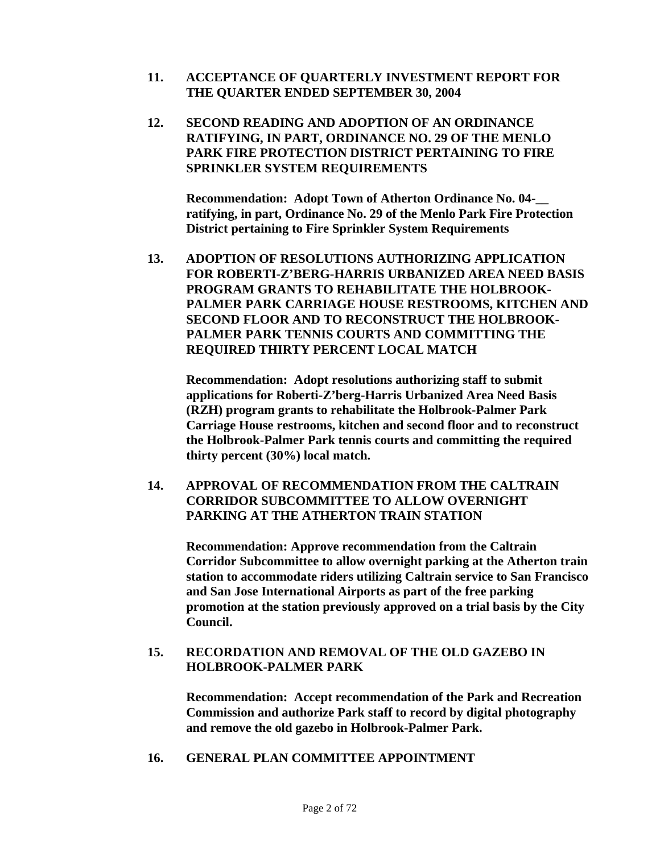- **11. ACCEPTANCE OF QUARTERLY INVESTMENT REPORT FOR THE QUARTER ENDED SEPTEMBER 30, 2004**
- **12. SECOND READING AND ADOPTION OF AN ORDINANCE RATIFYING, IN PART, ORDINANCE NO. 29 OF THE MENLO PARK FIRE PROTECTION DISTRICT PERTAINING TO FIRE SPRINKLER SYSTEM REQUIREMENTS**

**Recommendation: Adopt Town of Atherton Ordinance No. 04ratifying, in part, Ordinance No. 29 of the Menlo Park Fire Protection District pertaining to Fire Sprinkler System Requirements** 

**13. ADOPTION OF RESOLUTIONS AUTHORIZING APPLICATION FOR ROBERTI-Z'BERG-HARRIS URBANIZED AREA NEED BASIS PROGRAM GRANTS TO REHABILITATE THE HOLBROOK-PALMER PARK CARRIAGE HOUSE RESTROOMS, KITCHEN AND SECOND FLOOR AND TO RECONSTRUCT THE HOLBROOK-PALMER PARK TENNIS COURTS AND COMMITTING THE REQUIRED THIRTY PERCENT LOCAL MATCH** 

**Recommendation: Adopt resolutions authorizing staff to submit applications for Roberti-Z'berg-Harris Urbanized Area Need Basis (RZH) program grants to rehabilitate the Holbrook-Palmer Park Carriage House restrooms, kitchen and second floor and to reconstruct the Holbrook-Palmer Park tennis courts and committing the required thirty percent (30%) local match.** 

**14. APPROVAL OF RECOMMENDATION FROM THE CALTRAIN CORRIDOR SUBCOMMITTEE TO ALLOW OVERNIGHT PARKING AT THE ATHERTON TRAIN STATION** 

**Recommendation: Approve recommendation from the Caltrain Corridor Subcommittee to allow overnight parking at the Atherton train station to accommodate riders utilizing Caltrain service to San Francisco and San Jose International Airports as part of the free parking promotion at the station previously approved on a trial basis by the City Council.** 

### **15. RECORDATION AND REMOVAL OF THE OLD GAZEBO IN HOLBROOK-PALMER PARK**

**Recommendation: Accept recommendation of the Park and Recreation Commission and authorize Park staff to record by digital photography and remove the old gazebo in Holbrook-Palmer Park.** 

**16. GENERAL PLAN COMMITTEE APPOINTMENT**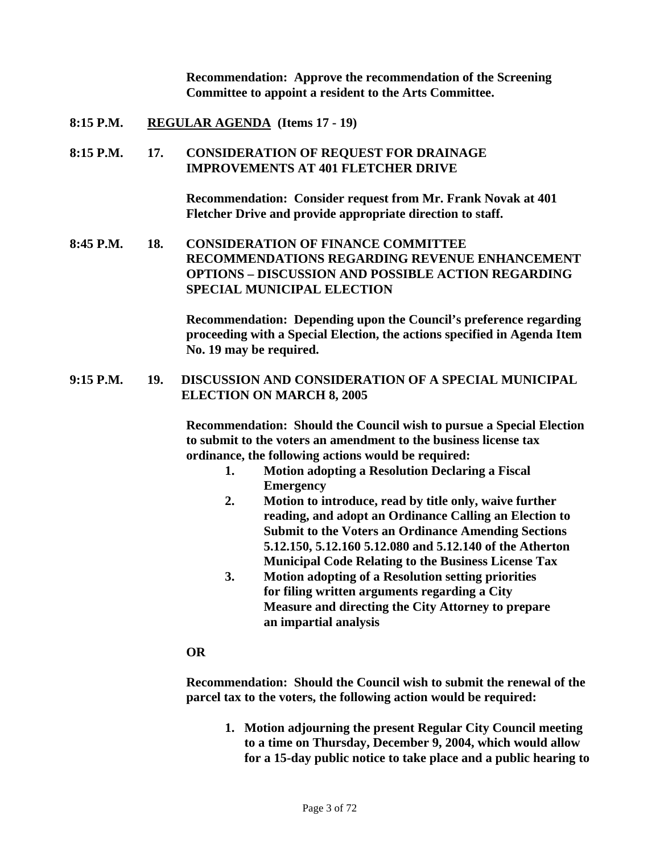**Recommendation: Approve the recommendation of the Screening Committee to appoint a resident to the Arts Committee.** 

**8:15 P.M. REGULAR AGENDA (Items 17 - 19)** 

### **8:15 P.M. 17. CONSIDERATION OF REQUEST FOR DRAINAGE IMPROVEMENTS AT 401 FLETCHER DRIVE**

**Recommendation: Consider request from Mr. Frank Novak at 401 Fletcher Drive and provide appropriate direction to staff.** 

### **8:45 P.M. 18. CONSIDERATION OF FINANCE COMMITTEE RECOMMENDATIONS REGARDING REVENUE ENHANCEMENT OPTIONS – DISCUSSION AND POSSIBLE ACTION REGARDING SPECIAL MUNICIPAL ELECTION**

**Recommendation: Depending upon the Council's preference regarding proceeding with a Special Election, the actions specified in Agenda Item No. 19 may be required.** 

### **9:15 P.M. 19. DISCUSSION AND CONSIDERATION OF A SPECIAL MUNICIPAL ELECTION ON MARCH 8, 2005**

**Recommendation: Should the Council wish to pursue a Special Election to submit to the voters an amendment to the business license tax ordinance, the following actions would be required:** 

- **1. Motion adopting a Resolution Declaring a Fiscal Emergency**
- **2. Motion to introduce, read by title only, waive further reading, and adopt an Ordinance Calling an Election to Submit to the Voters an Ordinance Amending Sections 5.12.150, 5.12.160 5.12.080 and 5.12.140 of the Atherton Municipal Code Relating to the Business License Tax**
- **3. Motion adopting of a Resolution setting priorities for filing written arguments regarding a City Measure and directing the City Attorney to prepare an impartial analysis**

### **OR**

**Recommendation: Should the Council wish to submit the renewal of the parcel tax to the voters, the following action would be required:** 

**1. Motion adjourning the present Regular City Council meeting to a time on Thursday, December 9, 2004, which would allow for a 15-day public notice to take place and a public hearing to**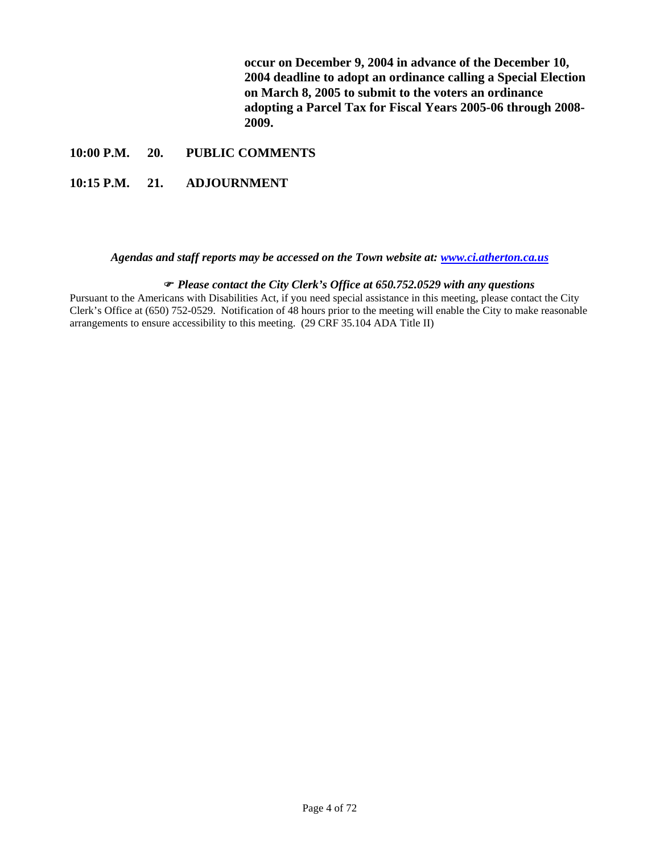**occur on December 9, 2004 in advance of the December 10, 2004 deadline to adopt an ordinance calling a Special Election on March 8, 2005 to submit to the voters an ordinance adopting a Parcel Tax for Fiscal Years 2005-06 through 2008- 2009.** 

#### **10:00 P.M. 20. PUBLIC COMMENTS**

### **10:15 P.M. 21. ADJOURNMENT**

#### *Agendas and staff reports may be accessed on the Town website at: [www.ci.atherton.ca.us](http://www.ci.atherton.ca.us/)*

#### ) *Please contact the City Clerk's Office at 650.752.0529 with any questions*

Pursuant to the Americans with Disabilities Act, if you need special assistance in this meeting, please contact the City Clerk's Office at (650) 752-0529. Notification of 48 hours prior to the meeting will enable the City to make reasonable arrangements to ensure accessibility to this meeting. (29 CRF 35.104 ADA Title II)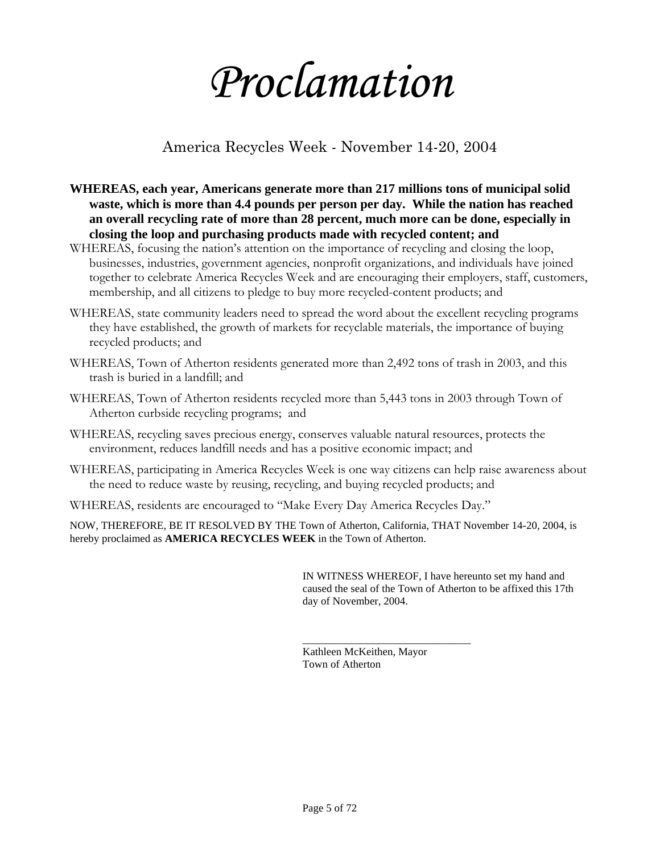# *Proclamation*

# America Recycles Week - November 14-20, 2004

- **WHEREAS, each year, Americans generate more than 217 millions tons of municipal solid waste, which is more than 4.4 pounds per person per day. While the nation has reached an overall recycling rate of more than 28 percent, much more can be done, especially in closing the loop and purchasing products made with recycled content; and**
- WHEREAS, focusing the nation's attention on the importance of recycling and closing the loop, businesses, industries, government agencies, nonprofit organizations, and individuals have joined together to celebrate America Recycles Week and are encouraging their employers, staff, customers, membership, and all citizens to pledge to buy more recycled-content products; and
- WHEREAS, state community leaders need to spread the word about the excellent recycling programs they have established, the growth of markets for recyclable materials, the importance of buying recycled products; and
- WHEREAS, Town of Atherton residents generated more than 2,492 tons of trash in 2003, and this trash is buried in a landfill; and
- WHEREAS, Town of Atherton residents recycled more than 5,443 tons in 2003 through Town of Atherton curbside recycling programs; and
- WHEREAS, recycling saves precious energy, conserves valuable natural resources, protects the environment, reduces landfill needs and has a positive economic impact; and
- WHEREAS, participating in America Recycles Week is one way citizens can help raise awareness about the need to reduce waste by reusing, recycling, and buying recycled products; and
- WHEREAS, residents are encouraged to "Make Every Day America Recycles Day."

NOW, THEREFORE, BE IT RESOLVED BY THE Town of Atherton, California, THAT November 14-20, 2004, is hereby proclaimed as **AMERICA RECYCLES WEEK** in the Town of Atherton.

> IN WITNESS WHEREOF, I have hereunto set my hand and caused the seal of the Town of Atherton to be affixed this 17th day of November, 2004.

Kathleen McKeithen, Mayor Town of Atherton

\_\_\_\_\_\_\_\_\_\_\_\_\_\_\_\_\_\_\_\_\_\_\_\_\_\_\_\_\_\_\_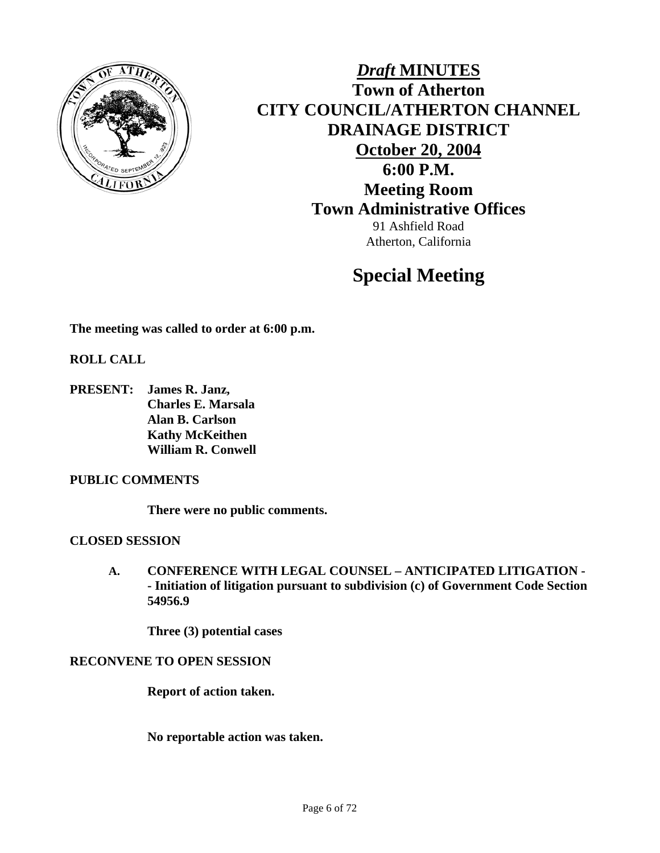

*Draft* **MINUTES Town of Atherton CITY COUNCIL/ATHERTON CHANNEL DRAINAGE DISTRICT October 20, 2004 6:00 P.M. Meeting Room Town Administrative Offices**  91 Ashfield Road Atherton, California

# **Special Meeting**

**The meeting was called to order at 6:00 p.m.** 

**ROLL CALL** 

**PRESENT: James R. Janz, Charles E. Marsala Alan B. Carlson Kathy McKeithen William R. Conwell** 

### **PUBLIC COMMENTS**

**There were no public comments.** 

### **CLOSED SESSION**

**A. CONFERENCE WITH LEGAL COUNSEL – ANTICIPATED LITIGATION - - Initiation of litigation pursuant to subdivision (c) of Government Code Section 54956.9** 

**Three (3) potential cases** 

### **RECONVENE TO OPEN SESSION**

**Report of action taken.** 

**No reportable action was taken.**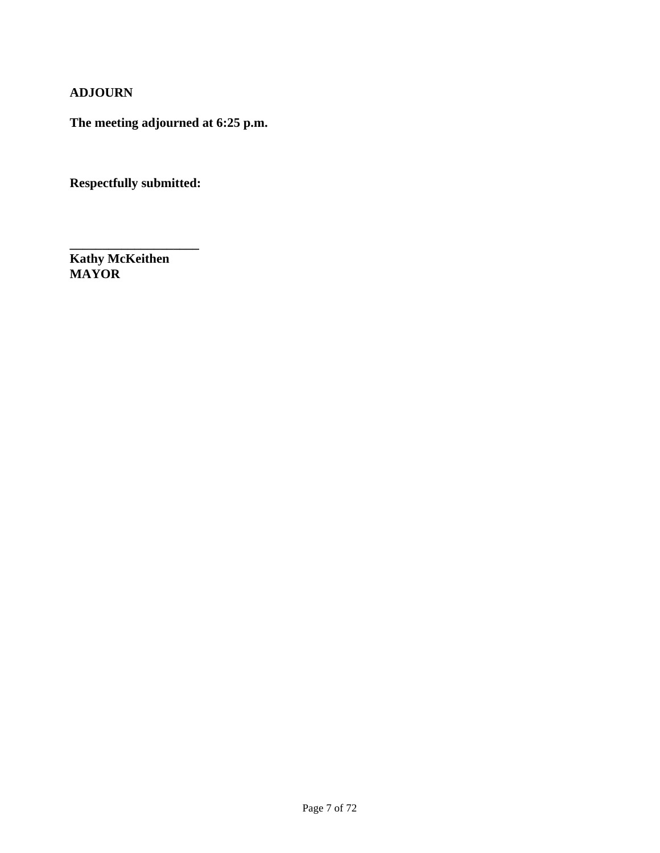### **ADJOURN**

**The meeting adjourned at 6:25 p.m.** 

**Respectfully submitted:** 

**\_\_\_\_\_\_\_\_\_\_\_\_\_\_\_\_\_\_\_\_** 

**Kathy McKeithen MAYOR**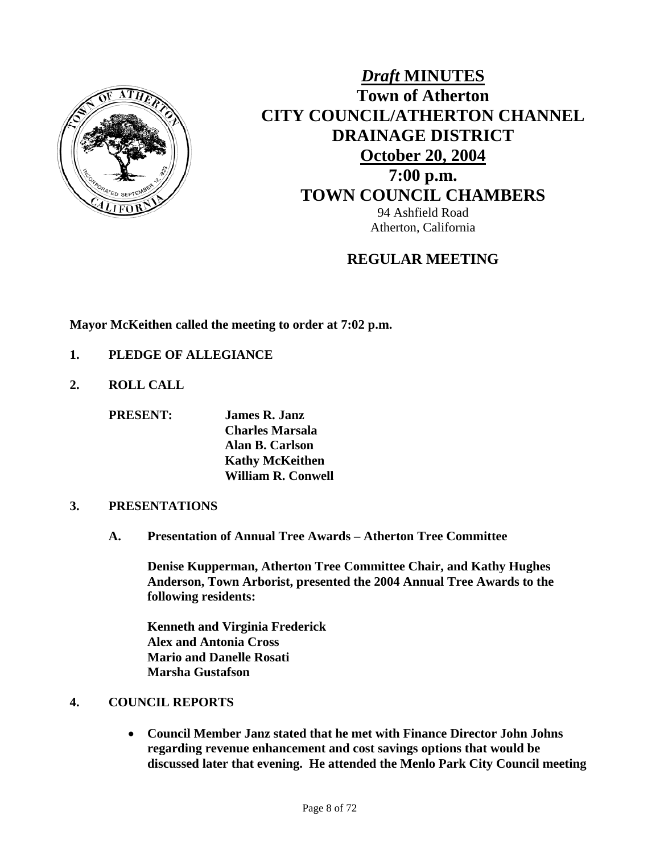

# *Draft* **MINUTES Town of Atherton CITY COUNCIL/ATHERTON CHANNEL DRAINAGE DISTRICT October 20, 2004 7:00 p.m. TOWN COUNCIL CHAMBERS** 94 Ashfield Road Atherton, California

### **REGULAR MEETING**

**Mayor McKeithen called the meeting to order at 7:02 p.m.** 

- **1. PLEDGE OF ALLEGIANCE**
- **2. ROLL CALL**

**PRESENT: James R. Janz** 

 **Charles Marsala Alan B. Carlson Kathy McKeithen William R. Conwell** 

### **3. PRESENTATIONS**

**A. Presentation of Annual Tree Awards – Atherton Tree Committee** 

**Denise Kupperman, Atherton Tree Committee Chair, and Kathy Hughes Anderson, Town Arborist, presented the 2004 Annual Tree Awards to the following residents:** 

**Kenneth and Virginia Frederick Alex and Antonia Cross Mario and Danelle Rosati Marsha Gustafson** 

### **4. COUNCIL REPORTS**

• **Council Member Janz stated that he met with Finance Director John Johns regarding revenue enhancement and cost savings options that would be discussed later that evening. He attended the Menlo Park City Council meeting**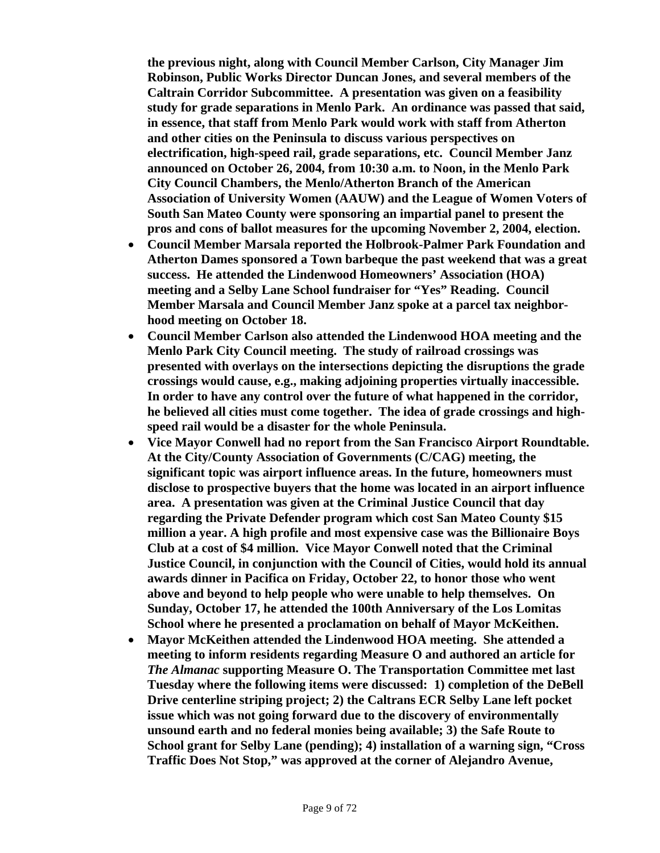**the previous night, along with Council Member Carlson, City Manager Jim Robinson, Public Works Director Duncan Jones, and several members of the Caltrain Corridor Subcommittee. A presentation was given on a feasibility study for grade separations in Menlo Park. An ordinance was passed that said, in essence, that staff from Menlo Park would work with staff from Atherton and other cities on the Peninsula to discuss various perspectives on electrification, high-speed rail, grade separations, etc. Council Member Janz announced on October 26, 2004, from 10:30 a.m. to Noon, in the Menlo Park City Council Chambers, the Menlo/Atherton Branch of the American Association of University Women (AAUW) and the League of Women Voters of South San Mateo County were sponsoring an impartial panel to present the pros and cons of ballot measures for the upcoming November 2, 2004, election.** 

- **Council Member Marsala reported the Holbrook-Palmer Park Foundation and Atherton Dames sponsored a Town barbeque the past weekend that was a great success. He attended the Lindenwood Homeowners' Association (HOA) meeting and a Selby Lane School fundraiser for "Yes" Reading. Council Member Marsala and Council Member Janz spoke at a parcel tax neighborhood meeting on October 18.**
- **Council Member Carlson also attended the Lindenwood HOA meeting and the Menlo Park City Council meeting. The study of railroad crossings was presented with overlays on the intersections depicting the disruptions the grade crossings would cause, e.g., making adjoining properties virtually inaccessible. In order to have any control over the future of what happened in the corridor, he believed all cities must come together. The idea of grade crossings and highspeed rail would be a disaster for the whole Peninsula.**
- **Vice Mayor Conwell had no report from the San Francisco Airport Roundtable. At the City/County Association of Governments (C/CAG) meeting, the significant topic was airport influence areas. In the future, homeowners must disclose to prospective buyers that the home was located in an airport influence area. A presentation was given at the Criminal Justice Council that day regarding the Private Defender program which cost San Mateo County \$15 million a year. A high profile and most expensive case was the Billionaire Boys Club at a cost of \$4 million. Vice Mayor Conwell noted that the Criminal Justice Council, in conjunction with the Council of Cities, would hold its annual awards dinner in Pacifica on Friday, October 22, to honor those who went above and beyond to help people who were unable to help themselves. On Sunday, October 17, he attended the 100th Anniversary of the Los Lomitas School where he presented a proclamation on behalf of Mayor McKeithen.**
- **Mayor McKeithen attended the Lindenwood HOA meeting. She attended a meeting to inform residents regarding Measure O and authored an article for**  *The Almanac* **supporting Measure O. The Transportation Committee met last Tuesday where the following items were discussed: 1) completion of the DeBell Drive centerline striping project; 2) the Caltrans ECR Selby Lane left pocket issue which was not going forward due to the discovery of environmentally unsound earth and no federal monies being available; 3) the Safe Route to School grant for Selby Lane (pending); 4) installation of a warning sign, "Cross Traffic Does Not Stop," was approved at the corner of Alejandro Avenue,**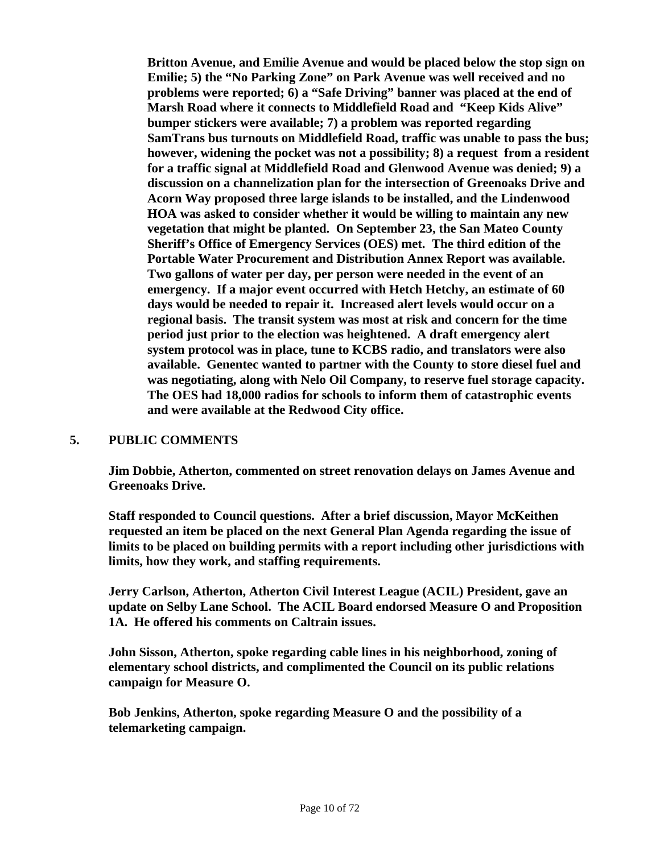**Britton Avenue, and Emilie Avenue and would be placed below the stop sign on Emilie; 5) the "No Parking Zone" on Park Avenue was well received and no problems were reported; 6) a "Safe Driving" banner was placed at the end of Marsh Road where it connects to Middlefield Road and "Keep Kids Alive" bumper stickers were available; 7) a problem was reported regarding SamTrans bus turnouts on Middlefield Road, traffic was unable to pass the bus; however, widening the pocket was not a possibility; 8) a request from a resident for a traffic signal at Middlefield Road and Glenwood Avenue was denied; 9) a discussion on a channelization plan for the intersection of Greenoaks Drive and Acorn Way proposed three large islands to be installed, and the Lindenwood HOA was asked to consider whether it would be willing to maintain any new vegetation that might be planted. On September 23, the San Mateo County Sheriff's Office of Emergency Services (OES) met. The third edition of the Portable Water Procurement and Distribution Annex Report was available. Two gallons of water per day, per person were needed in the event of an emergency. If a major event occurred with Hetch Hetchy, an estimate of 60 days would be needed to repair it. Increased alert levels would occur on a regional basis. The transit system was most at risk and concern for the time period just prior to the election was heightened. A draft emergency alert system protocol was in place, tune to KCBS radio, and translators were also available. Genentec wanted to partner with the County to store diesel fuel and was negotiating, along with Nelo Oil Company, to reserve fuel storage capacity. The OES had 18,000 radios for schools to inform them of catastrophic events and were available at the Redwood City office.** 

### **5. PUBLIC COMMENTS**

**Jim Dobbie, Atherton, commented on street renovation delays on James Avenue and Greenoaks Drive.** 

**Staff responded to Council questions. After a brief discussion, Mayor McKeithen requested an item be placed on the next General Plan Agenda regarding the issue of limits to be placed on building permits with a report including other jurisdictions with limits, how they work, and staffing requirements.** 

**Jerry Carlson, Atherton, Atherton Civil Interest League (ACIL) President, gave an update on Selby Lane School. The ACIL Board endorsed Measure O and Proposition 1A. He offered his comments on Caltrain issues.** 

**John Sisson, Atherton, spoke regarding cable lines in his neighborhood, zoning of elementary school districts, and complimented the Council on its public relations campaign for Measure O.** 

 **Bob Jenkins, Atherton, spoke regarding Measure O and the possibility of a telemarketing campaign.**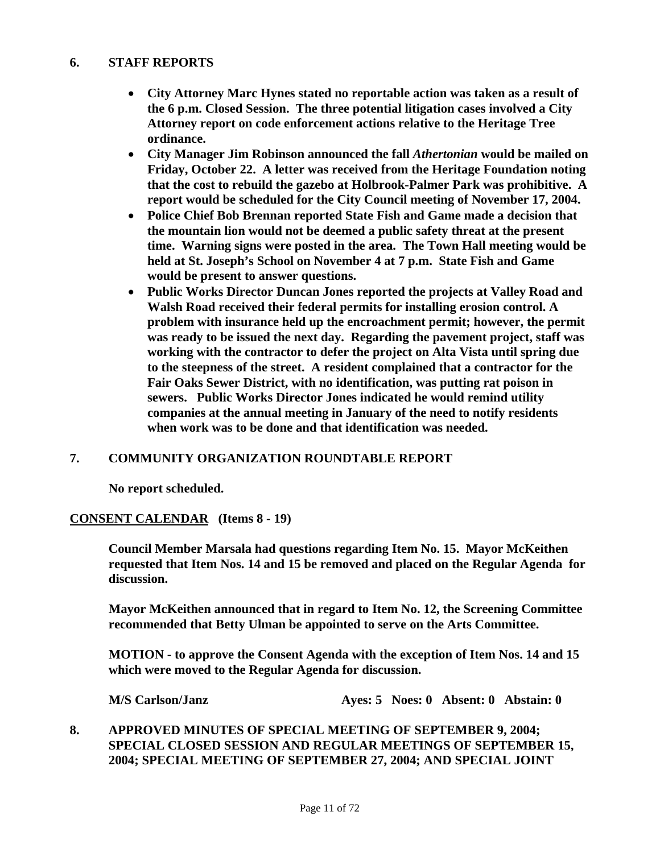### **6. STAFF REPORTS**

- **City Attorney Marc Hynes stated no reportable action was taken as a result of the 6 p.m. Closed Session. The three potential litigation cases involved a City Attorney report on code enforcement actions relative to the Heritage Tree ordinance.**
- **City Manager Jim Robinson announced the fall** *Athertonian* **would be mailed on Friday, October 22. A letter was received from the Heritage Foundation noting that the cost to rebuild the gazebo at Holbrook-Palmer Park was prohibitive. A report would be scheduled for the City Council meeting of November 17, 2004.**
- **Police Chief Bob Brennan reported State Fish and Game made a decision that the mountain lion would not be deemed a public safety threat at the present time. Warning signs were posted in the area. The Town Hall meeting would be held at St. Joseph's School on November 4 at 7 p.m. State Fish and Game would be present to answer questions.**
- **Public Works Director Duncan Jones reported the projects at Valley Road and Walsh Road received their federal permits for installing erosion control. A problem with insurance held up the encroachment permit; however, the permit was ready to be issued the next day. Regarding the pavement project, staff was working with the contractor to defer the project on Alta Vista until spring due to the steepness of the street. A resident complained that a contractor for the Fair Oaks Sewer District, with no identification, was putting rat poison in sewers. Public Works Director Jones indicated he would remind utility companies at the annual meeting in January of the need to notify residents when work was to be done and that identification was needed.**

### **7. COMMUNITY ORGANIZATION ROUNDTABLE REPORT**

 **No report scheduled.** 

### **CONSENT CALENDAR (Items 8 - 19)**

 **Council Member Marsala had questions regarding Item No. 15. Mayor McKeithen requested that Item Nos. 14 and 15 be removed and placed on the Regular Agenda for discussion.** 

**Mayor McKeithen announced that in regard to Item No. 12, the Screening Committee recommended that Betty Ulman be appointed to serve on the Arts Committee.** 

**MOTION - to approve the Consent Agenda with the exception of Item Nos. 14 and 15 which were moved to the Regular Agenda for discussion.** 

**M/S Carlson/Janz Ayes: 5 Noes: 0 Absent: 0 Abstain: 0** 

**8. APPROVED MINUTES OF SPECIAL MEETING OF SEPTEMBER 9, 2004; SPECIAL CLOSED SESSION AND REGULAR MEETINGS OF SEPTEMBER 15, 2004; SPECIAL MEETING OF SEPTEMBER 27, 2004; AND SPECIAL JOINT**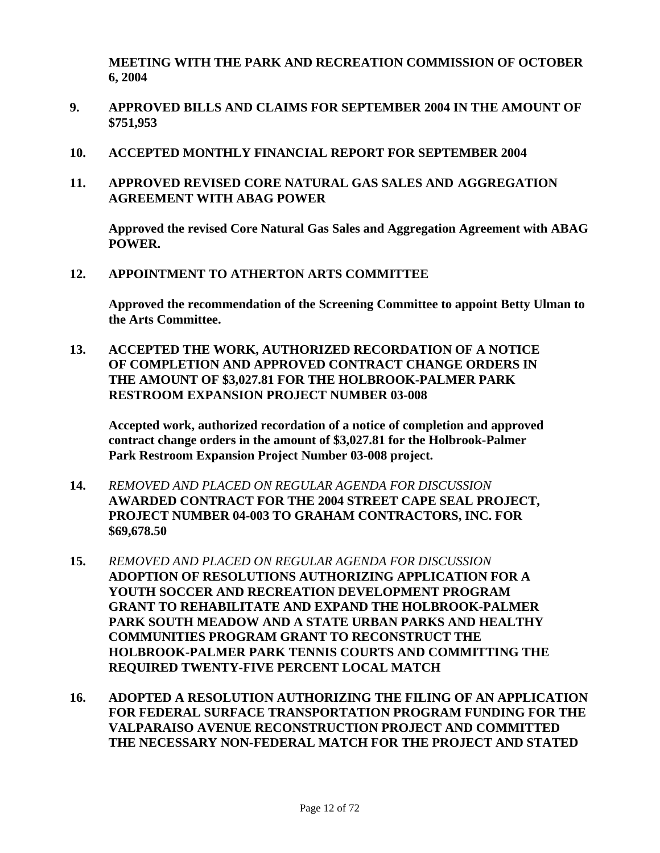**MEETING WITH THE PARK AND RECREATION COMMISSION OF OCTOBER 6, 2004** 

- **9. APPROVED BILLS AND CLAIMS FOR SEPTEMBER 2004 IN THE AMOUNT OF \$751,953**
- **10. ACCEPTED MONTHLY FINANCIAL REPORT FOR SEPTEMBER 2004**
- **11. APPROVED REVISED CORE NATURAL GAS SALES AND AGGREGATION AGREEMENT WITH ABAG POWER**

 **Approved the revised Core Natural Gas Sales and Aggregation Agreement with ABAG POWER.** 

**12. APPOINTMENT TO ATHERTON ARTS COMMITTEE** 

 **Approved the recommendation of the Screening Committee to appoint Betty Ulman to the Arts Committee.** 

**13. ACCEPTED THE WORK, AUTHORIZED RECORDATION OF A NOTICE OF COMPLETION AND APPROVED CONTRACT CHANGE ORDERS IN THE AMOUNT OF \$3,027.81 FOR THE HOLBROOK-PALMER PARK RESTROOM EXPANSION PROJECT NUMBER 03-008** 

 **Accepted work, authorized recordation of a notice of completion and approved contract change orders in the amount of \$3,027.81 for the Holbrook-Palmer Park Restroom Expansion Project Number 03-008 project.** 

- **14.** *REMOVED AND PLACED ON REGULAR AGENDA FOR DISCUSSION*  **AWARDED CONTRACT FOR THE 2004 STREET CAPE SEAL PROJECT, PROJECT NUMBER 04-003 TO GRAHAM CONTRACTORS, INC. FOR \$69,678.50**
- **15.** *REMOVED AND PLACED ON REGULAR AGENDA FOR DISCUSSION*  **ADOPTION OF RESOLUTIONS AUTHORIZING APPLICATION FOR A YOUTH SOCCER AND RECREATION DEVELOPMENT PROGRAM GRANT TO REHABILITATE AND EXPAND THE HOLBROOK-PALMER PARK SOUTH MEADOW AND A STATE URBAN PARKS AND HEALTHY COMMUNITIES PROGRAM GRANT TO RECONSTRUCT THE HOLBROOK-PALMER PARK TENNIS COURTS AND COMMITTING THE REQUIRED TWENTY-FIVE PERCENT LOCAL MATCH**
- **16. ADOPTED A RESOLUTION AUTHORIZING THE FILING OF AN APPLICATION FOR FEDERAL SURFACE TRANSPORTATION PROGRAM FUNDING FOR THE VALPARAISO AVENUE RECONSTRUCTION PROJECT AND COMMITTED THE NECESSARY NON-FEDERAL MATCH FOR THE PROJECT AND STATED**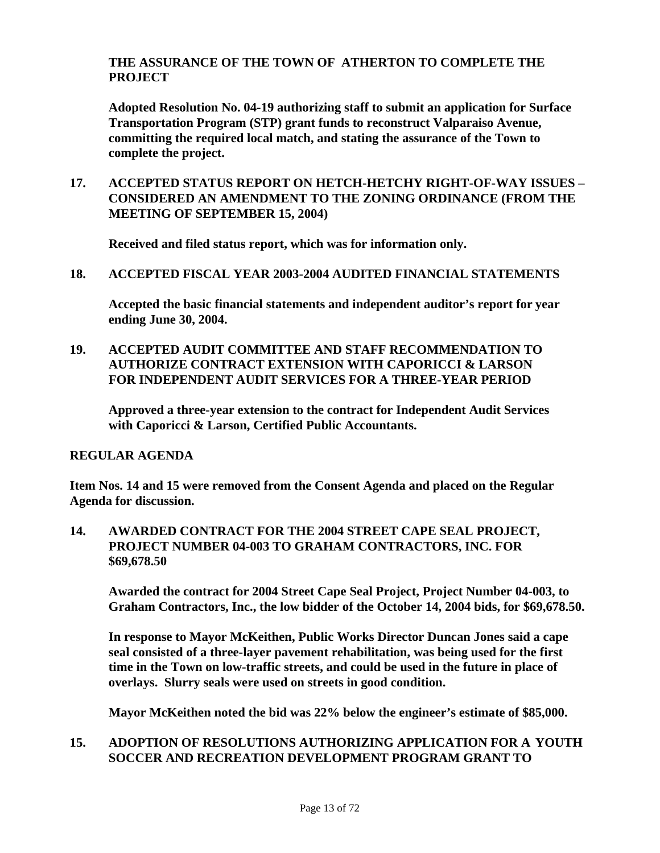### **THE ASSURANCE OF THE TOWN OF ATHERTON TO COMPLETE THE PROJECT**

 **Adopted Resolution No. 04-19 authorizing staff to submit an application for Surface Transportation Program (STP) grant funds to reconstruct Valparaiso Avenue, committing the required local match, and stating the assurance of the Town to complete the project.** 

**17. ACCEPTED STATUS REPORT ON HETCH-HETCHY RIGHT-OF-WAY ISSUES – CONSIDERED AN AMENDMENT TO THE ZONING ORDINANCE (FROM THE MEETING OF SEPTEMBER 15, 2004)** 

 **Received and filed status report, which was for information only.** 

**18. ACCEPTED FISCAL YEAR 2003-2004 AUDITED FINANCIAL STATEMENTS** 

 **Accepted the basic financial statements and independent auditor's report for year ending June 30, 2004.** 

**19. ACCEPTED AUDIT COMMITTEE AND STAFF RECOMMENDATION TO AUTHORIZE CONTRACT EXTENSION WITH CAPORICCI & LARSON FOR INDEPENDENT AUDIT SERVICES FOR A THREE-YEAR PERIOD** 

 **Approved a three-year extension to the contract for Independent Audit Services with Caporicci & Larson, Certified Public Accountants.** 

### **REGULAR AGENDA**

**Item Nos. 14 and 15 were removed from the Consent Agenda and placed on the Regular Agenda for discussion.** 

**14. AWARDED CONTRACT FOR THE 2004 STREET CAPE SEAL PROJECT, PROJECT NUMBER 04-003 TO GRAHAM CONTRACTORS, INC. FOR \$69,678.50** 

 **Awarded the contract for 2004 Street Cape Seal Project, Project Number 04-003, to Graham Contractors, Inc., the low bidder of the October 14, 2004 bids, for \$69,678.50.** 

**In response to Mayor McKeithen, Public Works Director Duncan Jones said a cape seal consisted of a three-layer pavement rehabilitation, was being used for the first time in the Town on low-traffic streets, and could be used in the future in place of overlays. Slurry seals were used on streets in good condition.** 

**Mayor McKeithen noted the bid was 22% below the engineer's estimate of \$85,000.** 

### **15. ADOPTION OF RESOLUTIONS AUTHORIZING APPLICATION FOR A YOUTH SOCCER AND RECREATION DEVELOPMENT PROGRAM GRANT TO**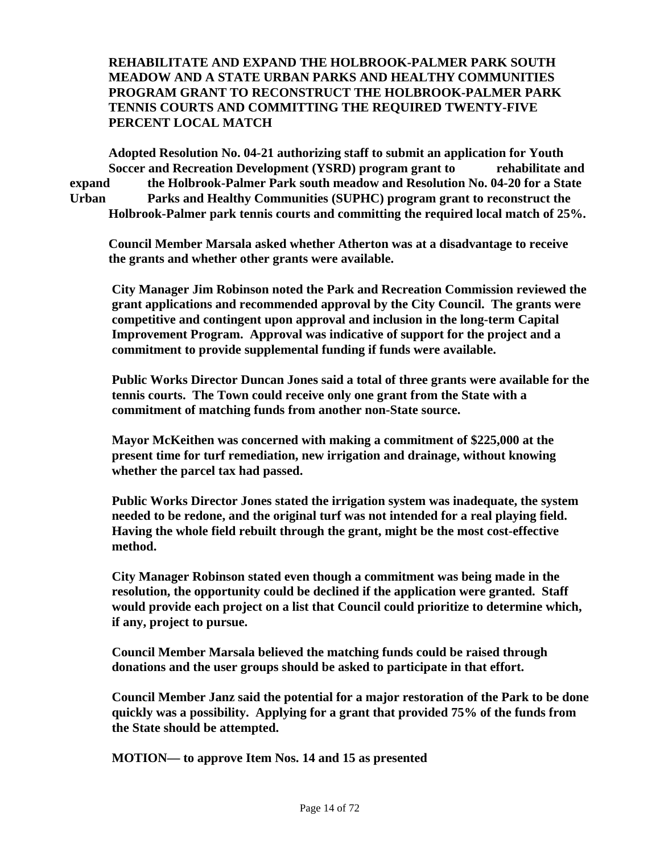### **REHABILITATE AND EXPAND THE HOLBROOK-PALMER PARK SOUTH MEADOW AND A STATE URBAN PARKS AND HEALTHY COMMUNITIES PROGRAM GRANT TO RECONSTRUCT THE HOLBROOK-PALMER PARK TENNIS COURTS AND COMMITTING THE REQUIRED TWENTY-FIVE PERCENT LOCAL MATCH**

 **Adopted Resolution No. 04-21 authorizing staff to submit an application for Youth Soccer and Recreation Development (YSRD) program grant to rehabilitate and expand the Holbrook-Palmer Park south meadow and Resolution No. 04-20 for a State Urban Parks and Healthy Communities (SUPHC) program grant to reconstruct the Holbrook-Palmer park tennis courts and committing the required local match of 25%.** 

 **Council Member Marsala asked whether Atherton was at a disadvantage to receive the grants and whether other grants were available.** 

**City Manager Jim Robinson noted the Park and Recreation Commission reviewed the grant applications and recommended approval by the City Council. The grants were competitive and contingent upon approval and inclusion in the long-term Capital Improvement Program. Approval was indicative of support for the project and a commitment to provide supplemental funding if funds were available.** 

**Public Works Director Duncan Jones said a total of three grants were available for the tennis courts. The Town could receive only one grant from the State with a commitment of matching funds from another non-State source.** 

**Mayor McKeithen was concerned with making a commitment of \$225,000 at the present time for turf remediation, new irrigation and drainage, without knowing whether the parcel tax had passed.** 

**Public Works Director Jones stated the irrigation system was inadequate, the system needed to be redone, and the original turf was not intended for a real playing field. Having the whole field rebuilt through the grant, might be the most cost-effective method.** 

**City Manager Robinson stated even though a commitment was being made in the resolution, the opportunity could be declined if the application were granted. Staff would provide each project on a list that Council could prioritize to determine which, if any, project to pursue.** 

**Council Member Marsala believed the matching funds could be raised through donations and the user groups should be asked to participate in that effort.** 

**Council Member Janz said the potential for a major restoration of the Park to be done quickly was a possibility. Applying for a grant that provided 75% of the funds from the State should be attempted.** 

**MOTION— to approve Item Nos. 14 and 15 as presented**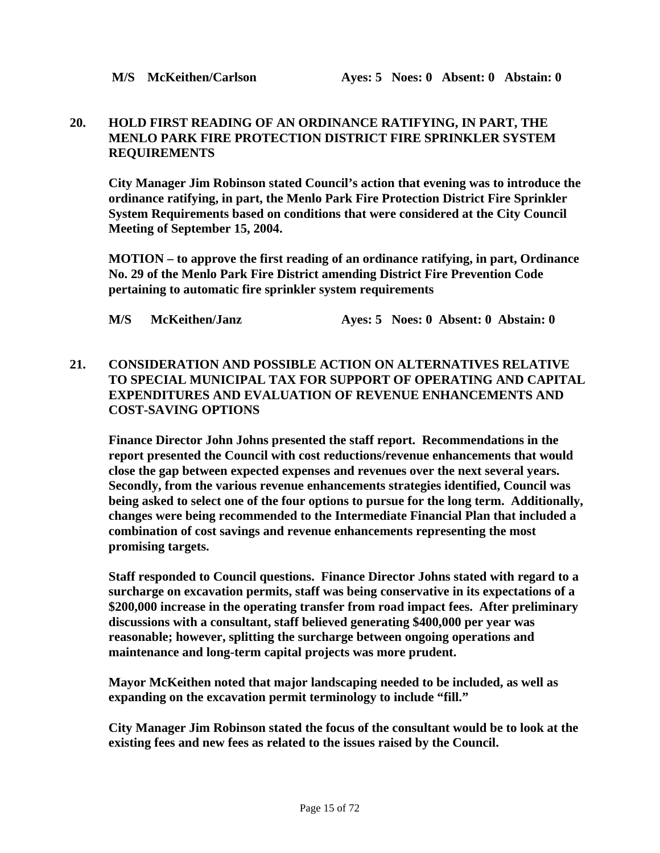### **20. HOLD FIRST READING OF AN ORDINANCE RATIFYING, IN PART, THE MENLO PARK FIRE PROTECTION DISTRICT FIRE SPRINKLER SYSTEM REQUIREMENTS**

 **City Manager Jim Robinson stated Council's action that evening was to introduce the ordinance ratifying, in part, the Menlo Park Fire Protection District Fire Sprinkler System Requirements based on conditions that were considered at the City Council Meeting of September 15, 2004.** 

**MOTION – to approve the first reading of an ordinance ratifying, in part, Ordinance No. 29 of the Menlo Park Fire District amending District Fire Prevention Code pertaining to automatic fire sprinkler system requirements** 

**M/S McKeithen/Janz Ayes: 5 Noes: 0 Absent: 0 Abstain: 0** 

### **21. CONSIDERATION AND POSSIBLE ACTION ON ALTERNATIVES RELATIVE TO SPECIAL MUNICIPAL TAX FOR SUPPORT OF OPERATING AND CAPITAL EXPENDITURES AND EVALUATION OF REVENUE ENHANCEMENTS AND COST-SAVING OPTIONS**

 **Finance Director John Johns presented the staff report. Recommendations in the report presented the Council with cost reductions/revenue enhancements that would close the gap between expected expenses and revenues over the next several years. Secondly, from the various revenue enhancements strategies identified, Council was being asked to select one of the four options to pursue for the long term. Additionally, changes were being recommended to the Intermediate Financial Plan that included a combination of cost savings and revenue enhancements representing the most promising targets.** 

 **Staff responded to Council questions. Finance Director Johns stated with regard to a surcharge on excavation permits, staff was being conservative in its expectations of a \$200,000 increase in the operating transfer from road impact fees. After preliminary discussions with a consultant, staff believed generating \$400,000 per year was reasonable; however, splitting the surcharge between ongoing operations and maintenance and long-term capital projects was more prudent.** 

 **Mayor McKeithen noted that major landscaping needed to be included, as well as expanding on the excavation permit terminology to include "fill."** 

 **City Manager Jim Robinson stated the focus of the consultant would be to look at the existing fees and new fees as related to the issues raised by the Council.**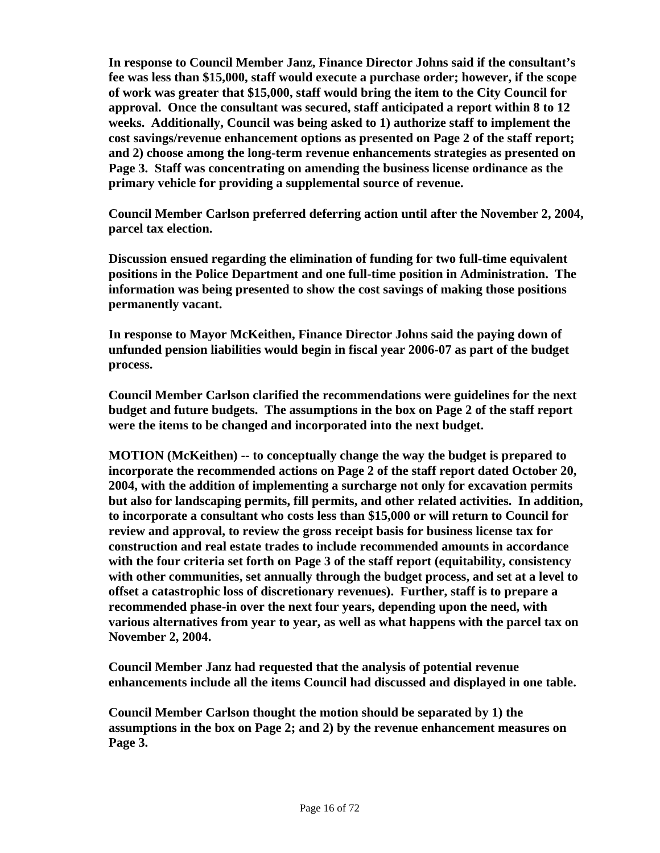**In response to Council Member Janz, Finance Director Johns said if the consultant's fee was less than \$15,000, staff would execute a purchase order; however, if the scope of work was greater that \$15,000, staff would bring the item to the City Council for approval. Once the consultant was secured, staff anticipated a report within 8 to 12 weeks. Additionally, Council was being asked to 1) authorize staff to implement the cost savings/revenue enhancement options as presented on Page 2 of the staff report; and 2) choose among the long-term revenue enhancements strategies as presented on Page 3. Staff was concentrating on amending the business license ordinance as the primary vehicle for providing a supplemental source of revenue.** 

 **Council Member Carlson preferred deferring action until after the November 2, 2004, parcel tax election.** 

 **Discussion ensued regarding the elimination of funding for two full-time equivalent positions in the Police Department and one full-time position in Administration. The information was being presented to show the cost savings of making those positions permanently vacant.** 

 **In response to Mayor McKeithen, Finance Director Johns said the paying down of unfunded pension liabilities would begin in fiscal year 2006-07 as part of the budget process.** 

 **Council Member Carlson clarified the recommendations were guidelines for the next budget and future budgets. The assumptions in the box on Page 2 of the staff report were the items to be changed and incorporated into the next budget.** 

 **MOTION (McKeithen) -- to conceptually change the way the budget is prepared to incorporate the recommended actions on Page 2 of the staff report dated October 20, 2004, with the addition of implementing a surcharge not only for excavation permits but also for landscaping permits, fill permits, and other related activities. In addition, to incorporate a consultant who costs less than \$15,000 or will return to Council for review and approval, to review the gross receipt basis for business license tax for construction and real estate trades to include recommended amounts in accordance with the four criteria set forth on Page 3 of the staff report (equitability, consistency with other communities, set annually through the budget process, and set at a level to offset a catastrophic loss of discretionary revenues). Further, staff is to prepare a recommended phase-in over the next four years, depending upon the need, with various alternatives from year to year, as well as what happens with the parcel tax on November 2, 2004.** 

 **Council Member Janz had requested that the analysis of potential revenue enhancements include all the items Council had discussed and displayed in one table.** 

 **Council Member Carlson thought the motion should be separated by 1) the assumptions in the box on Page 2; and 2) by the revenue enhancement measures on Page 3.**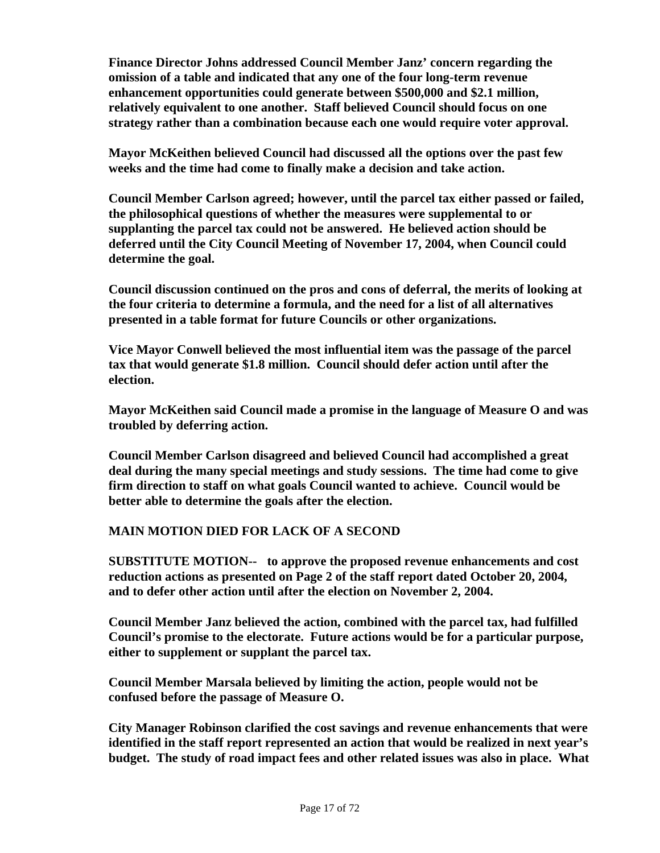**Finance Director Johns addressed Council Member Janz' concern regarding the omission of a table and indicated that any one of the four long-term revenue enhancement opportunities could generate between \$500,000 and \$2.1 million, relatively equivalent to one another. Staff believed Council should focus on one strategy rather than a combination because each one would require voter approval.** 

 **Mayor McKeithen believed Council had discussed all the options over the past few weeks and the time had come to finally make a decision and take action.** 

 **Council Member Carlson agreed; however, until the parcel tax either passed or failed, the philosophical questions of whether the measures were supplemental to or supplanting the parcel tax could not be answered. He believed action should be deferred until the City Council Meeting of November 17, 2004, when Council could determine the goal.** 

 **Council discussion continued on the pros and cons of deferral, the merits of looking at the four criteria to determine a formula, and the need for a list of all alternatives presented in a table format for future Councils or other organizations.** 

 **Vice Mayor Conwell believed the most influential item was the passage of the parcel tax that would generate \$1.8 million. Council should defer action until after the election.** 

 **Mayor McKeithen said Council made a promise in the language of Measure O and was troubled by deferring action.** 

 **Council Member Carlson disagreed and believed Council had accomplished a great deal during the many special meetings and study sessions. The time had come to give firm direction to staff on what goals Council wanted to achieve. Council would be better able to determine the goals after the election.** 

### **MAIN MOTION DIED FOR LACK OF A SECOND**

 **SUBSTITUTE MOTION-- to approve the proposed revenue enhancements and cost reduction actions as presented on Page 2 of the staff report dated October 20, 2004, and to defer other action until after the election on November 2, 2004.** 

 **Council Member Janz believed the action, combined with the parcel tax, had fulfilled Council's promise to the electorate. Future actions would be for a particular purpose, either to supplement or supplant the parcel tax.** 

 **Council Member Marsala believed by limiting the action, people would not be confused before the passage of Measure O.** 

 **City Manager Robinson clarified the cost savings and revenue enhancements that were identified in the staff report represented an action that would be realized in next year's budget. The study of road impact fees and other related issues was also in place. What**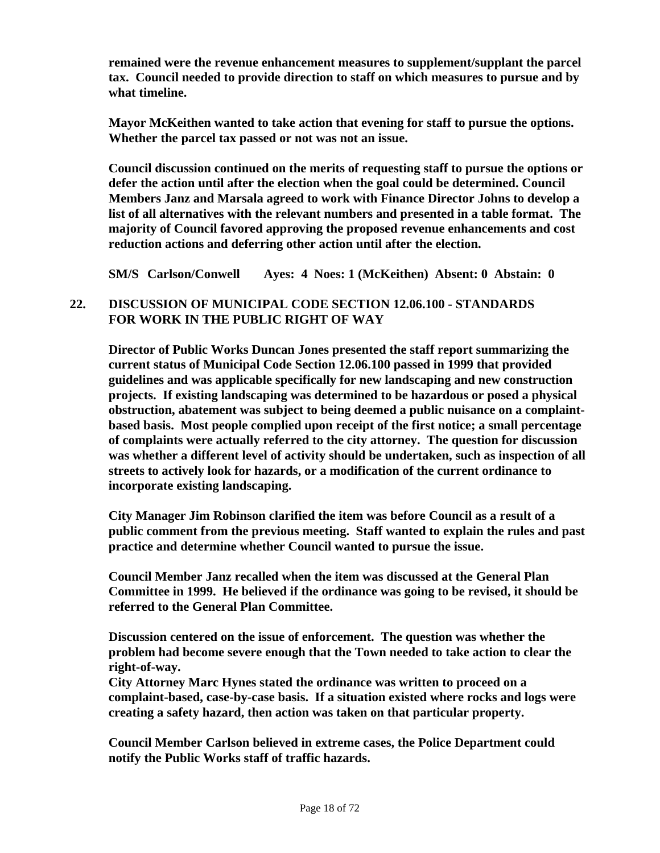**remained were the revenue enhancement measures to supplement/supplant the parcel tax. Council needed to provide direction to staff on which measures to pursue and by what timeline.** 

 **Mayor McKeithen wanted to take action that evening for staff to pursue the options. Whether the parcel tax passed or not was not an issue.** 

 **Council discussion continued on the merits of requesting staff to pursue the options or defer the action until after the election when the goal could be determined. Council Members Janz and Marsala agreed to work with Finance Director Johns to develop a list of all alternatives with the relevant numbers and presented in a table format. The majority of Council favored approving the proposed revenue enhancements and cost reduction actions and deferring other action until after the election.** 

 **SM/S Carlson/Conwell Ayes: 4 Noes: 1 (McKeithen) Absent: 0 Abstain: 0** 

### **22. DISCUSSION OF MUNICIPAL CODE SECTION 12.06.100 - STANDARDS FOR WORK IN THE PUBLIC RIGHT OF WAY**

**Director of Public Works Duncan Jones presented the staff report summarizing the current status of Municipal Code Section 12.06.100 passed in 1999 that provided guidelines and was applicable specifically for new landscaping and new construction projects. If existing landscaping was determined to be hazardous or posed a physical obstruction, abatement was subject to being deemed a public nuisance on a complaintbased basis. Most people complied upon receipt of the first notice; a small percentage of complaints were actually referred to the city attorney. The question for discussion was whether a different level of activity should be undertaken, such as inspection of all streets to actively look for hazards, or a modification of the current ordinance to incorporate existing landscaping.** 

**City Manager Jim Robinson clarified the item was before Council as a result of a public comment from the previous meeting. Staff wanted to explain the rules and past practice and determine whether Council wanted to pursue the issue.** 

**Council Member Janz recalled when the item was discussed at the General Plan Committee in 1999. He believed if the ordinance was going to be revised, it should be referred to the General Plan Committee.** 

**Discussion centered on the issue of enforcement. The question was whether the problem had become severe enough that the Town needed to take action to clear the right-of-way.** 

**City Attorney Marc Hynes stated the ordinance was written to proceed on a complaint-based, case-by-case basis. If a situation existed where rocks and logs were creating a safety hazard, then action was taken on that particular property.** 

**Council Member Carlson believed in extreme cases, the Police Department could notify the Public Works staff of traffic hazards.**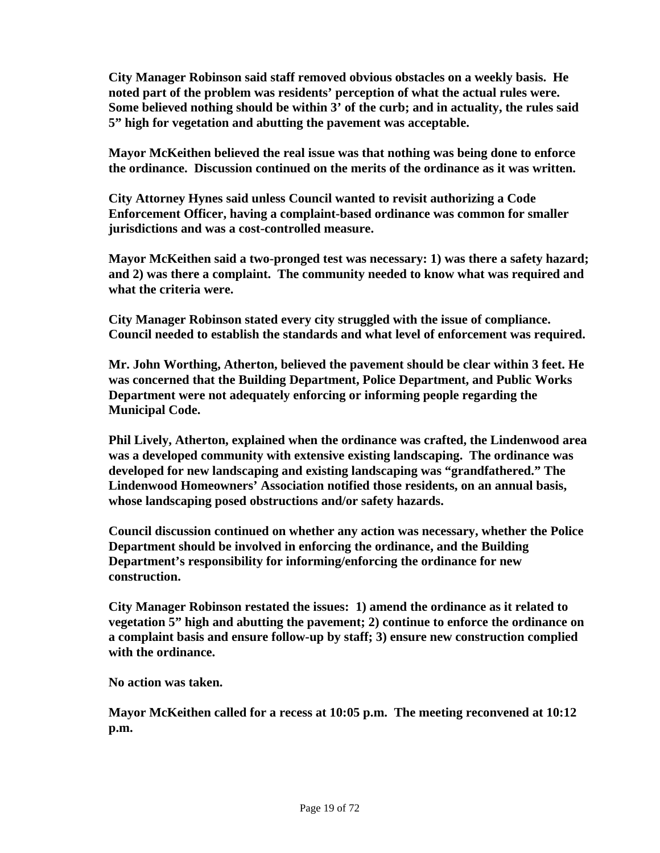**City Manager Robinson said staff removed obvious obstacles on a weekly basis. He noted part of the problem was residents' perception of what the actual rules were. Some believed nothing should be within 3' of the curb; and in actuality, the rules said 5" high for vegetation and abutting the pavement was acceptable.** 

**Mayor McKeithen believed the real issue was that nothing was being done to enforce the ordinance. Discussion continued on the merits of the ordinance as it was written.** 

**City Attorney Hynes said unless Council wanted to revisit authorizing a Code Enforcement Officer, having a complaint-based ordinance was common for smaller jurisdictions and was a cost-controlled measure.** 

**Mayor McKeithen said a two-pronged test was necessary: 1) was there a safety hazard; and 2) was there a complaint. The community needed to know what was required and what the criteria were.** 

**City Manager Robinson stated every city struggled with the issue of compliance. Council needed to establish the standards and what level of enforcement was required.** 

**Mr. John Worthing, Atherton, believed the pavement should be clear within 3 feet. He was concerned that the Building Department, Police Department, and Public Works Department were not adequately enforcing or informing people regarding the Municipal Code.** 

**Phil Lively, Atherton, explained when the ordinance was crafted, the Lindenwood area was a developed community with extensive existing landscaping. The ordinance was developed for new landscaping and existing landscaping was "grandfathered." The Lindenwood Homeowners' Association notified those residents, on an annual basis, whose landscaping posed obstructions and/or safety hazards.** 

**Council discussion continued on whether any action was necessary, whether the Police Department should be involved in enforcing the ordinance, and the Building Department's responsibility for informing/enforcing the ordinance for new construction.** 

**City Manager Robinson restated the issues: 1) amend the ordinance as it related to vegetation 5" high and abutting the pavement; 2) continue to enforce the ordinance on a complaint basis and ensure follow-up by staff; 3) ensure new construction complied with the ordinance.** 

**No action was taken.** 

**Mayor McKeithen called for a recess at 10:05 p.m. The meeting reconvened at 10:12 p.m.**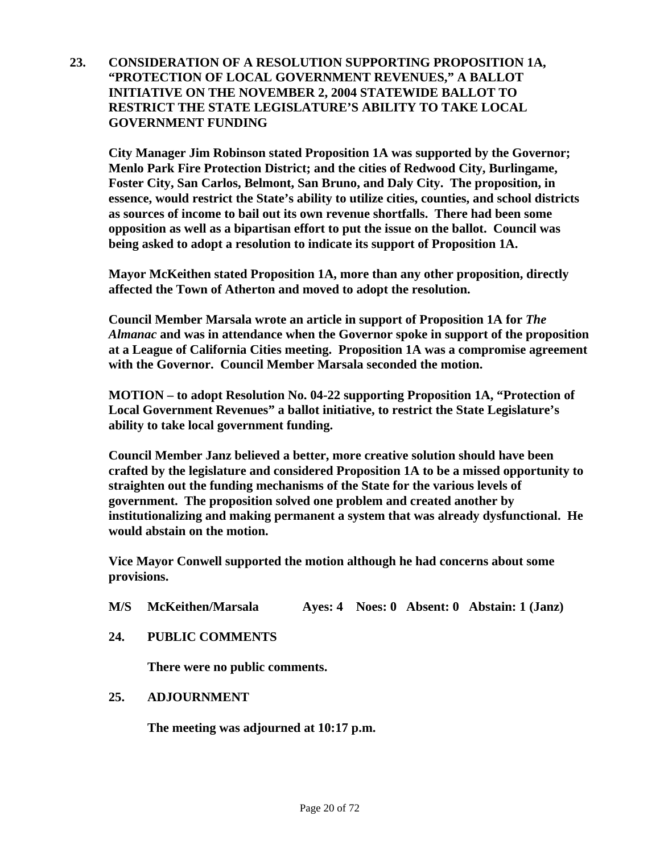**23. CONSIDERATION OF A RESOLUTION SUPPORTING PROPOSITION 1A, "PROTECTION OF LOCAL GOVERNMENT REVENUES," A BALLOT INITIATIVE ON THE NOVEMBER 2, 2004 STATEWIDE BALLOT TO RESTRICT THE STATE LEGISLATURE'S ABILITY TO TAKE LOCAL GOVERNMENT FUNDING** 

 **City Manager Jim Robinson stated Proposition 1A was supported by the Governor; Menlo Park Fire Protection District; and the cities of Redwood City, Burlingame, Foster City, San Carlos, Belmont, San Bruno, and Daly City. The proposition, in essence, would restrict the State's ability to utilize cities, counties, and school districts as sources of income to bail out its own revenue shortfalls. There had been some opposition as well as a bipartisan effort to put the issue on the ballot. Council was being asked to adopt a resolution to indicate its support of Proposition 1A.** 

**Mayor McKeithen stated Proposition 1A, more than any other proposition, directly affected the Town of Atherton and moved to adopt the resolution.** 

**Council Member Marsala wrote an article in support of Proposition 1A for** *The Almanac* **and was in attendance when the Governor spoke in support of the proposition at a League of California Cities meeting. Proposition 1A was a compromise agreement with the Governor. Council Member Marsala seconded the motion.** 

**MOTION – to adopt Resolution No. 04-22 supporting Proposition 1A, "Protection of Local Government Revenues" a ballot initiative, to restrict the State Legislature's ability to take local government funding.** 

**Council Member Janz believed a better, more creative solution should have been crafted by the legislature and considered Proposition 1A to be a missed opportunity to straighten out the funding mechanisms of the State for the various levels of government. The proposition solved one problem and created another by institutionalizing and making permanent a system that was already dysfunctional. He would abstain on the motion.** 

**Vice Mayor Conwell supported the motion although he had concerns about some provisions.** 

- **M/S McKeithen/Marsala Ayes: 4 Noes: 0 Absent: 0 Abstain: 1 (Janz)**
- **24. PUBLIC COMMENTS**

**There were no public comments.** 

 **25. ADJOURNMENT** 

 **The meeting was adjourned at 10:17 p.m.**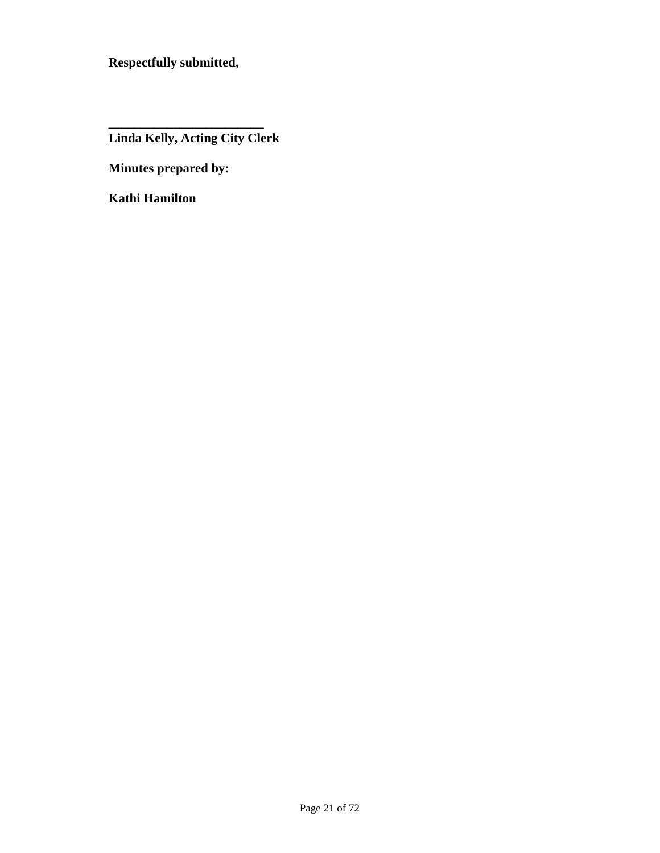**Respectfully submitted,** 

 **Linda Kelly, Acting City Clerk** 

 **Minutes prepared by:** 

 **\_\_\_\_\_\_\_\_\_\_\_\_\_\_\_\_\_\_\_\_\_\_\_\_** 

 **Kathi Hamilton**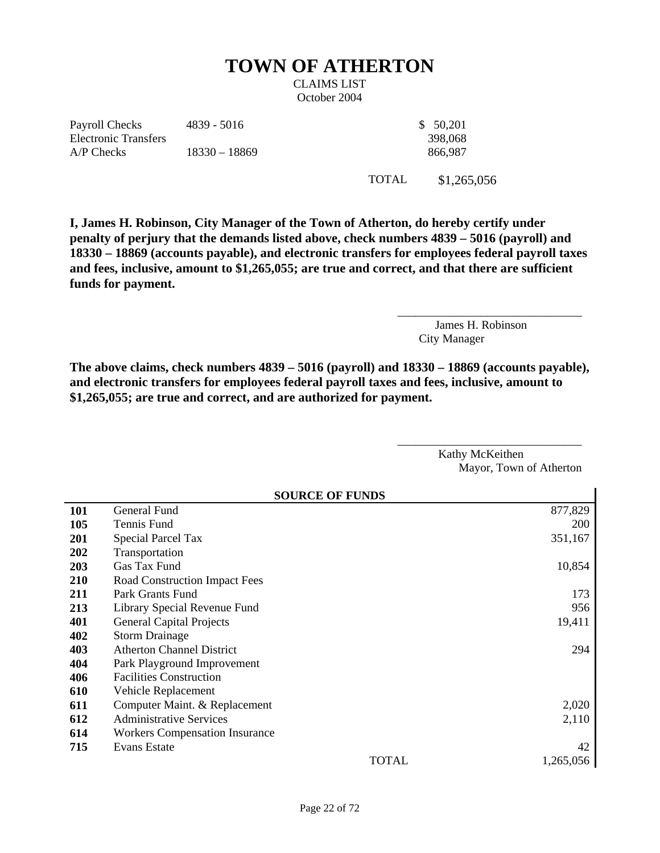# **TOWN OF ATHERTON**

CLAIMS LIST October 2004

Payroll Checks Electronic Transfers 4839 - 5016 \$ 50,201 A/P Checks 18330 – 18869 866,987

398,068

TOTAL \$1,265,056

**I, James H. Robinson, City Manager of the Town of Atherton, do hereby certify under penalty of perjury that the demands listed above, check numbers 4839 – 5016 (payroll) and 18330 – 18869 (accounts payable), and electronic transfers for employees federal payroll taxes and fees, inclusive, amount to \$1,265,055; are true and correct, and that there are sufficient funds for payment.** 

> James H. Robinson City Manager

\_\_\_\_\_\_\_\_\_\_\_\_\_\_\_\_\_\_\_\_\_\_\_\_\_\_\_\_\_\_\_

**The above claims, check numbers 4839 – 5016 (payroll) and 18330 – 18869 (accounts payable), and electronic transfers for employees federal payroll taxes and fees, inclusive, amount to \$1,265,055; are true and correct, and are authorized for payment.** 

> Kathy McKeithen Mayor, Town of Atherton

> > $\blacksquare$

\_\_\_\_\_\_\_\_\_\_\_\_\_\_\_\_\_\_\_\_\_\_\_\_\_\_\_\_\_\_\_

|            | <b>SOURCE OF FUNDS</b>                |            |  |  |  |  |
|------------|---------------------------------------|------------|--|--|--|--|
| <b>101</b> | General Fund                          | 877,829    |  |  |  |  |
| 105        | Tennis Fund                           | <b>200</b> |  |  |  |  |
| <b>201</b> | <b>Special Parcel Tax</b>             | 351,167    |  |  |  |  |
| 202        | Transportation                        |            |  |  |  |  |
| <b>203</b> | Gas Tax Fund                          | 10,854     |  |  |  |  |
| <b>210</b> | Road Construction Impact Fees         |            |  |  |  |  |
| 211        | Park Grants Fund                      | 173        |  |  |  |  |
| 213        | Library Special Revenue Fund          | 956        |  |  |  |  |
| 401        | <b>General Capital Projects</b>       | 19,411     |  |  |  |  |
| 402        | <b>Storm Drainage</b>                 |            |  |  |  |  |
| 403        | <b>Atherton Channel District</b>      | 294        |  |  |  |  |
| 404        | Park Playground Improvement           |            |  |  |  |  |
| 406        | <b>Facilities Construction</b>        |            |  |  |  |  |
| 610        | Vehicle Replacement                   |            |  |  |  |  |
| 611        | Computer Maint. & Replacement         | 2,020      |  |  |  |  |
| 612        | <b>Administrative Services</b>        | 2,110      |  |  |  |  |
| 614        | <b>Workers Compensation Insurance</b> |            |  |  |  |  |
| 715        | <b>Evans Estate</b>                   | 42         |  |  |  |  |
|            | <b>TOTAL</b>                          | 1,265,056  |  |  |  |  |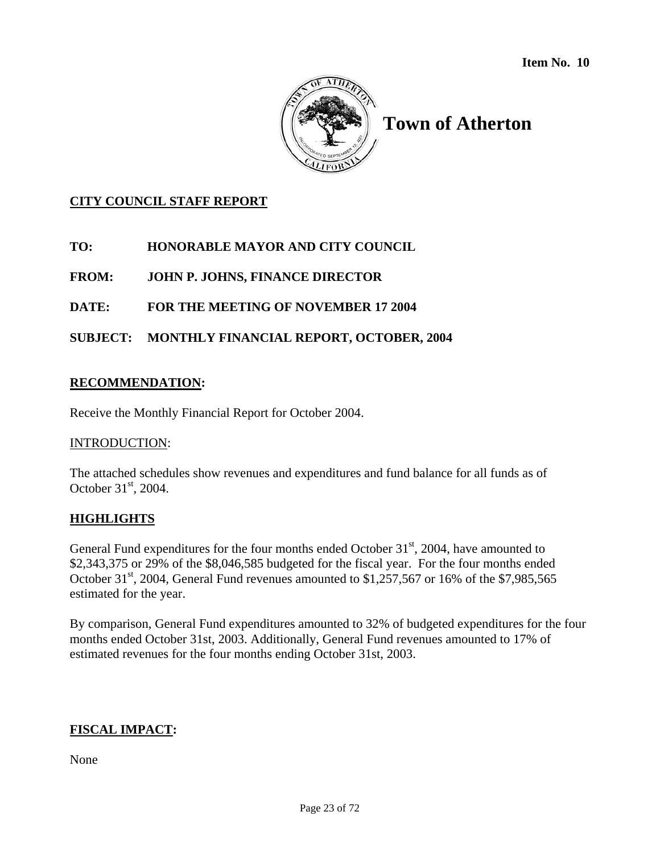

# **Town of Atherton**

### **CITY COUNCIL STAFF REPORT**

**TO: HONORABLE MAYOR AND CITY COUNCIL** 

**FROM: JOHN P. JOHNS, FINANCE DIRECTOR** 

### **DATE: FOR THE MEETING OF NOVEMBER 17 2004**

### **SUBJECT: MONTHLY FINANCIAL REPORT, OCTOBER, 2004**

### **RECOMMENDATION:**

Receive the Monthly Financial Report for October 2004.

### INTRODUCTION:

The attached schedules show revenues and expenditures and fund balance for all funds as of October 31<sup>st</sup>, 2004.

### **HIGHLIGHTS**

General Fund expenditures for the four months ended October  $31<sup>st</sup>$ , 2004, have amounted to \$2,343,375 or 29% of the \$8,046,585 budgeted for the fiscal year. For the four months ended October  $31<sup>st</sup>$ , 2004, General Fund revenues amounted to \$1,257,567 or 16% of the \$7,985,565 estimated for the year.

By comparison, General Fund expenditures amounted to 32% of budgeted expenditures for the four months ended October 31st, 2003. Additionally, General Fund revenues amounted to 17% of estimated revenues for the four months ending October 31st, 2003.

### **FISCAL IMPACT:**

None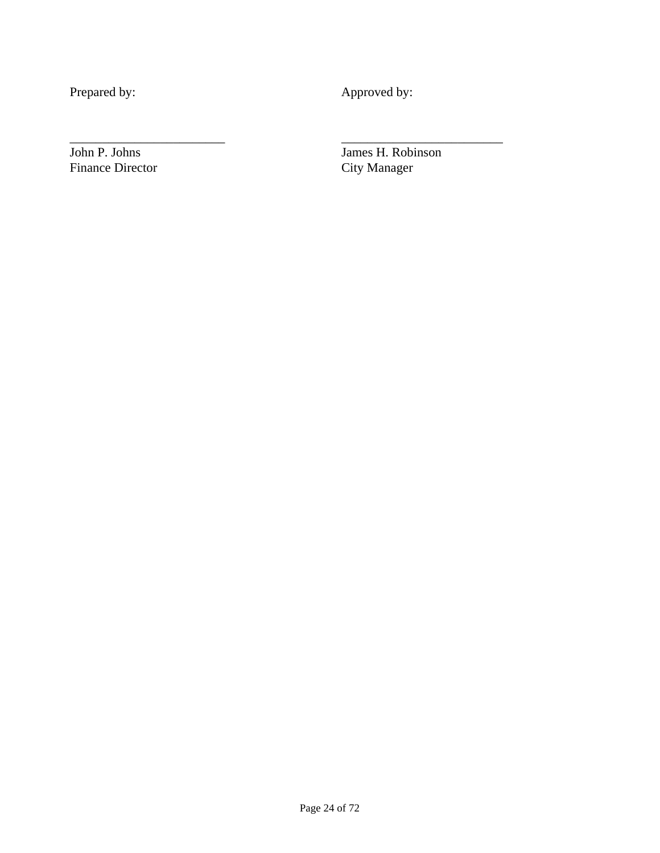Prepared by: Approved by:

\_\_\_\_\_\_\_\_\_\_\_\_\_\_\_\_\_\_\_\_\_\_\_\_ \_\_\_\_\_\_\_\_\_\_\_\_\_\_\_\_\_\_\_\_\_\_\_\_\_

Finance Director

John P. Johns James H. Robinson<br>Finance Director City Manager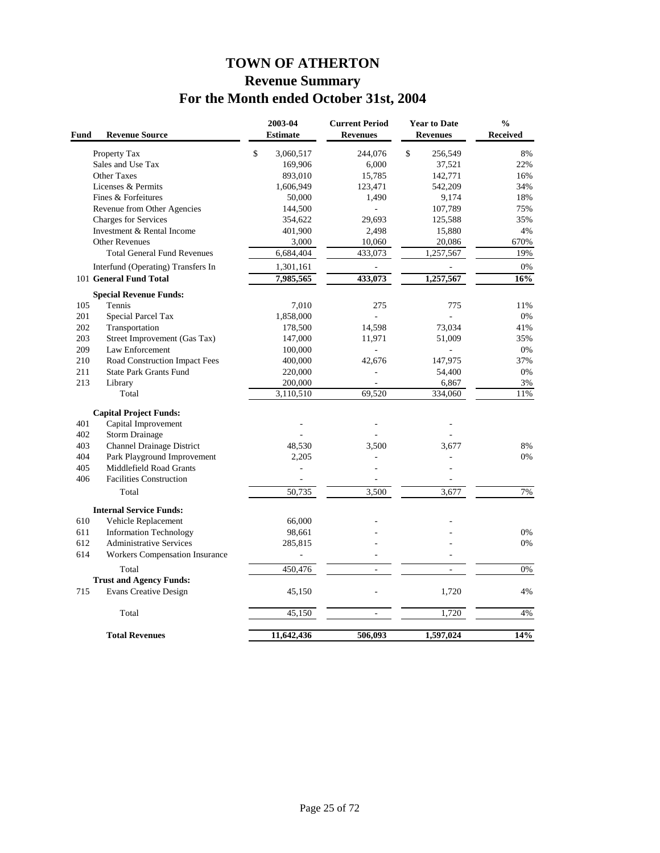# **TOWN OF ATHERTON Revenue Summary For the Month ended October 31st, 2004**

| Fund | <b>Revenue Source</b>              | 2003-04<br><b>Estimate</b> | <b>Current Period</b><br><b>Revenues</b> |               | <b>Year to Date</b><br><b>Revenues</b> | $\frac{0}{0}$<br><b>Received</b> |
|------|------------------------------------|----------------------------|------------------------------------------|---------------|----------------------------------------|----------------------------------|
|      | Property Tax                       | \$<br>3,060,517            | 244,076                                  | $\mathsf{\$}$ | 256,549                                | 8%                               |
|      | Sales and Use Tax                  | 169,906                    | 6,000                                    |               | 37,521                                 | 22%                              |
|      | <b>Other Taxes</b>                 | 893,010                    | 15,785                                   |               | 142,771                                | 16%                              |
|      | Licenses & Permits                 | 1,606,949                  | 123,471                                  |               | 542,209                                | 34%                              |
|      | Fines & Forfeitures                | 50,000                     | 1,490                                    |               | 9,174                                  | 18%                              |
|      | Revenue from Other Agencies        | 144,500                    | $\overline{\phantom{a}}$                 |               | 107,789                                | 75%                              |
|      | <b>Charges for Services</b>        | 354,622                    | 29,693                                   |               | 125,588                                | 35%                              |
|      | Investment & Rental Income         | 401,900                    | 2,498                                    |               | 15,880                                 | 4%                               |
|      | <b>Other Revenues</b>              | 3,000                      | 10,060                                   |               | 20,086                                 | 670%                             |
|      | <b>Total General Fund Revenues</b> | 6,684,404                  | 433,073                                  |               | 1,257,567                              | 19%                              |
|      | Interfund (Operating) Transfers In | 1,301,161                  |                                          |               |                                        | 0%                               |
|      | 101 General Fund Total             | 7,985,565                  | 433,073                                  |               | 1,257,567                              | 16%                              |
|      | <b>Special Revenue Funds:</b>      |                            |                                          |               |                                        |                                  |
| 105  | Tennis                             | 7,010                      | 275                                      |               | 775                                    | 11%                              |
| 201  | Special Parcel Tax                 | 1,858,000                  | $\bar{a}$                                |               | $\overline{a}$                         | 0%                               |
| 202  | Transportation                     | 178,500                    | 14,598                                   |               | 73,034                                 | 41%                              |
| 203  | Street Improvement (Gas Tax)       | 147,000                    | 11,971                                   |               | 51,009                                 | 35%                              |
| 209  | Law Enforcement                    | 100,000                    |                                          |               |                                        | 0%                               |
| 210  | Road Construction Impact Fees      | 400,000                    | 42,676                                   |               | 147,975                                | 37%                              |
| 211  | <b>State Park Grants Fund</b>      | 220,000                    | L.                                       |               | 54,400                                 | 0%                               |
| 213  | Library                            | 200,000                    |                                          |               | 6,867                                  | 3%                               |
|      | Total                              | 3,110,510                  | 69,520                                   |               | 334,060                                | 11%                              |
|      | <b>Capital Project Funds:</b>      |                            |                                          |               |                                        |                                  |
| 401  | Capital Improvement                |                            |                                          |               |                                        |                                  |
| 402  | <b>Storm Drainage</b>              |                            |                                          |               |                                        |                                  |
| 403  | <b>Channel Drainage District</b>   | 48,530                     | 3,500                                    |               | 3,677                                  | 8%                               |
| 404  | Park Playground Improvement        | 2,205                      |                                          |               |                                        | 0%                               |
| 405  | Middlefield Road Grants            | L.                         |                                          |               |                                        |                                  |
| 406  | <b>Facilities Construction</b>     |                            |                                          |               |                                        |                                  |
|      | Total                              | 50,735                     | 3,500                                    |               | 3,677                                  | 7%                               |
|      | <b>Internal Service Funds:</b>     |                            |                                          |               |                                        |                                  |
| 610  | Vehicle Replacement                | 66,000                     |                                          |               |                                        |                                  |
| 611  | <b>Information Technology</b>      | 98,661                     |                                          |               |                                        | 0%                               |
| 612  | <b>Administrative Services</b>     | 285,815                    |                                          |               |                                        | 0%                               |
| 614  | Workers Compensation Insurance     | ÷,                         |                                          |               |                                        |                                  |
|      | Total                              | 450,476                    | ÷                                        |               | $\sim$                                 | 0%                               |
|      | <b>Trust and Agency Funds:</b>     |                            |                                          |               |                                        |                                  |
| 715  | <b>Evans Creative Design</b>       | 45,150                     |                                          |               | 1,720                                  | 4%                               |
|      | Total                              | 45,150                     | $\overline{a}$                           |               | 1,720                                  | 4%                               |
|      | <b>Total Revenues</b>              | 11,642,436                 | 506,093                                  |               | 1,597,024                              | 14%                              |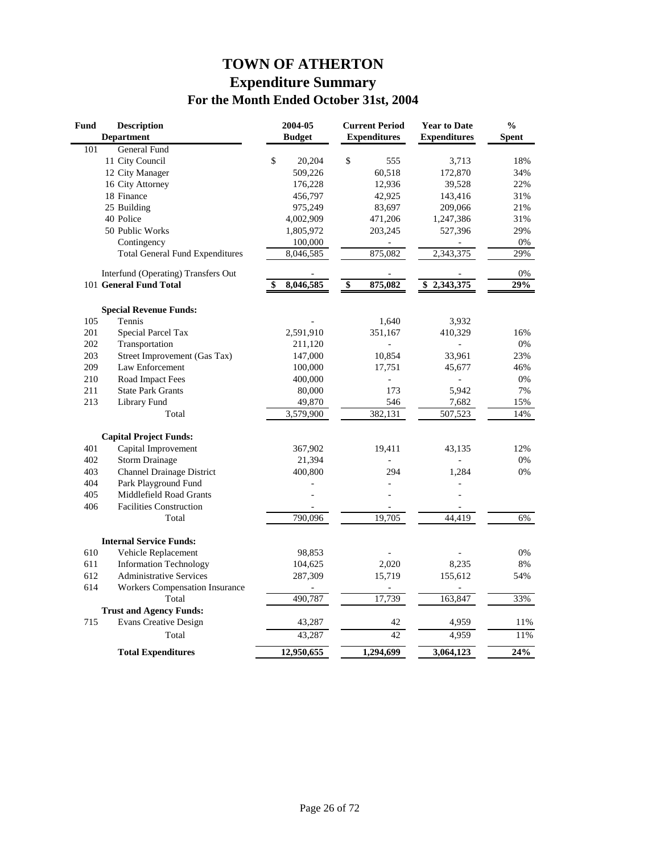# **TOWN OF ATHERTON Expenditure Summary For the Month Ended October 31st, 2004**

| <b>Fund</b> | <b>Description</b>                     | 2004-05         |                                  | <b>Current Period</b> | <b>Year to Date</b> | $\frac{0}{0}$    |
|-------------|----------------------------------------|-----------------|----------------------------------|-----------------------|---------------------|------------------|
|             | <b>Department</b>                      | <b>Budget</b>   |                                  | <b>Expenditures</b>   | <b>Expenditures</b> | <b>Spent</b>     |
| 101         | General Fund                           |                 |                                  |                       |                     |                  |
|             | 11 City Council                        | \$<br>20,204    | \$                               | 555                   | 3,713               | 18%              |
|             | 12 City Manager                        | 509,226         |                                  | 60,518                | 172,870             | 34%              |
|             | 16 City Attorney                       | 176,228         |                                  | 12,936                | 39,528              | 22%              |
|             | 18 Finance                             | 456,797         |                                  | 42,925                | 143,416             | 31%              |
|             | 25 Building                            | 975,249         |                                  | 83,697                | 209,066             | 21%              |
|             | 40 Police                              | 4,002,909       |                                  | 471,206               | 1,247,386           | 31%              |
|             | 50 Public Works                        | 1,805,972       |                                  | 203,245               | 527,396             | 29%              |
|             | Contingency                            | 100,000         |                                  |                       |                     | 0%               |
|             | <b>Total General Fund Expenditures</b> | 8,046,585       |                                  | 875,082               | 2,343,375           | 29%              |
|             | Interfund (Operating) Transfers Out    |                 |                                  |                       |                     | 0%               |
|             | 101 General Fund Total                 | \$<br>8,046,585 | $\overline{\boldsymbol{\theta}}$ | 875,082               | \$2,343,375         | 29%              |
|             | <b>Special Revenue Funds:</b>          |                 |                                  |                       |                     |                  |
| 105         | Tennis                                 |                 |                                  | 1,640                 | 3,932               |                  |
| 201         | Special Parcel Tax                     | 2,591,910       |                                  | 351,167               | 410,329             | 16%              |
| 202         | Transportation                         | 211,120         |                                  |                       |                     | 0%               |
| 203         | Street Improvement (Gas Tax)           | 147,000         |                                  | 10,854                | 33,961              | 23%              |
| 209         | Law Enforcement                        | 100,000         |                                  | 17,751                | 45,677              | 46%              |
| 210         | Road Impact Fees                       | 400,000         |                                  |                       |                     | 0%               |
| 211         | <b>State Park Grants</b>               | 80,000          |                                  | 173                   | 5,942               | 7%               |
| 213         | Library Fund                           | 49,870          |                                  | 546                   | 7,682               | 15%              |
|             | Total                                  | 3,579,900       |                                  | 382,131               | 507,523             | 14%              |
|             | <b>Capital Project Funds:</b>          |                 |                                  |                       |                     |                  |
| 401         | Capital Improvement                    | 367,902         |                                  | 19,411                | 43,135              | 12%              |
| 402         | <b>Storm Drainage</b>                  | 21,394          |                                  |                       |                     | 0%               |
| 403         | <b>Channel Drainage District</b>       | 400,800         |                                  | 294                   | 1,284               | 0%               |
| 404         | Park Playground Fund                   |                 |                                  |                       |                     |                  |
| 405         | Middlefield Road Grants                |                 |                                  |                       |                     |                  |
| 406         | <b>Facilities Construction</b>         |                 |                                  |                       |                     |                  |
|             | Total                                  | 790,096         |                                  | 19,705                | 44,419              | 6%               |
|             | <b>Internal Service Funds:</b>         |                 |                                  |                       |                     |                  |
| 610         | Vehicle Replacement                    | 98,853          |                                  |                       |                     | 0%               |
| 611         | <b>Information Technology</b>          | 104,625         |                                  | 2,020                 | 8,235               | 8%               |
| 612         | <b>Administrative Services</b>         | 287,309         |                                  | 15,719                | 155,612             | 54%              |
| 614         | <b>Workers Compensation Insurance</b>  |                 |                                  |                       |                     |                  |
|             | Total                                  | 490,787         |                                  | 17,739                | 163,847             | 33%              |
|             | <b>Trust and Agency Funds:</b>         |                 |                                  |                       |                     |                  |
| 715         | <b>Evans Creative Design</b>           | 43,287          |                                  | 42                    | 4,959               | 11%              |
|             | Total                                  | 43,287          |                                  | 42                    | 4,959               | 11%              |
|             | <b>Total Expenditures</b>              | 12,950,655      |                                  | 1,294,699             | 3,064,123           | $\frac{1}{24\%}$ |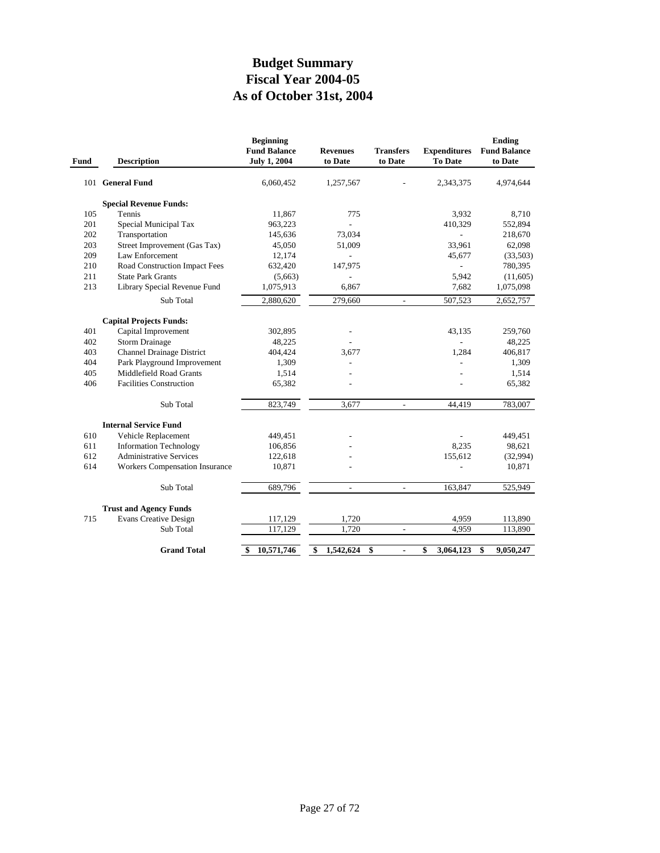# **As of October 31st, 2004 Fiscal Year 2004-05 Budget Summary**

| Fund | <b>Description</b>                    | <b>Beginning</b><br><b>Fund Balance</b><br><b>July 1, 2004</b> | <b>Revenues</b><br>to Date | <b>Transfers</b><br>to Date | <b>Expenditures</b><br><b>To Date</b> | Ending<br><b>Fund Balance</b><br>to Date |
|------|---------------------------------------|----------------------------------------------------------------|----------------------------|-----------------------------|---------------------------------------|------------------------------------------|
|      | 101 General Fund                      | 6.060.452                                                      | 1,257,567                  |                             | 2,343,375                             | 4,974,644                                |
|      | <b>Special Revenue Funds:</b>         |                                                                |                            |                             |                                       |                                          |
| 105  | Tennis                                | 11,867                                                         | 775                        |                             | 3,932                                 | 8.710                                    |
| 201  | Special Municipal Tax                 | 963,223                                                        |                            |                             | 410,329                               | 552,894                                  |
| 202  | Transportation                        | 145,636                                                        | 73,034                     |                             |                                       | 218,670                                  |
| 203  | Street Improvement (Gas Tax)          | 45,050                                                         | 51,009                     |                             | 33,961                                | 62,098                                   |
| 209  | Law Enforcement                       | 12,174                                                         |                            |                             | 45,677                                | (33,503)                                 |
| 210  | Road Construction Impact Fees         | 632,420                                                        | 147,975                    |                             |                                       | 780,395                                  |
| 211  | <b>State Park Grants</b>              | (5,663)                                                        |                            |                             | 5,942                                 | (11,605)                                 |
| 213  | Library Special Revenue Fund          | 1,075,913                                                      | 6,867                      |                             | 7,682                                 | 1,075,098                                |
|      | Sub Total                             | 2,880,620                                                      | 279,660                    | $\overline{\phantom{a}}$    | 507,523                               | 2,652,757                                |
|      | <b>Capital Projects Funds:</b>        |                                                                |                            |                             |                                       |                                          |
| 401  | Capital Improvement                   | 302,895                                                        |                            |                             | 43,135                                | 259,760                                  |
| 402  | <b>Storm Drainage</b>                 | 48,225                                                         |                            |                             |                                       | 48,225                                   |
| 403  | <b>Channel Drainage District</b>      | 404,424                                                        | 3,677                      |                             | 1.284                                 | 406,817                                  |
| 404  | Park Playground Improvement           | 1,309                                                          |                            |                             |                                       | 1,309                                    |
| 405  | Middlefield Road Grants               | 1,514                                                          |                            |                             |                                       | 1,514                                    |
| 406  | <b>Facilities Construction</b>        | 65,382                                                         |                            |                             |                                       | 65,382                                   |
|      | Sub Total                             | 823,749                                                        | 3,677                      | $\overline{a}$              | 44,419                                | 783,007                                  |
|      | <b>Internal Service Fund</b>          |                                                                |                            |                             |                                       |                                          |
| 610  | Vehicle Replacement                   | 449,451                                                        |                            |                             |                                       | 449,451                                  |
| 611  | <b>Information Technology</b>         | 106,856                                                        |                            |                             | 8,235                                 | 98,621                                   |
| 612  | <b>Administrative Services</b>        | 122,618                                                        |                            |                             | 155,612                               | (32,994)                                 |
| 614  | <b>Workers Compensation Insurance</b> | 10,871                                                         |                            |                             |                                       | 10,871                                   |
|      | Sub Total                             | 689,796                                                        | $\overline{a}$             | $\sim$                      | 163,847                               | 525,949                                  |
|      | <b>Trust and Agency Funds</b>         |                                                                |                            |                             |                                       |                                          |
| 715  | <b>Evans Creative Design</b>          | 117,129                                                        | 1,720                      |                             | 4,959                                 | 113,890                                  |
|      | Sub Total                             | 117,129                                                        | 1,720                      | $\overline{\phantom{a}}$    | 4,959                                 | 113,890                                  |
|      | <b>Grand Total</b>                    | 10,571,746<br>\$                                               | 1,542,624<br>\$            | \$<br>$\blacksquare$        | 3,064,123<br>\$                       | \$<br>9,050,247                          |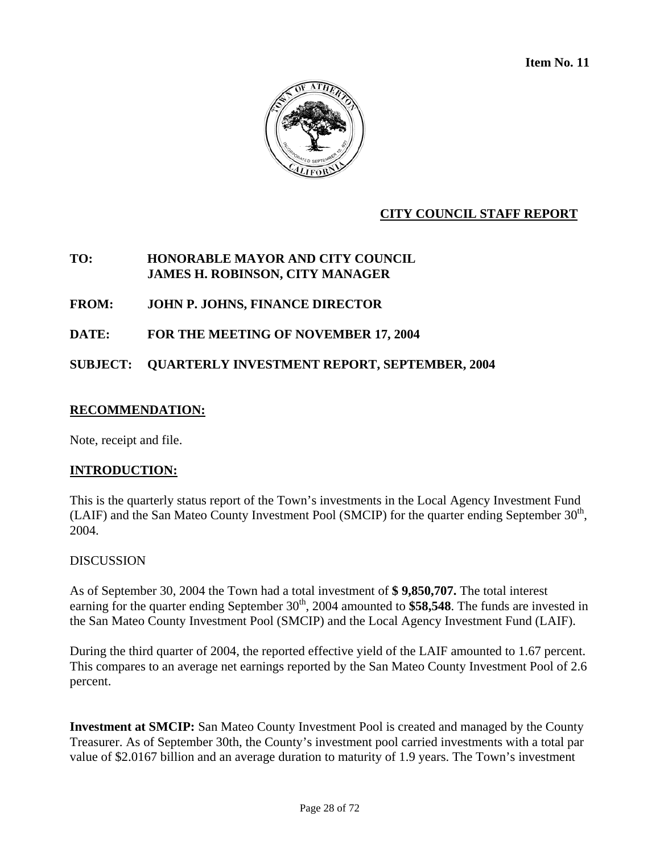**Item No. 11** 



### **CITY COUNCIL STAFF REPORT**

### **TO: HONORABLE MAYOR AND CITY COUNCIL JAMES H. ROBINSON, CITY MANAGER**

**FROM: JOHN P. JOHNS, FINANCE DIRECTOR** 

**DATE: FOR THE MEETING OF NOVEMBER 17, 2004** 

**SUBJECT: QUARTERLY INVESTMENT REPORT, SEPTEMBER, 2004** 

### **RECOMMENDATION:**

Note, receipt and file.

### **INTRODUCTION:**

This is the quarterly status report of the Town's investments in the Local Agency Investment Fund (LAIF) and the San Mateo County Investment Pool (SMCIP) for the quarter ending September  $30<sup>th</sup>$ , 2004.

### **DISCUSSION**

As of September 30, 2004 the Town had a total investment of **\$ 9,850,707.** The total interest earning for the quarter ending September  $30<sup>th</sup>$ , 2004 amounted to **\$58,548**. The funds are invested in the San Mateo County Investment Pool (SMCIP) and the Local Agency Investment Fund (LAIF).

During the third quarter of 2004, the reported effective yield of the LAIF amounted to 1.67 percent. This compares to an average net earnings reported by the San Mateo County Investment Pool of 2.6 percent.

**Investment at SMCIP:** San Mateo County Investment Pool is created and managed by the County Treasurer. As of September 30th, the County's investment pool carried investments with a total par value of \$2.0167 billion and an average duration to maturity of 1.9 years. The Town's investment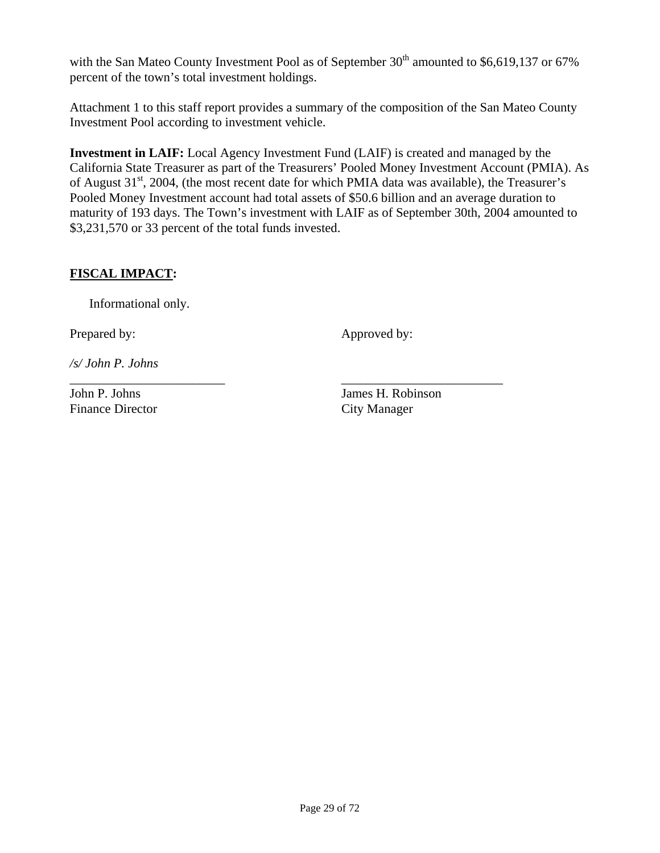with the San Mateo County Investment Pool as of September  $30<sup>th</sup>$  amounted to \$6,619,137 or 67% percent of the town's total investment holdings.

Attachment 1 to this staff report provides a summary of the composition of the San Mateo County Investment Pool according to investment vehicle.

**Investment in LAIF:** Local Agency Investment Fund (LAIF) is created and managed by the California State Treasurer as part of the Treasurers' Pooled Money Investment Account (PMIA). As of August  $31<sup>st</sup>$ , 2004, (the most recent date for which PMIA data was available), the Treasurer's Pooled Money Investment account had total assets of \$50.6 billion and an average duration to maturity of 193 days. The Town's investment with LAIF as of September 30th, 2004 amounted to \$3,231,570 or 33 percent of the total funds invested.

\_\_\_\_\_\_\_\_\_\_\_\_\_\_\_\_\_\_\_\_\_\_\_\_ \_\_\_\_\_\_\_\_\_\_\_\_\_\_\_\_\_\_\_\_\_\_\_\_\_

### **FISCAL IMPACT:**

Informational only.

Prepared by: Approved by:

*/s/ John P. Johns* 

Finance Director City Manager

John P. Johns James H. Robinson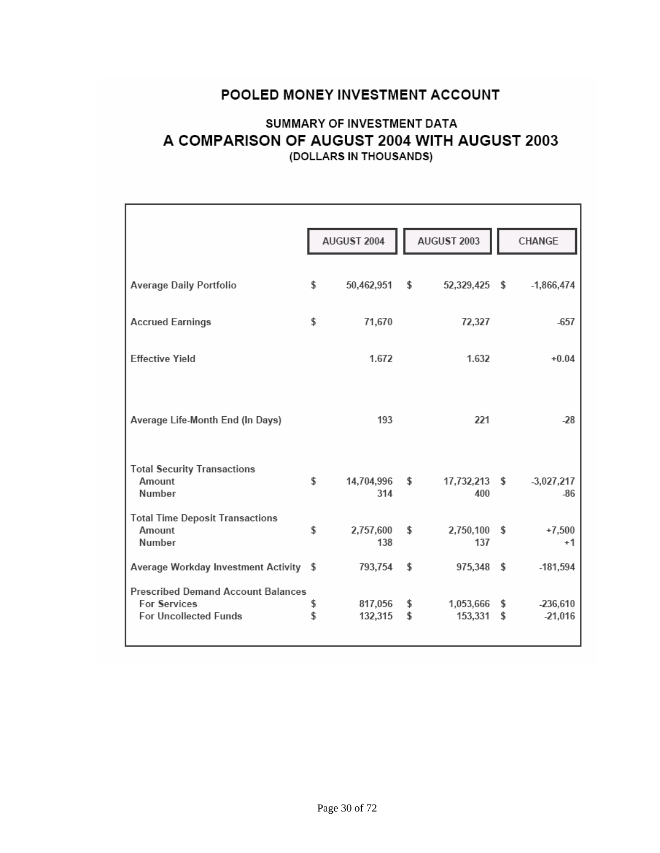# POOLED MONEY INVESTMENT ACCOUNT

### SUMMARY OF INVESTMENT DATA A COMPARISON OF AUGUST 2004 WITH AUGUST 2003 (DOLLARS IN THOUSANDS)

|                                                                                                  |          | AUGUST 2004        |          | AUGUST 2003          |          | CHANGE                  |
|--------------------------------------------------------------------------------------------------|----------|--------------------|----------|----------------------|----------|-------------------------|
| Average Daily Portfolio                                                                          | \$       | 50,462,951         | \$       | 52,329,425 \$        |          | $-1,866,474$            |
| <b>Accrued Earnings</b>                                                                          | \$       | 71,670             |          | 72,327               |          | $-657$                  |
| <b>Effective Yield</b>                                                                           |          | 1.672              |          | 1.632                |          | $+0.04$                 |
| Average Life-Month End (In Days)                                                                 |          | 193                |          | 221                  |          | $-28$                   |
| <b>Total Security Transactions</b><br>Amount<br>Number                                           | \$       | 14,704,996<br>314  | \$       | 17,732,213 \$<br>400 |          | $-3,027,217$<br>$-86$   |
| <b>Total Time Deposit Transactions</b><br>Amount<br>Number                                       | \$       | 2,757,600<br>138   | \$       | 2,750,100 \$<br>137  |          | $+7,500$<br>$+1$        |
| Average Workday Investment Activity \$                                                           |          | 793,754            | \$       | 975,348 \$           |          | $-181,594$              |
| <b>Prescribed Demand Account Balances</b><br><b>For Services</b><br><b>For Uncollected Funds</b> | \$<br>\$ | 817,056<br>132,315 | \$<br>\$ | 1,053,666<br>153,331 | \$<br>\$ | $-236,610$<br>$-21,016$ |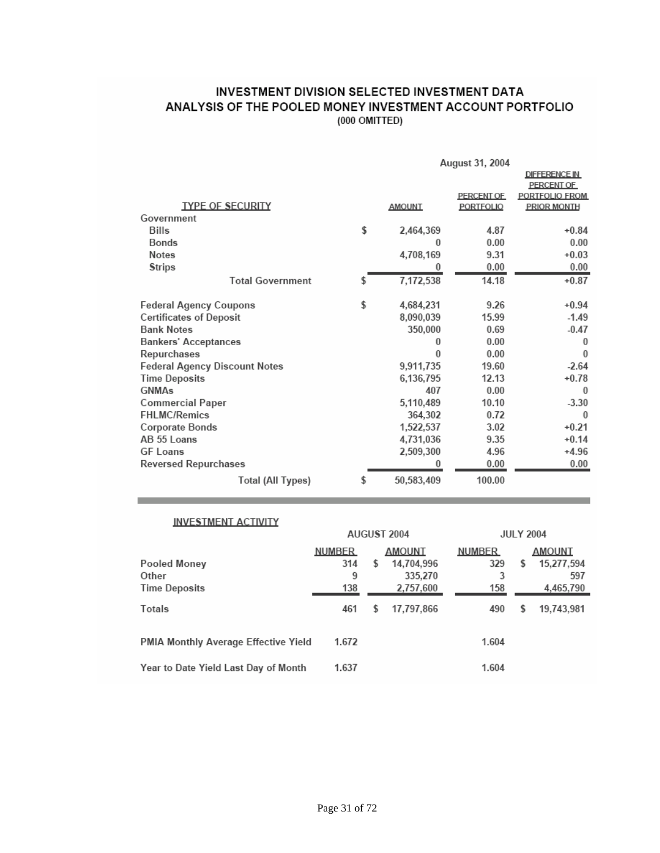### INVESTMENT DIVISION SELECTED INVESTMENT DATA ANALYSIS OF THE POOLED MONEY INVESTMENT ACCOUNT PORTFOLIO (000 OMITTED)

|                                      | August 31, 2004  |            |                      |  |  |
|--------------------------------------|------------------|------------|----------------------|--|--|
|                                      |                  |            | <b>DIFFERENCE IN</b> |  |  |
|                                      |                  |            | PERCENT OF           |  |  |
|                                      |                  | PERCENT OF | PORTFOLIO FROM       |  |  |
| <b>TYPE OF SECURITY</b>              | <b>AMOUNT</b>    | PORTFOLIO  | <b>PRIOR MONTH</b>   |  |  |
| Government                           |                  |            |                      |  |  |
| Bills                                | \$<br>2,464,369  | 4.87       | $+0.84$              |  |  |
| Bonds                                | $\Omega$         | 0.00       | 0.00                 |  |  |
| <b>Notes</b>                         | 4,708,169        | 9.31       | $+0.03$              |  |  |
| <b>Strips</b>                        | 0                | 0.00       | 0.00                 |  |  |
| <b>Total Government</b>              | \$<br>7,172,538  | 14.18      | $+0.87$              |  |  |
| Federal Agency Coupons               | \$<br>4,684,231  | 9.26       | $+0.94$              |  |  |
| <b>Certificates of Deposit</b>       | 8,090,039        | 15.99      | $-1.49$              |  |  |
| <b>Bank Notes</b>                    | 350,000          | 0.69       | $-0.47$              |  |  |
| <b>Bankers' Acceptances</b>          | 0                | 0.00       | $\bf{0}$             |  |  |
| Repurchases                          | $\theta$         | 0.00       | $\theta$             |  |  |
| <b>Federal Agency Discount Notes</b> | 9,911,735        | 19.60      | $-2.64$              |  |  |
| <b>Time Deposits</b>                 | 6,136,795        | 12.13      | $+0.78$              |  |  |
| <b>GNMAs</b>                         | 407              | 0.00       | $\Omega$             |  |  |
| Commercial Paper                     | 5,110,489        | 10.10      | $-3.30$              |  |  |
| FHLMC/Remics                         | 364,302          | 0.72       | $\bf{0}$             |  |  |
| Corporate Bonds                      | 1,522,537        | 3.02       | $+0.21$              |  |  |
| AB 55 Loans                          | 4,731,036        | 9.35       | $+0.14$              |  |  |
| <b>GF Loans</b>                      | 2,509,300        | 4.96       | $+4.96$              |  |  |
| <b>Reversed Repurchases</b>          | 0                | 0.00       | 0.00                 |  |  |
| <b>Total (All Types)</b>             | \$<br>50,583,409 | 100.00     |                      |  |  |

#### **INVESTMENT ACTIVITY**

**Contract** 

|                                      | AUGUST 2004   |   | <b>JULY 2004</b> |               |    |            |
|--------------------------------------|---------------|---|------------------|---------------|----|------------|
|                                      | <b>NUMBER</b> |   | <b>AMOUNT</b>    | <b>NUMBER</b> |    | AMOUNT     |
| Pooled Money                         | 314           | S | 14,704,996       | 329           | \$ | 15,277,594 |
| Other                                | 9             |   | 335,270          | 3             |    | 597        |
| <b>Time Deposits</b>                 | 138           |   | 2,757,600        | 158           |    | 4,465,790  |
| Totals                               | 461           | S | 17,797,866       | 490           | S  | 19,743,981 |
| PMIA Monthly Average Effective Yield | 1.672         |   |                  | 1.604         |    |            |
| Year to Date Yield Last Day of Month | 1.637         |   |                  | 1.604         |    |            |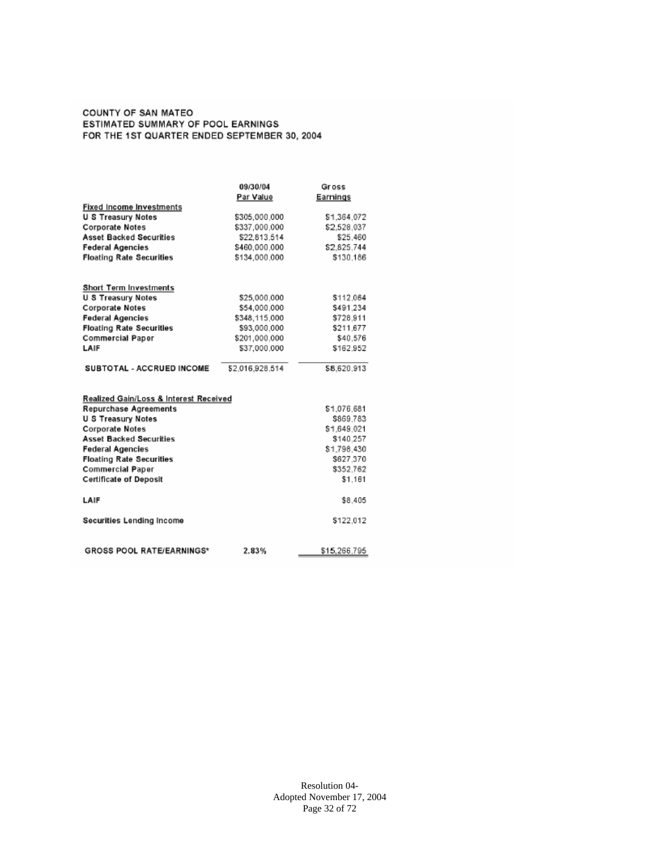#### COUNTY OF SAN MATEO ESTIMATED SUMMARY OF POOL EARNINGS FOR THE 1ST QUARTER ENDED SEPTEMBER 30, 2004

|                                        | 09/30/04        | <b>Gross</b> |
|----------------------------------------|-----------------|--------------|
|                                        | Par Value       | Earnings     |
| <b>Fixed Income Investments</b>        |                 |              |
| <b>U S Treasury Notes</b>              | \$305,000.000   | \$1,364.072  |
| Corporate Notes                        | \$337,000.000   | \$2,528.037  |
| <b>Asset Backed Securities</b>         | \$22.813.514    | \$25.460     |
| <b>Federal Agencies</b>                | \$460,000.000   | \$2,825,744  |
| <b>Floating Rate Securities</b>        | \$134,000.000   | \$130.186    |
| Short Term Investments                 |                 |              |
| <b>U S Treasury Notes</b>              | \$25,000,000    | \$112,064    |
| Corporate Notes                        | \$54,000.000    | \$491.234    |
| <b>Federal Agencies</b>                | \$348,115.000   | \$728.911    |
| <b>Floating Rate Securities</b>        | \$93,000.000    | \$211.677    |
| <b>Commercial Paper</b>                | \$201,000.000   | \$40,576     |
| LAIF                                   | \$37,000.000    | \$162.952    |
| SUBTOTAL - ACCRUED INCOME              | \$2.016.928.514 | \$8,620.913  |
| Realized Gain/Loss & Interest Received |                 |              |
| <b>Repurchase Agreements</b>           |                 | \$1,076.681  |
| U S Treasury Notes                     |                 | \$869.783    |
| <b>Corporate Notes</b>                 |                 | \$1,649.021  |
| <b>Asset Backed Securities</b>         |                 | \$140,257    |
| <b>Federal Agencies</b>                |                 | \$1,798.430  |
| <b>Floating Rate Securities</b>        |                 | \$627,370    |
| <b>Commercial Paper</b>                |                 | \$352,762    |
| <b>Certificate of Deposit</b>          |                 | \$1,161      |
| LAIF                                   |                 | \$8,405      |
| Securities Lending Income              |                 | \$122,012    |
| <b>GROSS POOL RATE/EARNINGS*</b>       | 2.83%           | \$15,266,795 |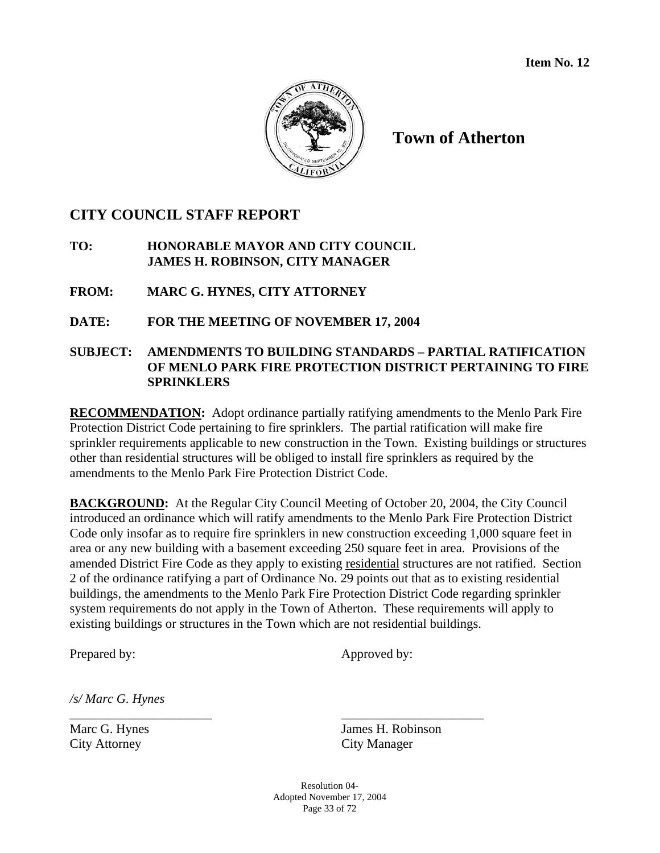

**Town of Atherton** 

### **CITY COUNCIL STAFF REPORT**

### **TO: HONORABLE MAYOR AND CITY COUNCIL JAMES H. ROBINSON, CITY MANAGER**

**FROM: MARC G. HYNES, CITY ATTORNEY** 

**DATE: FOR THE MEETING OF NOVEMBER 17, 2004** 

### **SUBJECT: AMENDMENTS TO BUILDING STANDARDS – PARTIAL RATIFICATION OF MENLO PARK FIRE PROTECTION DISTRICT PERTAINING TO FIRE SPRINKLERS**

**RECOMMENDATION:** Adopt ordinance partially ratifying amendments to the Menlo Park Fire Protection District Code pertaining to fire sprinklers. The partial ratification will make fire sprinkler requirements applicable to new construction in the Town. Existing buildings or structures other than residential structures will be obliged to install fire sprinklers as required by the amendments to the Menlo Park Fire Protection District Code.

**BACKGROUND:** At the Regular City Council Meeting of October 20, 2004, the City Council introduced an ordinance which will ratify amendments to the Menlo Park Fire Protection District Code only insofar as to require fire sprinklers in new construction exceeding 1,000 square feet in area or any new building with a basement exceeding 250 square feet in area. Provisions of the amended District Fire Code as they apply to existing residential structures are not ratified. Section 2 of the ordinance ratifying a part of Ordinance No. 29 points out that as to existing residential buildings, the amendments to the Menlo Park Fire Protection District Code regarding sprinkler system requirements do not apply in the Town of Atherton. These requirements will apply to existing buildings or structures in the Town which are not residential buildings.

Prepared by: Approved by:

*/s/ Marc G. Hynes* 

City Attorney City Manager

Marc G. Hynes James H. Robinson

Resolution 04- Adopted November 17, 2004 Page 33 of 72

\_\_\_\_\_\_\_\_\_\_\_\_\_\_\_\_\_\_\_\_\_\_ \_\_\_\_\_\_\_\_\_\_\_\_\_\_\_\_\_\_\_\_\_\_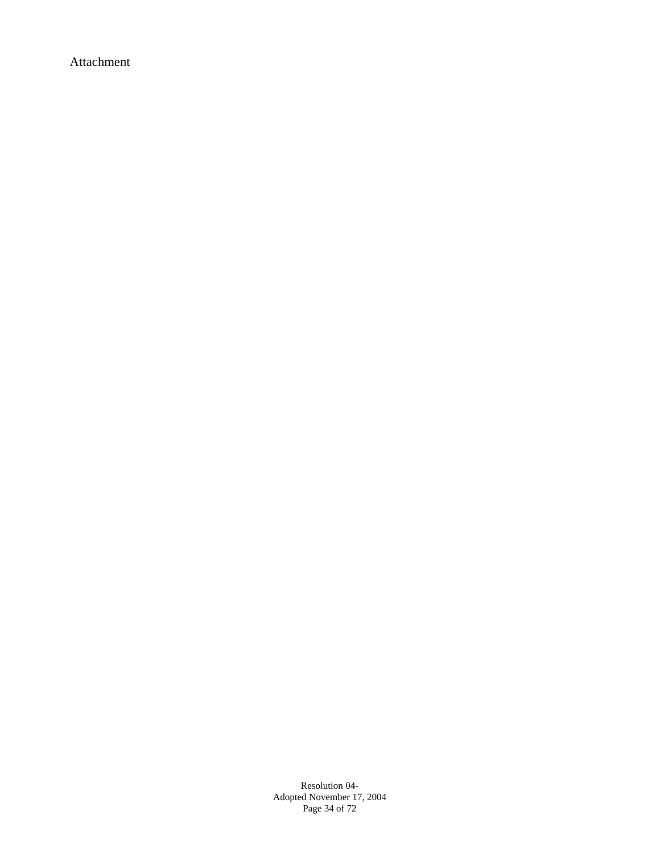Attachment

Resolution 04- Adopted November 17, 2004 Page 34 of 72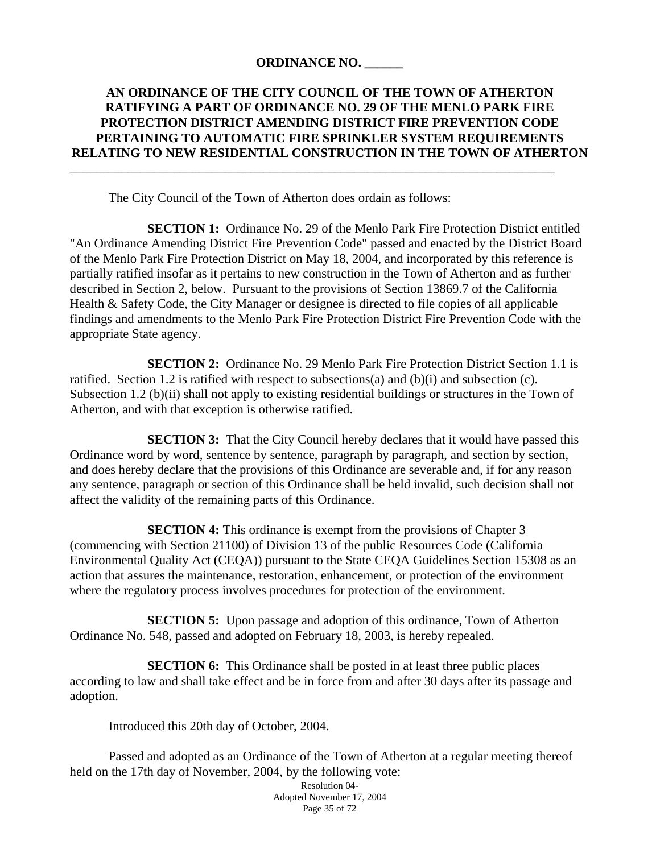### **ORDINANCE NO. \_\_\_\_\_\_**

### **AN ORDINANCE OF THE CITY COUNCIL OF THE TOWN OF ATHERTON RATIFYING A PART OF ORDINANCE NO. 29 OF THE MENLO PARK FIRE PROTECTION DISTRICT AMENDING DISTRICT FIRE PREVENTION CODE PERTAINING TO AUTOMATIC FIRE SPRINKLER SYSTEM REQUIREMENTS RELATING TO NEW RESIDENTIAL CONSTRUCTION IN THE TOWN OF ATHERTON**

\_\_\_\_\_\_\_\_\_\_\_\_\_\_\_\_\_\_\_\_\_\_\_\_\_\_\_\_\_\_\_\_\_\_\_\_\_\_\_\_\_\_\_\_\_\_\_\_\_\_\_\_\_\_\_\_\_\_\_\_\_\_\_\_\_\_\_\_\_\_\_\_\_\_\_

The City Council of the Town of Atherton does ordain as follows:

 **SECTION 1:** Ordinance No. 29 of the Menlo Park Fire Protection District entitled "An Ordinance Amending District Fire Prevention Code" passed and enacted by the District Board of the Menlo Park Fire Protection District on May 18, 2004, and incorporated by this reference is partially ratified insofar as it pertains to new construction in the Town of Atherton and as further described in Section 2, below. Pursuant to the provisions of Section 13869.7 of the California Health & Safety Code, the City Manager or designee is directed to file copies of all applicable findings and amendments to the Menlo Park Fire Protection District Fire Prevention Code with the appropriate State agency.

 **SECTION 2:** Ordinance No. 29 Menlo Park Fire Protection District Section 1.1 is ratified. Section 1.2 is ratified with respect to subsections(a) and (b)(i) and subsection (c). Subsection 1.2 (b)(ii) shall not apply to existing residential buildings or structures in the Town of Atherton, and with that exception is otherwise ratified.

**SECTION 3:** That the City Council hereby declares that it would have passed this Ordinance word by word, sentence by sentence, paragraph by paragraph, and section by section, and does hereby declare that the provisions of this Ordinance are severable and, if for any reason any sentence, paragraph or section of this Ordinance shall be held invalid, such decision shall not affect the validity of the remaining parts of this Ordinance.

**SECTION 4:** This ordinance is exempt from the provisions of Chapter 3 (commencing with Section 21100) of Division 13 of the public Resources Code (California Environmental Quality Act (CEQA)) pursuant to the State CEQA Guidelines Section 15308 as an action that assures the maintenance, restoration, enhancement, or protection of the environment where the regulatory process involves procedures for protection of the environment.

**SECTION 5:** Upon passage and adoption of this ordinance, Town of Atherton Ordinance No. 548, passed and adopted on February 18, 2003, is hereby repealed.

**SECTION 6:** This Ordinance shall be posted in at least three public places according to law and shall take effect and be in force from and after 30 days after its passage and adoption.

Introduced this 20th day of October, 2004.

 Passed and adopted as an Ordinance of the Town of Atherton at a regular meeting thereof held on the 17th day of November, 2004, by the following vote:

Resolution 04- Adopted November 17, 2004 Page 35 of 72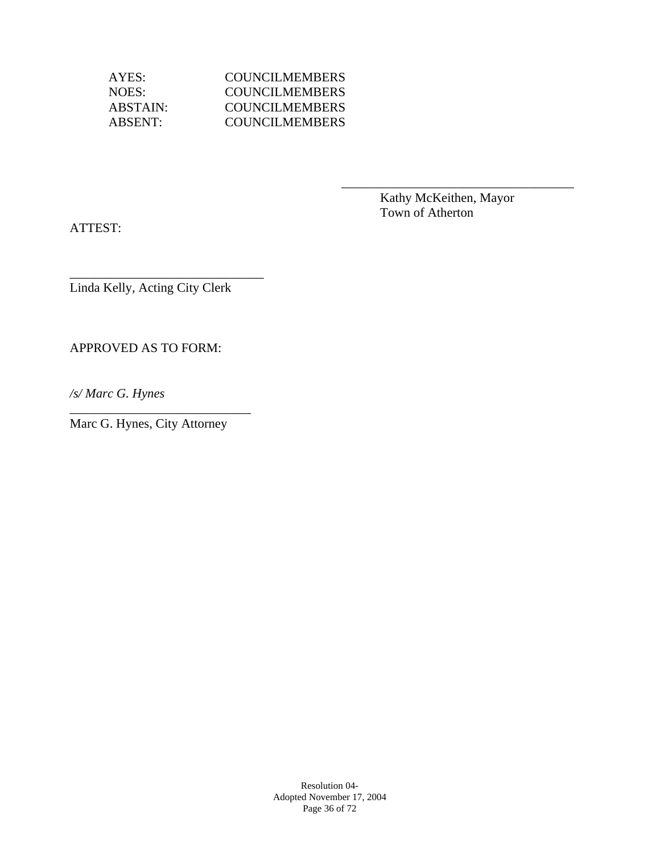AYES: COUNCILMEMBERS NOES: COUNCILMEMBERS ABSTAIN: COUNCILMEMBERS ABSENT: COUNCILMEMBERS

 $\overline{\phantom{a}}$  , which is a set of the set of the set of the set of the set of the set of the set of the set of the set of the set of the set of the set of the set of the set of the set of the set of the set of the set of th

 Kathy McKeithen, Mayor Town of Atherton

ATTEST:

Linda Kelly, Acting City Clerk

\_\_\_\_\_\_\_\_\_\_\_\_\_\_\_\_\_\_\_\_\_\_\_\_\_\_\_\_\_\_

APPROVED AS TO FORM:

*/s/ Marc G. Hynes* 

Marc G. Hynes, City Attorney

\_\_\_\_\_\_\_\_\_\_\_\_\_\_\_\_\_\_\_\_\_\_\_\_\_\_\_\_

Resolution 04- Adopted November 17, 2004 Page 36 of 72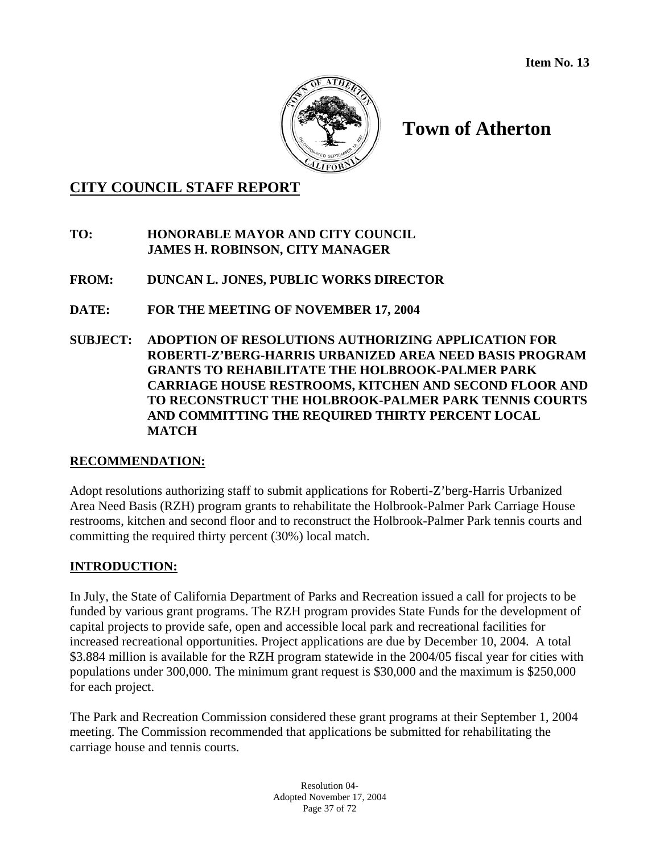

# **Town of Atherton**

### **CITY COUNCIL STAFF REPORT**

### **TO: HONORABLE MAYOR AND CITY COUNCIL JAMES H. ROBINSON, CITY MANAGER**

- **FROM: DUNCAN L. JONES, PUBLIC WORKS DIRECTOR**
- **DATE: FOR THE MEETING OF NOVEMBER 17, 2004**
- **SUBJECT: ADOPTION OF RESOLUTIONS AUTHORIZING APPLICATION FOR ROBERTI-Z'BERG-HARRIS URBANIZED AREA NEED BASIS PROGRAM GRANTS TO REHABILITATE THE HOLBROOK-PALMER PARK CARRIAGE HOUSE RESTROOMS, KITCHEN AND SECOND FLOOR AND TO RECONSTRUCT THE HOLBROOK-PALMER PARK TENNIS COURTS AND COMMITTING THE REQUIRED THIRTY PERCENT LOCAL MATCH**

#### **RECOMMENDATION:**

Adopt resolutions authorizing staff to submit applications for Roberti-Z'berg-Harris Urbanized Area Need Basis (RZH) program grants to rehabilitate the Holbrook-Palmer Park Carriage House restrooms, kitchen and second floor and to reconstruct the Holbrook-Palmer Park tennis courts and committing the required thirty percent (30%) local match.

#### **INTRODUCTION:**

In July, the State of California Department of Parks and Recreation issued a call for projects to be funded by various grant programs. The RZH program provides State Funds for the development of capital projects to provide safe, open and accessible local park and recreational facilities for increased recreational opportunities. Project applications are due by December 10, 2004. A total \$3.884 million is available for the RZH program statewide in the 2004/05 fiscal year for cities with populations under 300,000. The minimum grant request is \$30,000 and the maximum is \$250,000 for each project.

The Park and Recreation Commission considered these grant programs at their September 1, 2004 meeting. The Commission recommended that applications be submitted for rehabilitating the carriage house and tennis courts.

> Resolution 04- Adopted November 17, 2004 Page 37 of 72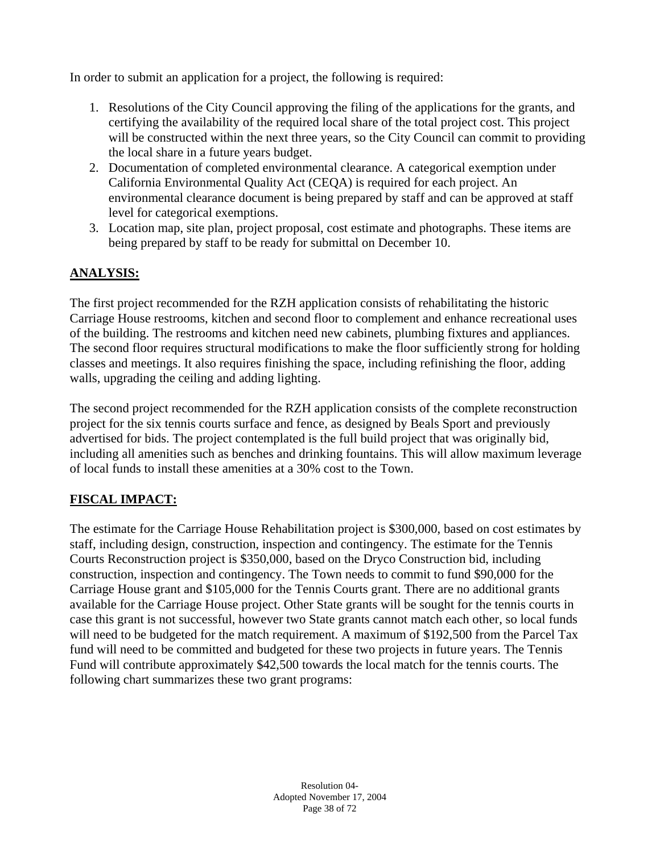In order to submit an application for a project, the following is required:

- 1. Resolutions of the City Council approving the filing of the applications for the grants, and certifying the availability of the required local share of the total project cost. This project will be constructed within the next three years, so the City Council can commit to providing the local share in a future years budget.
- 2. Documentation of completed environmental clearance. A categorical exemption under California Environmental Quality Act (CEQA) is required for each project. An environmental clearance document is being prepared by staff and can be approved at staff level for categorical exemptions.
- 3. Location map, site plan, project proposal, cost estimate and photographs. These items are being prepared by staff to be ready for submittal on December 10.

### **ANALYSIS:**

The first project recommended for the RZH application consists of rehabilitating the historic Carriage House restrooms, kitchen and second floor to complement and enhance recreational uses of the building. The restrooms and kitchen need new cabinets, plumbing fixtures and appliances. The second floor requires structural modifications to make the floor sufficiently strong for holding classes and meetings. It also requires finishing the space, including refinishing the floor, adding walls, upgrading the ceiling and adding lighting.

The second project recommended for the RZH application consists of the complete reconstruction project for the six tennis courts surface and fence, as designed by Beals Sport and previously advertised for bids. The project contemplated is the full build project that was originally bid, including all amenities such as benches and drinking fountains. This will allow maximum leverage of local funds to install these amenities at a 30% cost to the Town.

### **FISCAL IMPACT:**

The estimate for the Carriage House Rehabilitation project is \$300,000, based on cost estimates by staff, including design, construction, inspection and contingency. The estimate for the Tennis Courts Reconstruction project is \$350,000, based on the Dryco Construction bid, including construction, inspection and contingency. The Town needs to commit to fund \$90,000 for the Carriage House grant and \$105,000 for the Tennis Courts grant. There are no additional grants available for the Carriage House project. Other State grants will be sought for the tennis courts in case this grant is not successful, however two State grants cannot match each other, so local funds will need to be budgeted for the match requirement. A maximum of \$192,500 from the Parcel Tax fund will need to be committed and budgeted for these two projects in future years. The Tennis Fund will contribute approximately \$42,500 towards the local match for the tennis courts. The following chart summarizes these two grant programs: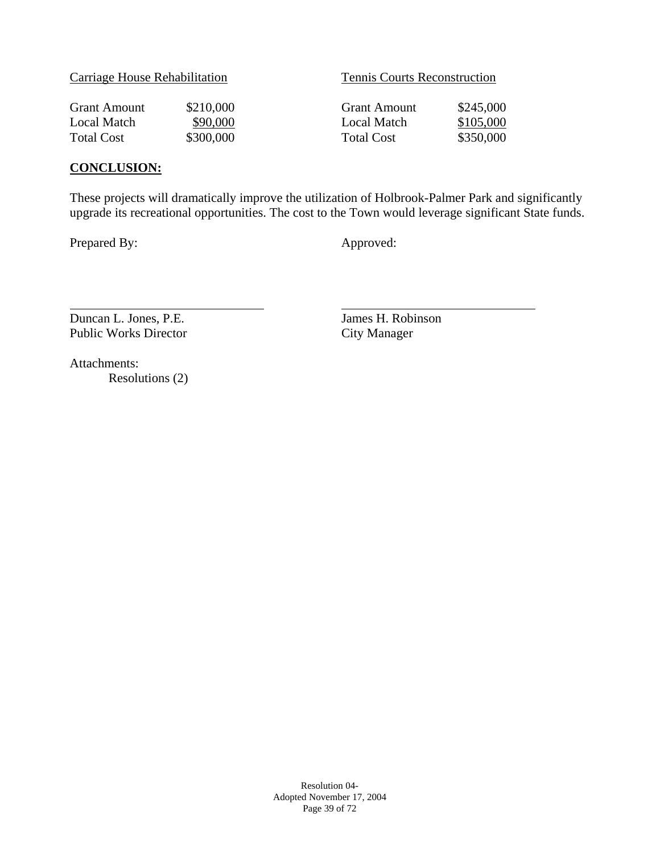|  | Carriage House Rehabilitation |
|--|-------------------------------|
|  |                               |

Tennis Courts Reconstruction

| Grant Amount | \$210,000 |
|--------------|-----------|
| Local Match  | \$90,000  |
| Total Cost   | \$300,000 |

Grant Amount \$245,000 Local Match \$105,000 Total Cost \$350,000

### **CONCLUSION:**

These projects will dramatically improve the utilization of Holbrook-Palmer Park and significantly upgrade its recreational opportunities. The cost to the Town would leverage significant State funds.

Prepared By: Approved:

 $\overline{a}$ 

Duncan L. Jones, P.E.<br>
Public Works Director<br>
City Manager Public Works Director

Attachments: Resolutions (2)

> Resolution 04- Adopted November 17, 2004 Page 39 of 72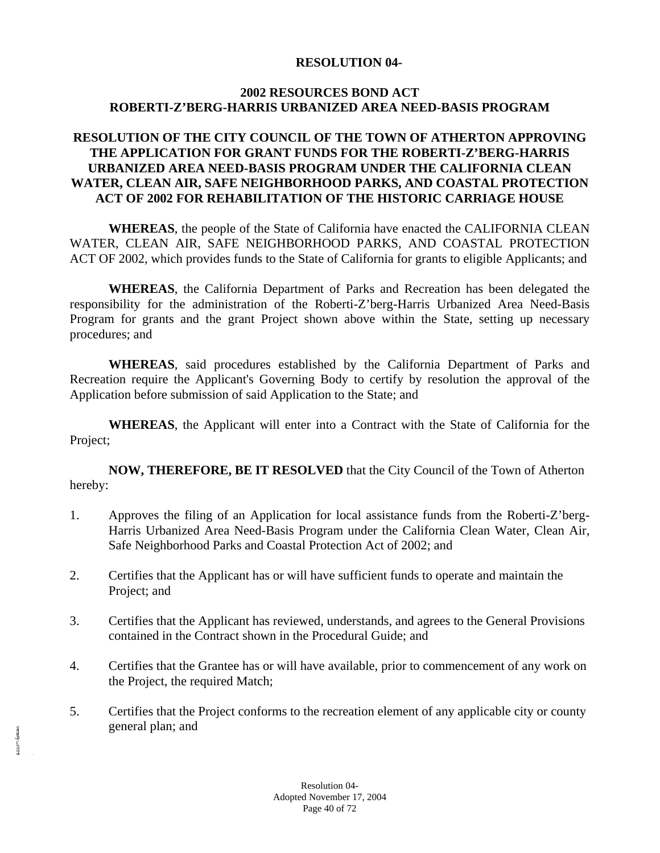#### **RESOLUTION 04-**

#### **2002 RESOURCES BOND ACT ROBERTI-Z'BERG-HARRIS URBANIZED AREA NEED-BASIS PROGRAM**

#### **RESOLUTION OF THE CITY COUNCIL OF THE TOWN OF ATHERTON APPROVING THE APPLICATION FOR GRANT FUNDS FOR THE ROBERTI-Z'BERG-HARRIS URBANIZED AREA NEED-BASIS PROGRAM UNDER THE CALIFORNIA CLEAN WATER, CLEAN AIR, SAFE NEIGHBORHOOD PARKS, AND COASTAL PROTECTION ACT OF 2002 FOR REHABILITATION OF THE HISTORIC CARRIAGE HOUSE**

**WHEREAS**, the people of the State of California have enacted the CALIFORNIA CLEAN WATER, CLEAN AIR, SAFE NEIGHBORHOOD PARKS, AND COASTAL PROTECTION ACT OF 2002, which provides funds to the State of California for grants to eligible Applicants; and

**WHEREAS**, the California Department of Parks and Recreation has been delegated the responsibility for the administration of the Roberti-Z'berg-Harris Urbanized Area Need-Basis Program for grants and the grant Project shown above within the State, setting up necessary procedures; and

**WHEREAS**, said procedures established by the California Department of Parks and Recreation require the Applicant's Governing Body to certify by resolution the approval of the Application before submission of said Application to the State; and

**WHEREAS**, the Applicant will enter into a Contract with the State of California for the Project;

**NOW, THEREFORE, BE IT RESOLVED** that the City Council of the Town of Atherton hereby:

- 1. Approves the filing of an Application for local assistance funds from the Roberti-Z'berg-Harris Urbanized Area Need-Basis Program under the California Clean Water, Clean Air, Safe Neighborhood Parks and Coastal Protection Act of 2002; and
- 2. Certifies that the Applicant has or will have sufficient funds to operate and maintain the Project; and
- 3. Certifies that the Applicant has reviewed, understands, and agrees to the General Provisions contained in the Contract shown in the Procedural Guide; and
- 4. Certifies that the Grantee has or will have available, prior to commencement of any work on the Project, the required Match;
- 5. Certifies that the Project conforms to the recreation element of any applicable city or county general plan; and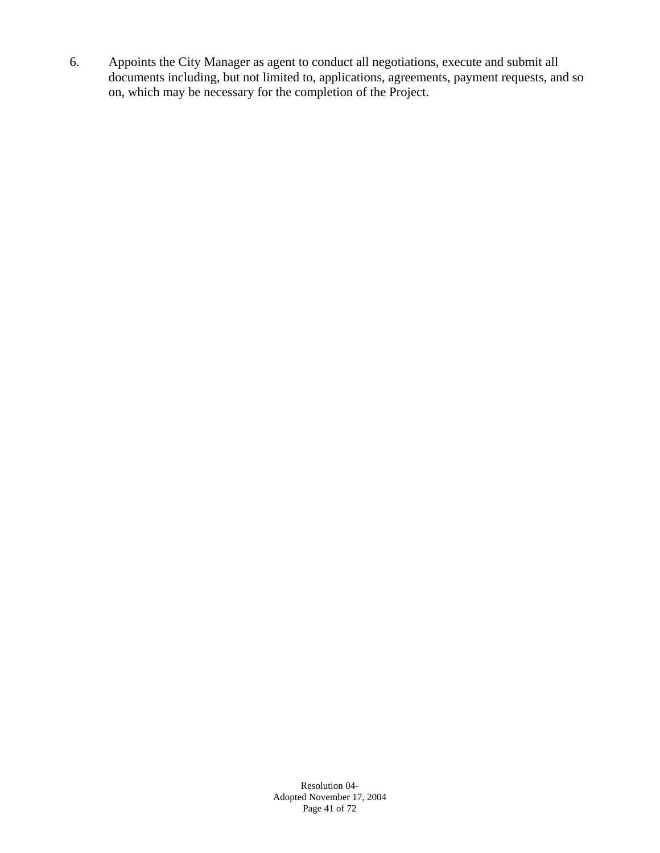6. Appoints the City Manager as agent to conduct all negotiations, execute and submit all documents including, but not limited to, applications, agreements, payment requests, and so on, which may be necessary for the completion of the Project.

> Resolution 04- Adopted November 17, 2004 Page 41 of 72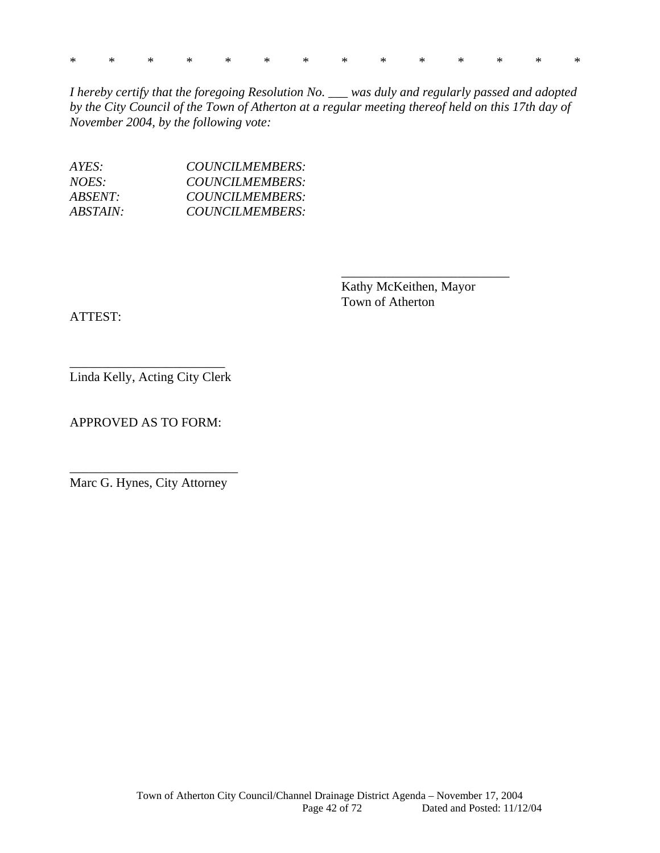|  |  |  |  |  |  | * * * * * * * * * * * * * * |  |
|--|--|--|--|--|--|-----------------------------|--|
|  |  |  |  |  |  |                             |  |

*I hereby certify that the foregoing Resolution No. \_\_\_ was duly and regularly passed and adopted by the City Council of the Town of Atherton at a regular meeting thereof held on this 17th day of November 2004, by the following vote:* 

\_\_\_\_\_\_\_\_\_\_\_\_\_\_\_\_\_\_\_\_\_\_\_\_\_\_

| AYES:    | COUNCILMEMBERS: |
|----------|-----------------|
| NOES:    | COUNCILMEMBERS: |
| ABSENT:  | COUNCILMEMBERS: |
| ABSTAIN: | COUNCILMEMBERS: |

Kathy McKeithen, Mayor Town of Atherton

ATTEST:

\_\_\_\_\_\_\_\_\_\_\_\_\_\_\_\_\_\_\_\_\_\_\_\_ Linda Kelly, Acting City Clerk

APPROVED AS TO FORM:

\_\_\_\_\_\_\_\_\_\_\_\_\_\_\_\_\_\_\_\_\_\_\_\_\_\_ Marc G. Hynes, City Attorney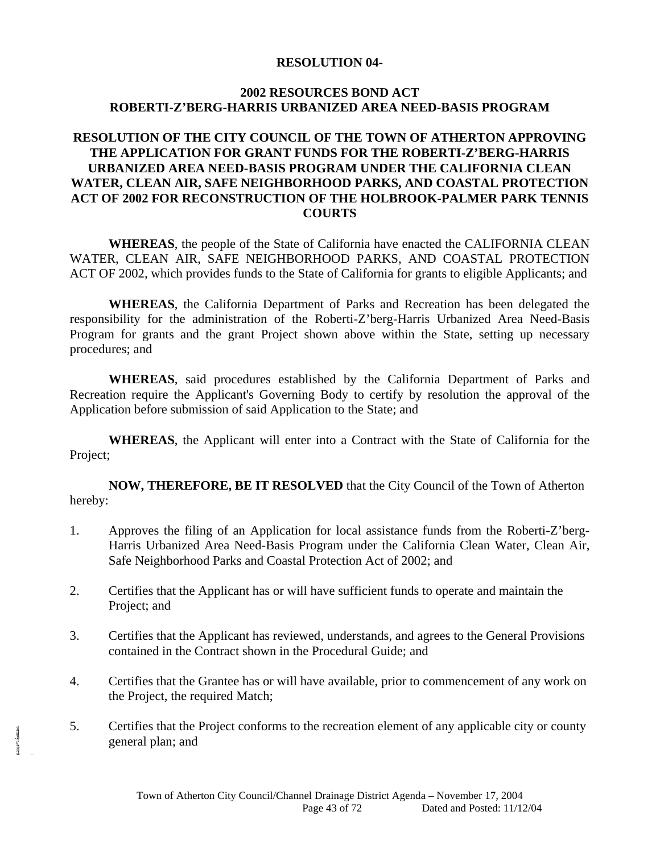#### **RESOLUTION 04-**

#### **2002 RESOURCES BOND ACT ROBERTI-Z'BERG-HARRIS URBANIZED AREA NEED-BASIS PROGRAM**

#### **RESOLUTION OF THE CITY COUNCIL OF THE TOWN OF ATHERTON APPROVING THE APPLICATION FOR GRANT FUNDS FOR THE ROBERTI-Z'BERG-HARRIS URBANIZED AREA NEED-BASIS PROGRAM UNDER THE CALIFORNIA CLEAN WATER, CLEAN AIR, SAFE NEIGHBORHOOD PARKS, AND COASTAL PROTECTION ACT OF 2002 FOR RECONSTRUCTION OF THE HOLBROOK-PALMER PARK TENNIS COURTS**

**WHEREAS**, the people of the State of California have enacted the CALIFORNIA CLEAN WATER, CLEAN AIR, SAFE NEIGHBORHOOD PARKS, AND COASTAL PROTECTION ACT OF 2002, which provides funds to the State of California for grants to eligible Applicants; and

**WHEREAS**, the California Department of Parks and Recreation has been delegated the responsibility for the administration of the Roberti-Z'berg-Harris Urbanized Area Need-Basis Program for grants and the grant Project shown above within the State, setting up necessary procedures; and

**WHEREAS**, said procedures established by the California Department of Parks and Recreation require the Applicant's Governing Body to certify by resolution the approval of the Application before submission of said Application to the State; and

**WHEREAS**, the Applicant will enter into a Contract with the State of California for the Project;

**NOW, THEREFORE, BE IT RESOLVED** that the City Council of the Town of Atherton hereby:

- 1. Approves the filing of an Application for local assistance funds from the Roberti-Z'berg-Harris Urbanized Area Need-Basis Program under the California Clean Water, Clean Air, Safe Neighborhood Parks and Coastal Protection Act of 2002; and
- 2. Certifies that the Applicant has or will have sufficient funds to operate and maintain the Project; and
- 3. Certifies that the Applicant has reviewed, understands, and agrees to the General Provisions contained in the Contract shown in the Procedural Guide; and
- 4. Certifies that the Grantee has or will have available, prior to commencement of any work on the Project, the required Match;
- 5. Certifies that the Project conforms to the recreation element of any applicable city or county general plan; and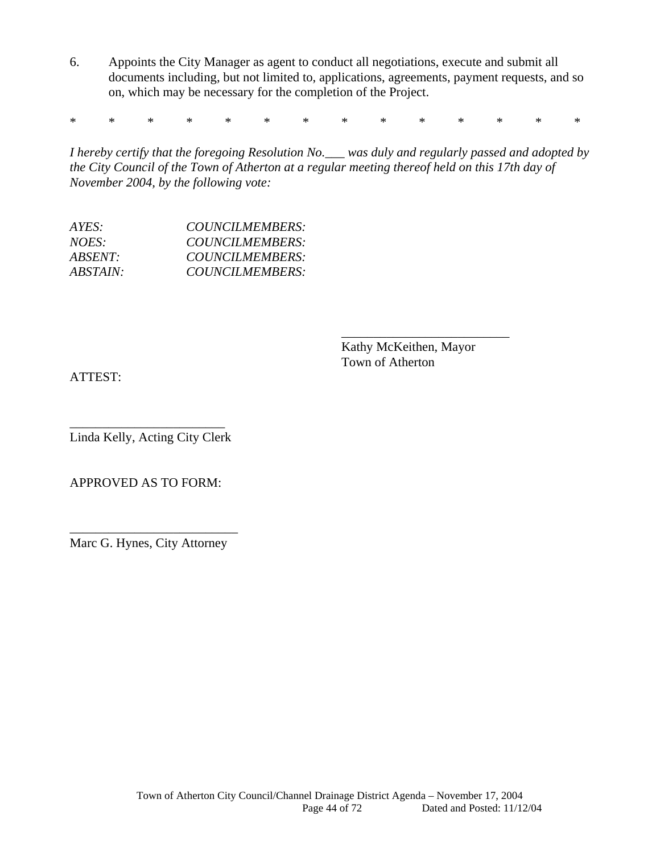6. Appoints the City Manager as agent to conduct all negotiations, execute and submit all documents including, but not limited to, applications, agreements, payment requests, and so on, which may be necessary for the completion of the Project.

\* \* \* \* \* \* \* \* \* \* \* \* \* \*

*I hereby certify that the foregoing Resolution No.\_\_\_ was duly and regularly passed and adopted by the City Council of the Town of Atherton at a regular meeting thereof held on this 17th day of November 2004, by the following vote:* 

\_\_\_\_\_\_\_\_\_\_\_\_\_\_\_\_\_\_\_\_\_\_\_\_\_\_

| $AYES^+$        | COUNCILMEMBERS:        |
|-----------------|------------------------|
| NOES:           | COUNCILMEMBERS:        |
| <i>ABSENT:</i>  | <b>COUNCILMEMBERS:</b> |
| <i>ABSTAIN:</i> | COUNCILMEMBERS:        |
|                 |                        |

Kathy McKeithen, Mayor Town of Atherton

ATTEST:

\_\_\_\_\_\_\_\_\_\_\_\_\_\_\_\_\_\_\_\_\_\_\_\_ Linda Kelly, Acting City Clerk

APPROVED AS TO FORM:

\_\_\_\_\_\_\_\_\_\_\_\_\_\_\_\_\_\_\_\_\_\_\_\_\_\_ Marc G. Hynes, City Attorney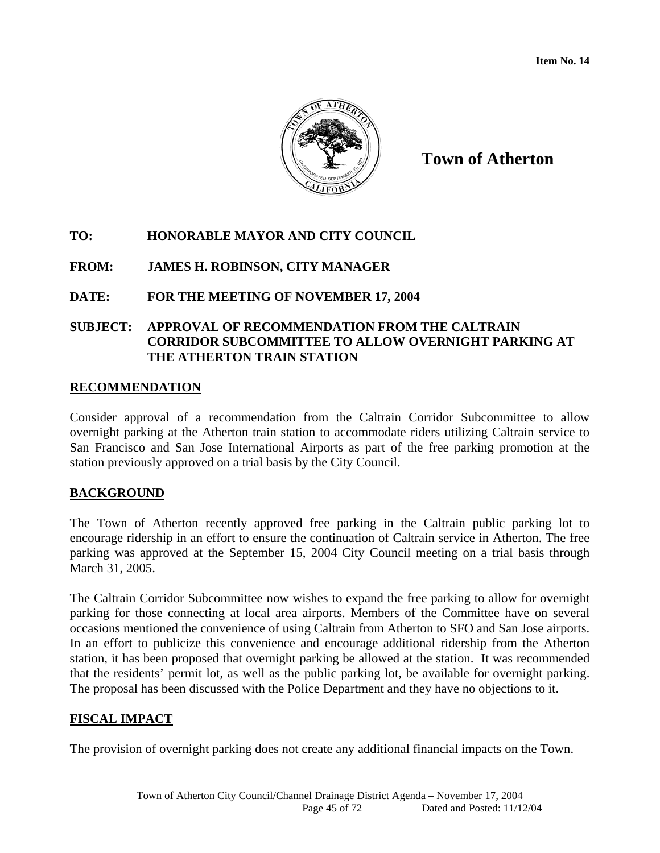

**Town of Atherton**

### **TO: HONORABLE MAYOR AND CITY COUNCIL**

### **FROM: JAMES H. ROBINSON, CITY MANAGER**

#### **DATE: FOR THE MEETING OF NOVEMBER 17, 2004**

#### **SUBJECT: APPROVAL OF RECOMMENDATION FROM THE CALTRAIN CORRIDOR SUBCOMMITTEE TO ALLOW OVERNIGHT PARKING AT THE ATHERTON TRAIN STATION**

#### **RECOMMENDATION**

Consider approval of a recommendation from the Caltrain Corridor Subcommittee to allow overnight parking at the Atherton train station to accommodate riders utilizing Caltrain service to San Francisco and San Jose International Airports as part of the free parking promotion at the station previously approved on a trial basis by the City Council.

#### **BACKGROUND**

The Town of Atherton recently approved free parking in the Caltrain public parking lot to encourage ridership in an effort to ensure the continuation of Caltrain service in Atherton. The free parking was approved at the September 15, 2004 City Council meeting on a trial basis through March 31, 2005.

The Caltrain Corridor Subcommittee now wishes to expand the free parking to allow for overnight parking for those connecting at local area airports. Members of the Committee have on several occasions mentioned the convenience of using Caltrain from Atherton to SFO and San Jose airports. In an effort to publicize this convenience and encourage additional ridership from the Atherton station, it has been proposed that overnight parking be allowed at the station. It was recommended that the residents' permit lot, as well as the public parking lot, be available for overnight parking. The proposal has been discussed with the Police Department and they have no objections to it.

#### **FISCAL IMPACT**

The provision of overnight parking does not create any additional financial impacts on the Town.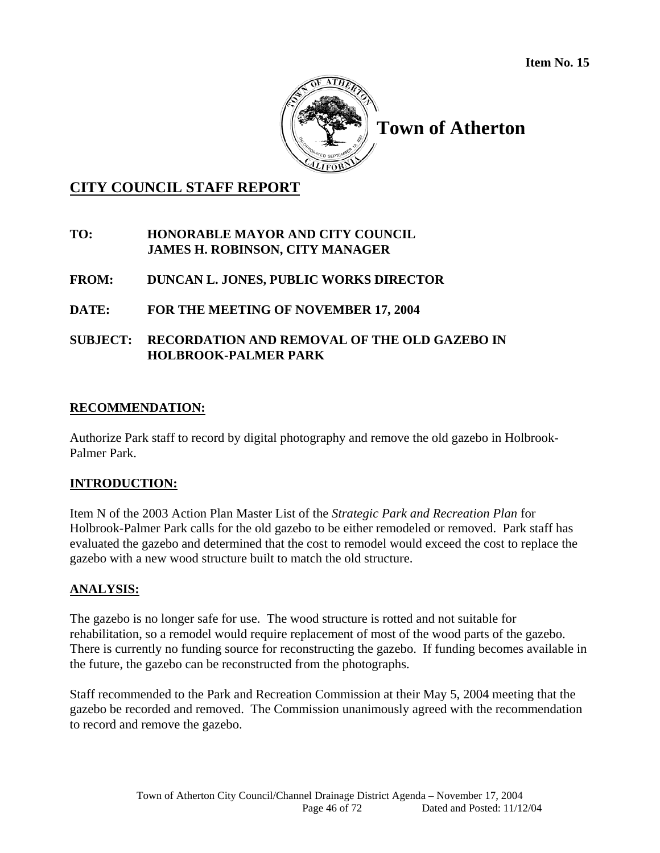

## **Town of Atherton**

## **CITY COUNCIL STAFF REPORT**

### **TO: HONORABLE MAYOR AND CITY COUNCIL JAMES H. ROBINSON, CITY MANAGER**

### **FROM: DUNCAN L. JONES, PUBLIC WORKS DIRECTOR**

### **DATE: FOR THE MEETING OF NOVEMBER 17, 2004**

### **SUBJECT: RECORDATION AND REMOVAL OF THE OLD GAZEBO IN HOLBROOK-PALMER PARK**

### **RECOMMENDATION:**

Authorize Park staff to record by digital photography and remove the old gazebo in Holbrook-Palmer Park.

#### **INTRODUCTION:**

Item N of the 2003 Action Plan Master List of the *Strategic Park and Recreation Plan* for Holbrook-Palmer Park calls for the old gazebo to be either remodeled or removed. Park staff has evaluated the gazebo and determined that the cost to remodel would exceed the cost to replace the gazebo with a new wood structure built to match the old structure.

#### **ANALYSIS:**

The gazebo is no longer safe for use. The wood structure is rotted and not suitable for rehabilitation, so a remodel would require replacement of most of the wood parts of the gazebo. There is currently no funding source for reconstructing the gazebo. If funding becomes available in the future, the gazebo can be reconstructed from the photographs.

Staff recommended to the Park and Recreation Commission at their May 5, 2004 meeting that the gazebo be recorded and removed. The Commission unanimously agreed with the recommendation to record and remove the gazebo.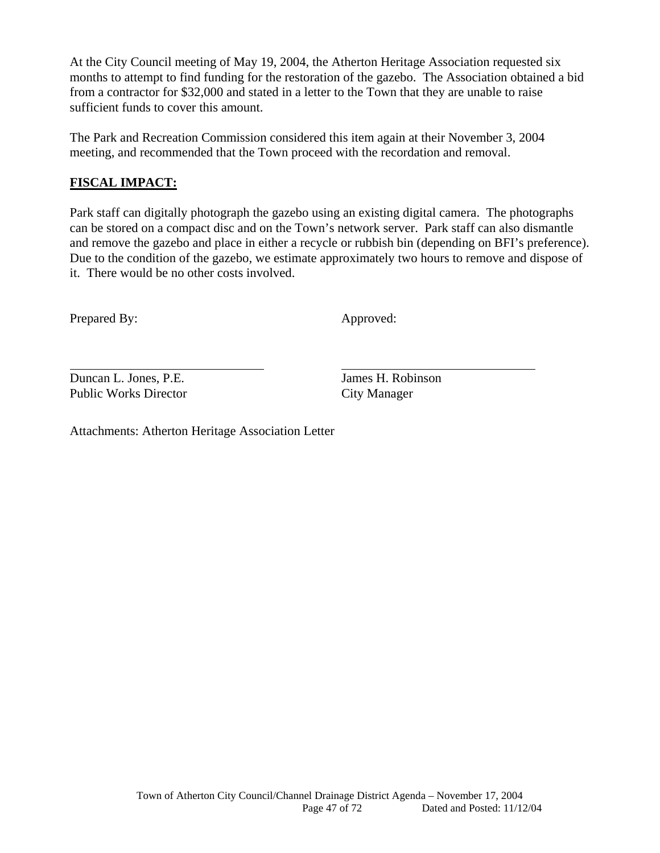At the City Council meeting of May 19, 2004, the Atherton Heritage Association requested six months to attempt to find funding for the restoration of the gazebo. The Association obtained a bid from a contractor for \$32,000 and stated in a letter to the Town that they are unable to raise sufficient funds to cover this amount.

The Park and Recreation Commission considered this item again at their November 3, 2004 meeting, and recommended that the Town proceed with the recordation and removal.

### **FISCAL IMPACT:**

Park staff can digitally photograph the gazebo using an existing digital camera. The photographs can be stored on a compact disc and on the Town's network server. Park staff can also dismantle and remove the gazebo and place in either a recycle or rubbish bin (depending on BFI's preference). Due to the condition of the gazebo, we estimate approximately two hours to remove and dispose of it. There would be no other costs involved.

Prepared By: Approved:

l

Duncan L. Jones, P.E. James H. Robinson Public Works Director City Manager

Attachments: Atherton Heritage Association Letter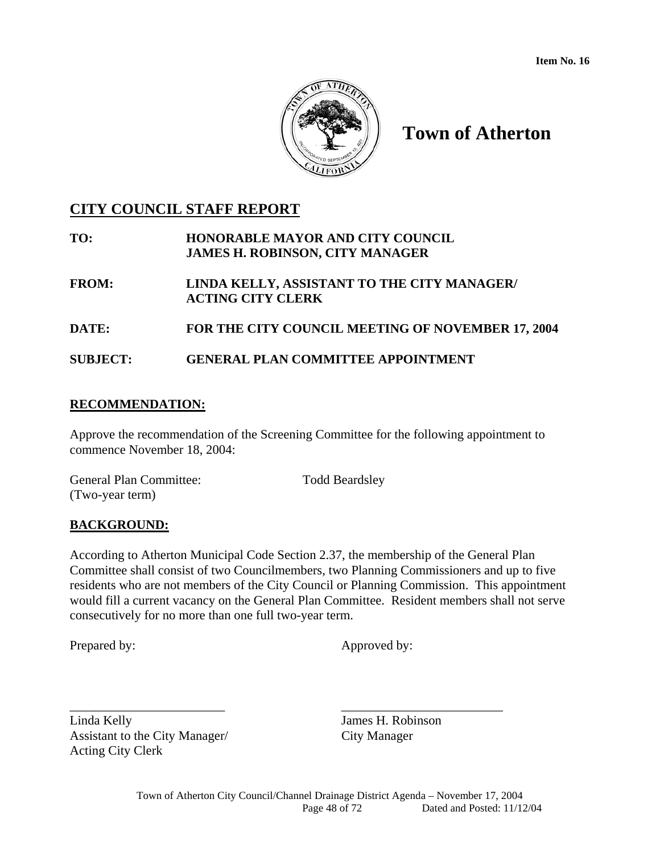

## **Town of Atherton**

## **CITY COUNCIL STAFF REPORT**

| TO:          | <b>HONORABLE MAYOR AND CITY COUNCIL</b><br><b>JAMES H. ROBINSON, CITY MANAGER</b> |
|--------------|-----------------------------------------------------------------------------------|
| <b>FROM:</b> | LINDA KELLY, ASSISTANT TO THE CITY MANAGER/                                       |

**ACTING CITY CLERK** 

**DATE: FOR THE CITY COUNCIL MEETING OF NOVEMBER 17, 2004** 

**SUBJECT: GENERAL PLAN COMMITTEE APPOINTMENT** 

### **RECOMMENDATION:**

Approve the recommendation of the Screening Committee for the following appointment to commence November 18, 2004:

| <b>General Plan Committee:</b> | <b>Todd Beardsley</b> |
|--------------------------------|-----------------------|
| (Two-year term)                |                       |

### **BACKGROUND:**

According to Atherton Municipal Code Section 2.37, the membership of the General Plan Committee shall consist of two Councilmembers, two Planning Commissioners and up to five residents who are not members of the City Council or Planning Commission. This appointment would fill a current vacancy on the General Plan Committee. Resident members shall not serve consecutively for no more than one full two-year term.

\_\_\_\_\_\_\_\_\_\_\_\_\_\_\_\_\_\_\_\_\_\_\_\_ \_\_\_\_\_\_\_\_\_\_\_\_\_\_\_\_\_\_\_\_\_\_\_\_\_

Prepared by: Approved by:

Linda Kelly James H. Robinson Assistant to the City Manager/ City Manager Acting City Clerk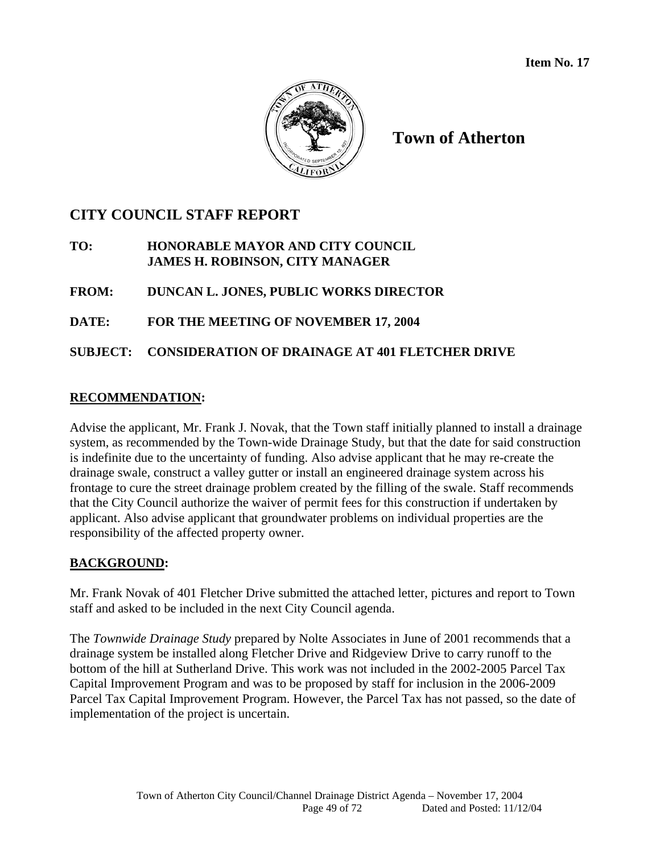

**Town of Atherton** 

## **CITY COUNCIL STAFF REPORT**

**TO: HONORABLE MAYOR AND CITY COUNCIL JAMES H. ROBINSON, CITY MANAGER** 

**FROM: DUNCAN L. JONES, PUBLIC WORKS DIRECTOR** 

**DATE: FOR THE MEETING OF NOVEMBER 17, 2004** 

**SUBJECT: CONSIDERATION OF DRAINAGE AT 401 FLETCHER DRIVE** 

### **RECOMMENDATION:**

Advise the applicant, Mr. Frank J. Novak, that the Town staff initially planned to install a drainage system, as recommended by the Town-wide Drainage Study, but that the date for said construction is indefinite due to the uncertainty of funding. Also advise applicant that he may re-create the drainage swale, construct a valley gutter or install an engineered drainage system across his frontage to cure the street drainage problem created by the filling of the swale. Staff recommends that the City Council authorize the waiver of permit fees for this construction if undertaken by applicant. Also advise applicant that groundwater problems on individual properties are the responsibility of the affected property owner.

### **BACKGROUND:**

Mr. Frank Novak of 401 Fletcher Drive submitted the attached letter, pictures and report to Town staff and asked to be included in the next City Council agenda.

The *Townwide Drainage Study* prepared by Nolte Associates in June of 2001 recommends that a drainage system be installed along Fletcher Drive and Ridgeview Drive to carry runoff to the bottom of the hill at Sutherland Drive. This work was not included in the 2002-2005 Parcel Tax Capital Improvement Program and was to be proposed by staff for inclusion in the 2006-2009 Parcel Tax Capital Improvement Program. However, the Parcel Tax has not passed, so the date of implementation of the project is uncertain.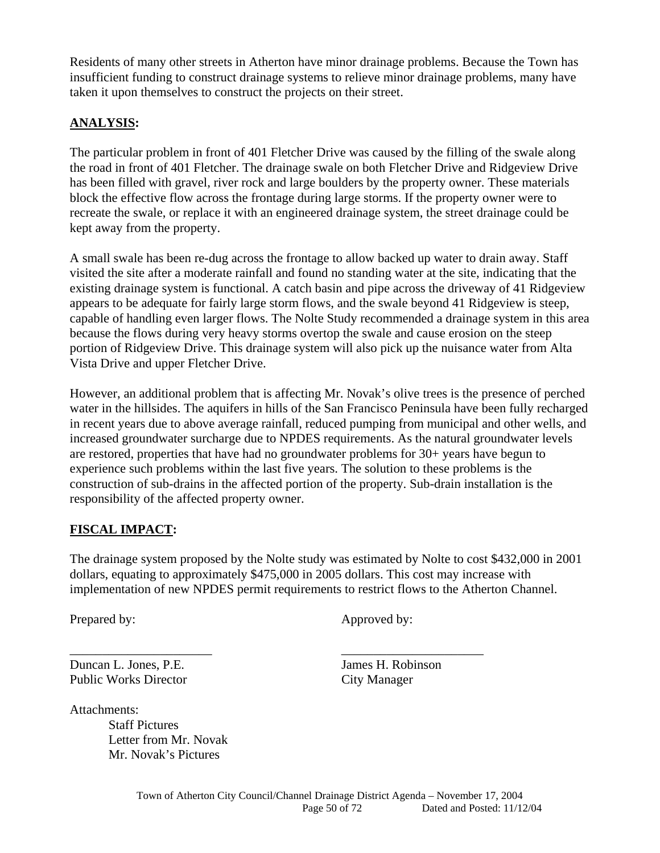Residents of many other streets in Atherton have minor drainage problems. Because the Town has insufficient funding to construct drainage systems to relieve minor drainage problems, many have taken it upon themselves to construct the projects on their street.

### **ANALYSIS:**

The particular problem in front of 401 Fletcher Drive was caused by the filling of the swale along the road in front of 401 Fletcher. The drainage swale on both Fletcher Drive and Ridgeview Drive has been filled with gravel, river rock and large boulders by the property owner. These materials block the effective flow across the frontage during large storms. If the property owner were to recreate the swale, or replace it with an engineered drainage system, the street drainage could be kept away from the property.

A small swale has been re-dug across the frontage to allow backed up water to drain away. Staff visited the site after a moderate rainfall and found no standing water at the site, indicating that the existing drainage system is functional. A catch basin and pipe across the driveway of 41 Ridgeview appears to be adequate for fairly large storm flows, and the swale beyond 41 Ridgeview is steep, capable of handling even larger flows. The Nolte Study recommended a drainage system in this area because the flows during very heavy storms overtop the swale and cause erosion on the steep portion of Ridgeview Drive. This drainage system will also pick up the nuisance water from Alta Vista Drive and upper Fletcher Drive.

However, an additional problem that is affecting Mr. Novak's olive trees is the presence of perched water in the hillsides. The aquifers in hills of the San Francisco Peninsula have been fully recharged in recent years due to above average rainfall, reduced pumping from municipal and other wells, and increased groundwater surcharge due to NPDES requirements. As the natural groundwater levels are restored, properties that have had no groundwater problems for 30+ years have begun to experience such problems within the last five years. The solution to these problems is the construction of sub-drains in the affected portion of the property. Sub-drain installation is the responsibility of the affected property owner.

#### **FISCAL IMPACT:**

The drainage system proposed by the Nolte study was estimated by Nolte to cost \$432,000 in 2001 dollars, equating to approximately \$475,000 in 2005 dollars. This cost may increase with implementation of new NPDES permit requirements to restrict flows to the Atherton Channel.

\_\_\_\_\_\_\_\_\_\_\_\_\_\_\_\_\_\_\_\_\_\_ \_\_\_\_\_\_\_\_\_\_\_\_\_\_\_\_\_\_\_\_\_\_

Duncan L. Jones, P.E. James H. Robinson Public Works Director City Manager

Attachments:

Staff Pictures Letter from Mr. Novak Mr. Novak's Pictures

Prepared by: Approved by: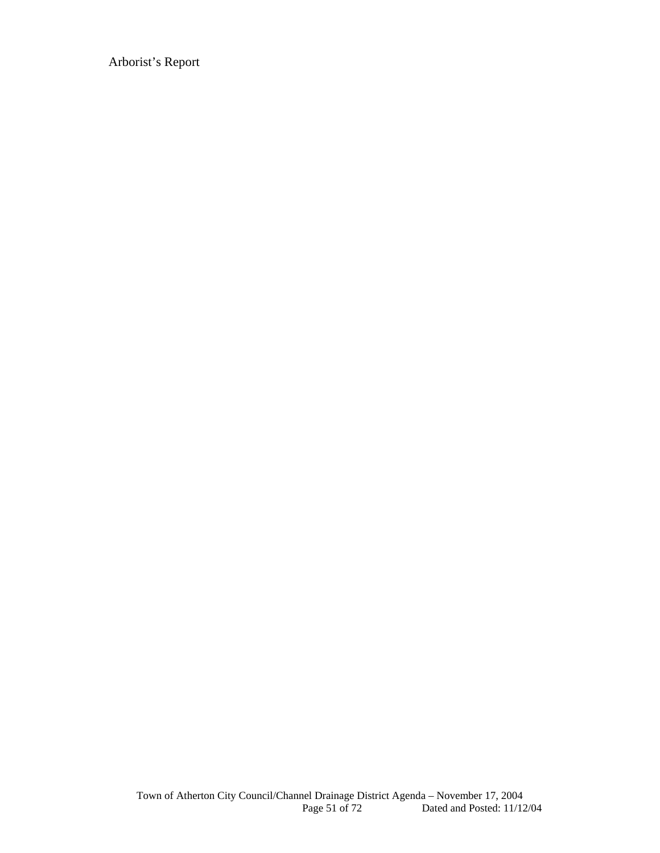Arborist's Report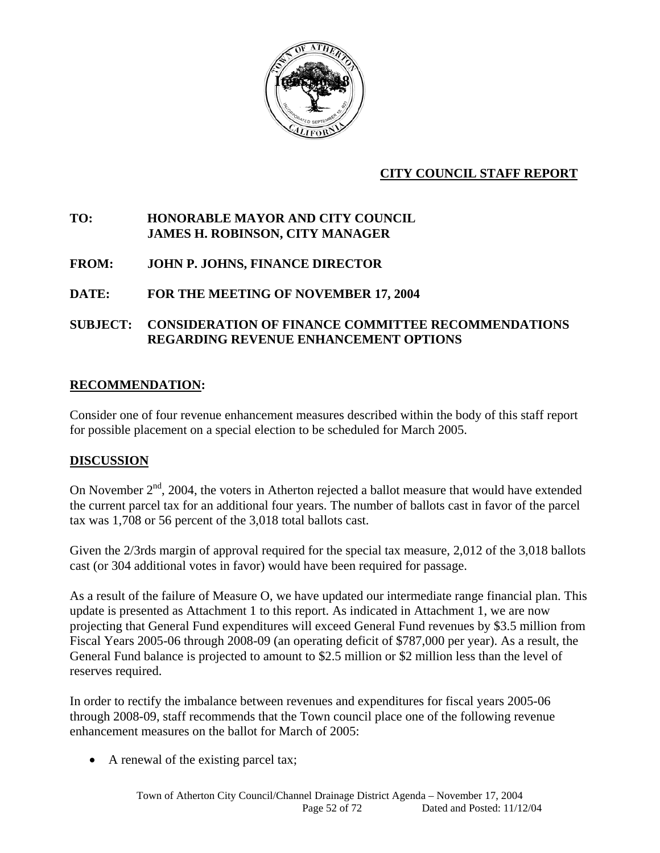

### **CITY COUNCIL STAFF REPORT**

### **TO: HONORABLE MAYOR AND CITY COUNCIL JAMES H. ROBINSON, CITY MANAGER**

**FROM: JOHN P. JOHNS, FINANCE DIRECTOR** 

#### **DATE: FOR THE MEETING OF NOVEMBER 17, 2004**

#### **SUBJECT: CONSIDERATION OF FINANCE COMMITTEE RECOMMENDATIONS REGARDING REVENUE ENHANCEMENT OPTIONS**

#### **RECOMMENDATION:**

Consider one of four revenue enhancement measures described within the body of this staff report for possible placement on a special election to be scheduled for March 2005.

#### **DISCUSSION**

On November  $2<sup>nd</sup>$ , 2004, the voters in Atherton rejected a ballot measure that would have extended the current parcel tax for an additional four years. The number of ballots cast in favor of the parcel tax was 1,708 or 56 percent of the 3,018 total ballots cast.

Given the 2/3rds margin of approval required for the special tax measure, 2,012 of the 3,018 ballots cast (or 304 additional votes in favor) would have been required for passage.

As a result of the failure of Measure O, we have updated our intermediate range financial plan. This update is presented as Attachment 1 to this report. As indicated in Attachment 1, we are now projecting that General Fund expenditures will exceed General Fund revenues by \$3.5 million from Fiscal Years 2005-06 through 2008-09 (an operating deficit of \$787,000 per year). As a result, the General Fund balance is projected to amount to \$2.5 million or \$2 million less than the level of reserves required.

In order to rectify the imbalance between revenues and expenditures for fiscal years 2005-06 through 2008-09, staff recommends that the Town council place one of the following revenue enhancement measures on the ballot for March of 2005:

• A renewal of the existing parcel tax;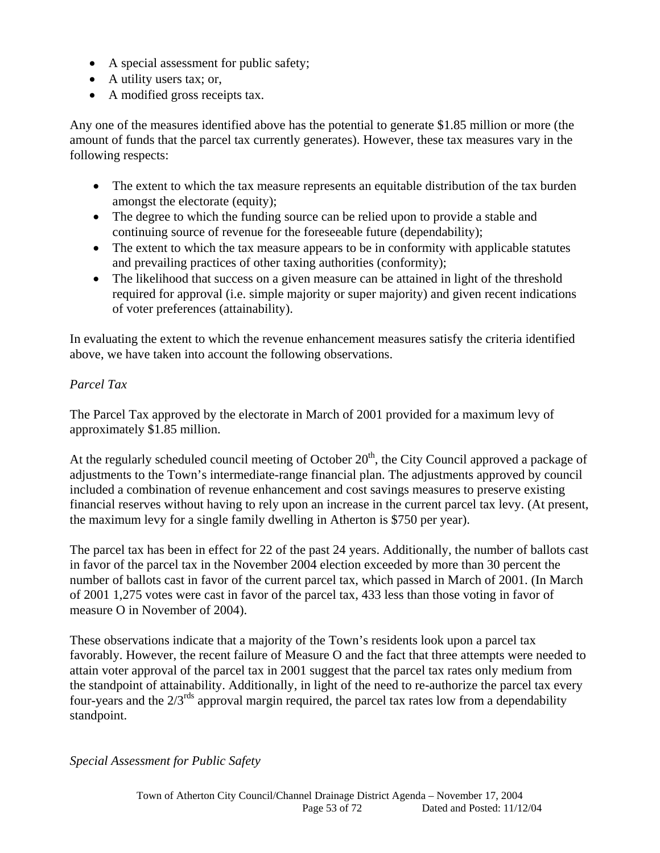- A special assessment for public safety;
- A utility users tax; or,
- A modified gross receipts tax.

Any one of the measures identified above has the potential to generate \$1.85 million or more (the amount of funds that the parcel tax currently generates). However, these tax measures vary in the following respects:

- The extent to which the tax measure represents an equitable distribution of the tax burden amongst the electorate (equity);
- The degree to which the funding source can be relied upon to provide a stable and continuing source of revenue for the foreseeable future (dependability);
- The extent to which the tax measure appears to be in conformity with applicable statutes and prevailing practices of other taxing authorities (conformity);
- The likelihood that success on a given measure can be attained in light of the threshold required for approval (i.e. simple majority or super majority) and given recent indications of voter preferences (attainability).

In evaluating the extent to which the revenue enhancement measures satisfy the criteria identified above, we have taken into account the following observations.

### *Parcel Tax*

The Parcel Tax approved by the electorate in March of 2001 provided for a maximum levy of approximately \$1.85 million.

At the regularly scheduled council meeting of October  $20<sup>th</sup>$ , the City Council approved a package of adjustments to the Town's intermediate-range financial plan. The adjustments approved by council included a combination of revenue enhancement and cost savings measures to preserve existing financial reserves without having to rely upon an increase in the current parcel tax levy. (At present, the maximum levy for a single family dwelling in Atherton is \$750 per year).

The parcel tax has been in effect for 22 of the past 24 years. Additionally, the number of ballots cast in favor of the parcel tax in the November 2004 election exceeded by more than 30 percent the number of ballots cast in favor of the current parcel tax, which passed in March of 2001. (In March of 2001 1,275 votes were cast in favor of the parcel tax, 433 less than those voting in favor of measure O in November of 2004).

These observations indicate that a majority of the Town's residents look upon a parcel tax favorably. However, the recent failure of Measure O and the fact that three attempts were needed to attain voter approval of the parcel tax in 2001 suggest that the parcel tax rates only medium from the standpoint of attainability. Additionally, in light of the need to re-authorize the parcel tax every four-years and the  $2/3^{rds}$  approval margin required, the parcel tax rates low from a dependability standpoint.

### *Special Assessment for Public Safety*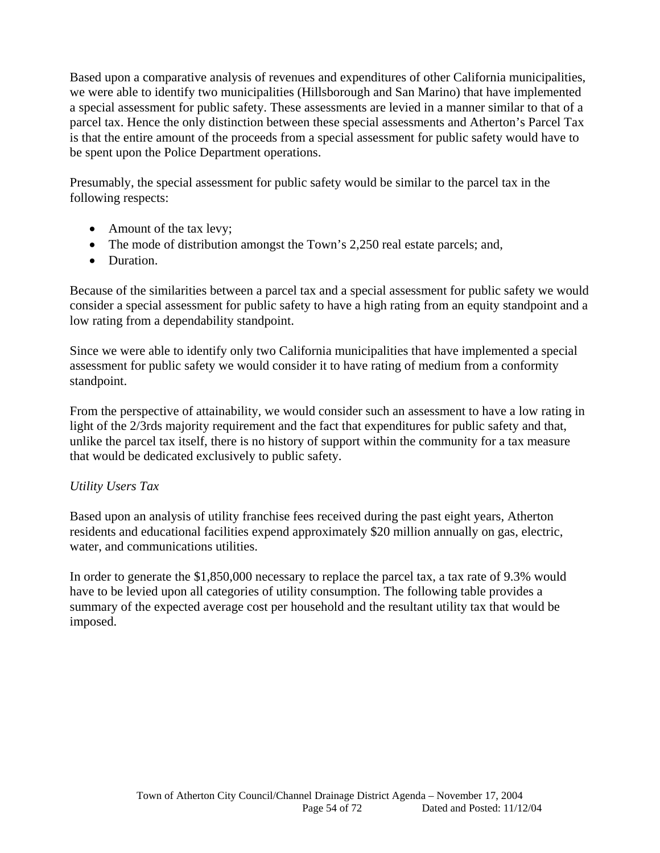Based upon a comparative analysis of revenues and expenditures of other California municipalities, we were able to identify two municipalities (Hillsborough and San Marino) that have implemented a special assessment for public safety. These assessments are levied in a manner similar to that of a parcel tax. Hence the only distinction between these special assessments and Atherton's Parcel Tax is that the entire amount of the proceeds from a special assessment for public safety would have to be spent upon the Police Department operations.

Presumably, the special assessment for public safety would be similar to the parcel tax in the following respects:

- Amount of the tax levy;
- The mode of distribution amongst the Town's 2,250 real estate parcels; and,
- Duration.

Because of the similarities between a parcel tax and a special assessment for public safety we would consider a special assessment for public safety to have a high rating from an equity standpoint and a low rating from a dependability standpoint.

Since we were able to identify only two California municipalities that have implemented a special assessment for public safety we would consider it to have rating of medium from a conformity standpoint.

From the perspective of attainability, we would consider such an assessment to have a low rating in light of the 2/3rds majority requirement and the fact that expenditures for public safety and that, unlike the parcel tax itself, there is no history of support within the community for a tax measure that would be dedicated exclusively to public safety.

### *Utility Users Tax*

Based upon an analysis of utility franchise fees received during the past eight years, Atherton residents and educational facilities expend approximately \$20 million annually on gas, electric, water, and communications utilities.

In order to generate the \$1,850,000 necessary to replace the parcel tax, a tax rate of 9.3% would have to be levied upon all categories of utility consumption. The following table provides a summary of the expected average cost per household and the resultant utility tax that would be imposed.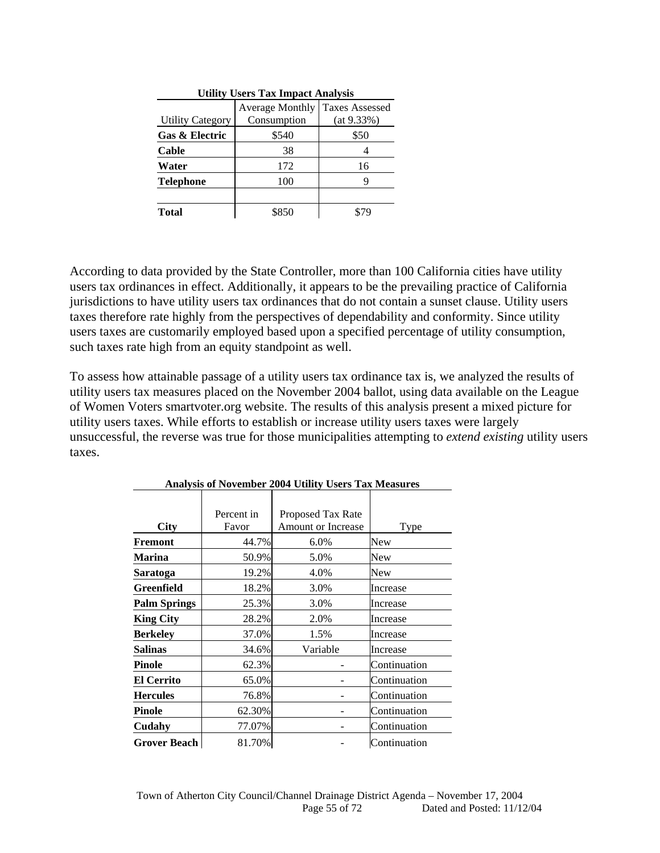| <b>Utility Users Tax Impact Analysis</b> |                        |                       |  |  |  |  |  |  |
|------------------------------------------|------------------------|-----------------------|--|--|--|--|--|--|
|                                          | <b>Average Monthly</b> | <b>Taxes Assessed</b> |  |  |  |  |  |  |
| <b>Utility Category</b>                  | Consumption            | (at 9.33%)            |  |  |  |  |  |  |
| <b>Gas &amp; Electric</b>                | \$540                  | \$50                  |  |  |  |  |  |  |
| Cable                                    | 38                     |                       |  |  |  |  |  |  |
| Water                                    | 172                    | 16                    |  |  |  |  |  |  |
| <b>Telephone</b>                         | 100                    |                       |  |  |  |  |  |  |
|                                          |                        |                       |  |  |  |  |  |  |
| Total                                    | \$850                  |                       |  |  |  |  |  |  |

According to data provided by the State Controller, more than 100 California cities have utility users tax ordinances in effect. Additionally, it appears to be the prevailing practice of California jurisdictions to have utility users tax ordinances that do not contain a sunset clause. Utility users taxes therefore rate highly from the perspectives of dependability and conformity. Since utility users taxes are customarily employed based upon a specified percentage of utility consumption, such taxes rate high from an equity standpoint as well.

To assess how attainable passage of a utility users tax ordinance tax is, we analyzed the results of utility users tax measures placed on the November 2004 ballot, using data available on the League of Women Voters smartvoter.org website. The results of this analysis present a mixed picture for utility users taxes. While efforts to establish or increase utility users taxes were largely unsuccessful, the reverse was true for those municipalities attempting to *extend existing* utility users taxes.

| City                | Percent in<br>Favor | Proposed Tax Rate<br><b>Amount or Increase</b> | Type         |
|---------------------|---------------------|------------------------------------------------|--------------|
| Fremont             | 44.7%               | 6.0%                                           | New          |
| <b>Marina</b>       | 50.9%               | 5.0%                                           | New          |
| Saratoga            | 19.2%               | 4.0%                                           | New          |
| <b>Greenfield</b>   | 18.2%               | 3.0%                                           | Increase     |
| <b>Palm Springs</b> | 25.3%               | 3.0%                                           | Increase     |
| <b>King City</b>    | 28.2%               | 2.0%                                           | Increase     |
| <b>Berkeley</b>     | 37.0%               | 1.5%                                           | Increase     |
| <b>Salinas</b>      | 34.6%               | Variable                                       | Increase     |
| <b>Pinole</b>       | 62.3%               |                                                | Continuation |
| <b>El Cerrito</b>   | 65.0%               |                                                | Continuation |
| <b>Hercules</b>     | 76.8%               |                                                | Continuation |
| <b>Pinole</b>       | 62.30%              |                                                | Continuation |
| Cudahy              | 77.07%              |                                                | Continuation |
| <b>Grover Beach</b> | 81.70%              |                                                | Continuation |

**Analysis of November 2004 Utility Users Tax Measures**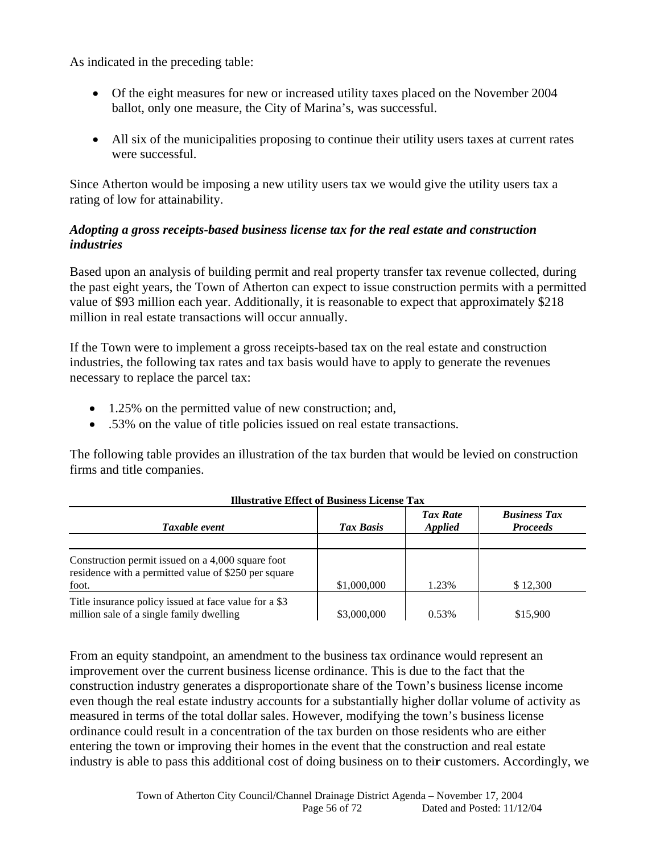As indicated in the preceding table:

- Of the eight measures for new or increased utility taxes placed on the November 2004 ballot, only one measure, the City of Marina's, was successful.
- All six of the municipalities proposing to continue their utility users taxes at current rates were successful.

Since Atherton would be imposing a new utility users tax we would give the utility users tax a rating of low for attainability.

#### *Adopting a gross receipts-based business license tax for the real estate and construction industries*

Based upon an analysis of building permit and real property transfer tax revenue collected, during the past eight years, the Town of Atherton can expect to issue construction permits with a permitted value of \$93 million each year. Additionally, it is reasonable to expect that approximately \$218 million in real estate transactions will occur annually.

If the Town were to implement a gross receipts-based tax on the real estate and construction industries, the following tax rates and tax basis would have to apply to generate the revenues necessary to replace the parcel tax:

- 1.25% on the permitted value of new construction; and,
- .53% on the value of title policies issued on real estate transactions.

The following table provides an illustration of the tax burden that would be levied on construction firms and title companies.

| Taxable event                                                                                                      | Tax Basis   | <b>Tax Rate</b><br><b>Applied</b> | <b>Business Tax</b><br><b>Proceeds</b> |  |  |  |
|--------------------------------------------------------------------------------------------------------------------|-------------|-----------------------------------|----------------------------------------|--|--|--|
|                                                                                                                    |             |                                   |                                        |  |  |  |
| Construction permit issued on a 4,000 square foot<br>residence with a permitted value of \$250 per square<br>foot. | \$1,000,000 | 1.23%                             | \$12,300                               |  |  |  |
| Title insurance policy issued at face value for a \$3<br>million sale of a single family dwelling                  | \$3,000,000 | 0.53%                             | \$15,900                               |  |  |  |

**Illustrative Effect of Business License Tax** 

From an equity standpoint, an amendment to the business tax ordinance would represent an improvement over the current business license ordinance. This is due to the fact that the construction industry generates a disproportionate share of the Town's business license income even though the real estate industry accounts for a substantially higher dollar volume of activity as measured in terms of the total dollar sales. However, modifying the town's business license ordinance could result in a concentration of the tax burden on those residents who are either entering the town or improving their homes in the event that the construction and real estate industry is able to pass this additional cost of doing business on to thei**r** customers. Accordingly, we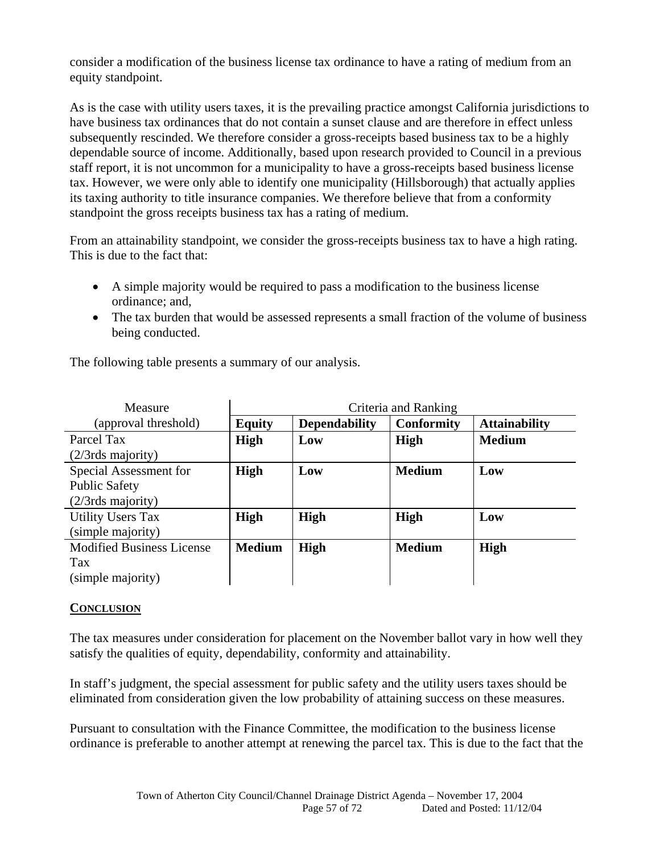consider a modification of the business license tax ordinance to have a rating of medium from an equity standpoint.

As is the case with utility users taxes, it is the prevailing practice amongst California jurisdictions to have business tax ordinances that do not contain a sunset clause and are therefore in effect unless subsequently rescinded. We therefore consider a gross-receipts based business tax to be a highly dependable source of income. Additionally, based upon research provided to Council in a previous staff report, it is not uncommon for a municipality to have a gross-receipts based business license tax. However, we were only able to identify one municipality (Hillsborough) that actually applies its taxing authority to title insurance companies. We therefore believe that from a conformity standpoint the gross receipts business tax has a rating of medium.

From an attainability standpoint, we consider the gross-receipts business tax to have a high rating. This is due to the fact that:

- A simple majority would be required to pass a modification to the business license ordinance; and,
- The tax burden that would be assessed represents a small fraction of the volume of business being conducted.

| Measure                          | Criteria and Ranking |                      |                   |                      |  |  |  |  |
|----------------------------------|----------------------|----------------------|-------------------|----------------------|--|--|--|--|
| (approval threshold)             | <b>Equity</b>        | <b>Dependability</b> | <b>Conformity</b> | <b>Attainability</b> |  |  |  |  |
| Parcel Tax                       | <b>High</b>          | Low                  | <b>High</b>       | <b>Medium</b>        |  |  |  |  |
| $(2/3rds$ majority)              |                      |                      |                   |                      |  |  |  |  |
| Special Assessment for           | <b>High</b>          | Low                  | <b>Medium</b>     | Low                  |  |  |  |  |
| <b>Public Safety</b>             |                      |                      |                   |                      |  |  |  |  |
| $(2/3rds$ majority)              |                      |                      |                   |                      |  |  |  |  |
| <b>Utility Users Tax</b>         | <b>High</b>          | <b>High</b>          | <b>High</b>       | Low                  |  |  |  |  |
| (simple majority)                |                      |                      |                   |                      |  |  |  |  |
| <b>Modified Business License</b> | <b>Medium</b>        | <b>High</b>          | <b>Medium</b>     | <b>High</b>          |  |  |  |  |
| Tax                              |                      |                      |                   |                      |  |  |  |  |
| (simple majority)                |                      |                      |                   |                      |  |  |  |  |

The following table presents a summary of our analysis.

#### **CONCLUSION**

The tax measures under consideration for placement on the November ballot vary in how well they satisfy the qualities of equity, dependability, conformity and attainability.

In staff's judgment, the special assessment for public safety and the utility users taxes should be eliminated from consideration given the low probability of attaining success on these measures.

Pursuant to consultation with the Finance Committee, the modification to the business license ordinance is preferable to another attempt at renewing the parcel tax. This is due to the fact that the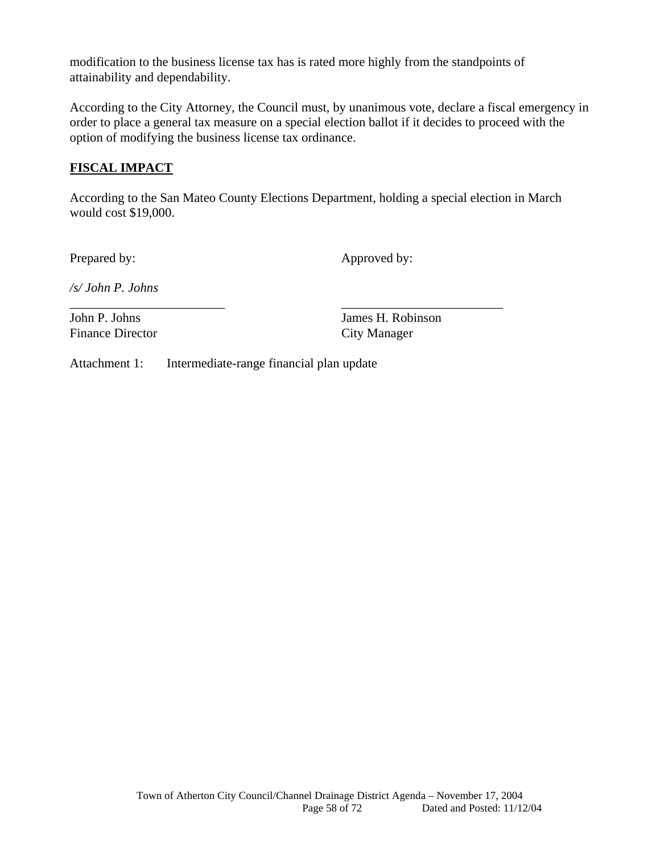modification to the business license tax has is rated more highly from the standpoints of attainability and dependability.

According to the City Attorney, the Council must, by unanimous vote, declare a fiscal emergency in order to place a general tax measure on a special election ballot if it decides to proceed with the option of modifying the business license tax ordinance.

### **FISCAL IMPACT**

According to the San Mateo County Elections Department, holding a special election in March would cost \$19,000.

\_\_\_\_\_\_\_\_\_\_\_\_\_\_\_\_\_\_\_\_\_\_\_\_ \_\_\_\_\_\_\_\_\_\_\_\_\_\_\_\_\_\_\_\_\_\_\_\_\_

Prepared by: Approved by:

*/s/ John P. Johns* 

Finance Director City Manager

John P. Johns James H. Robinson

Attachment 1: Intermediate-range financial plan update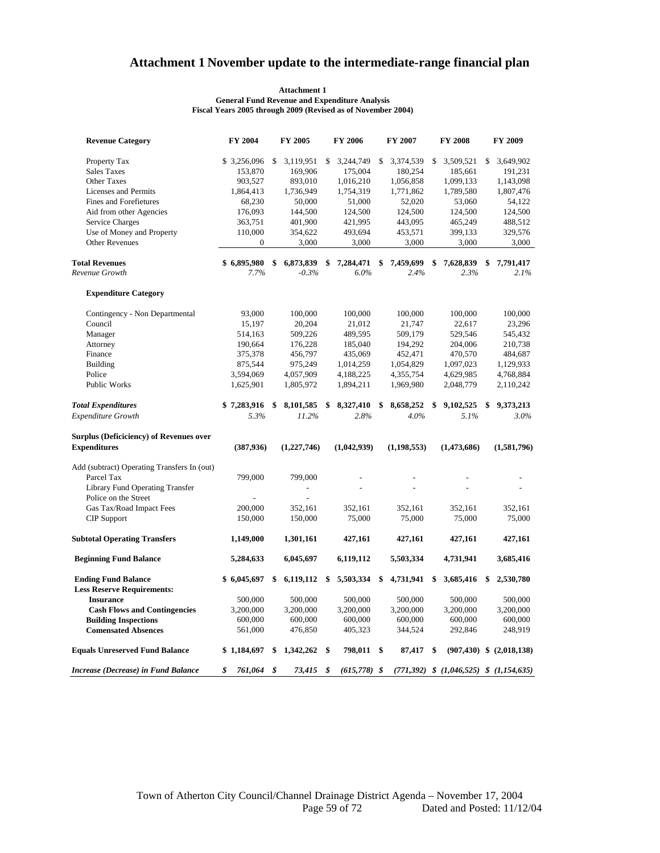### **Attachment 1 November update to the intermediate-range financial plan**

#### **General Fund Revenue and Expenditure Analysis Fiscal Years 2005 through 2009 (Revised as of November 2004) Attachment 1**

| <b>Revenue Category</b>                        | FY 2004       | FY 2005         | FY 2006              | FY 2007         |    | FY 2008                                       | FY 2009                         |
|------------------------------------------------|---------------|-----------------|----------------------|-----------------|----|-----------------------------------------------|---------------------------------|
| Property Tax                                   | \$3,256,096   | \$<br>3,119,951 | \$<br>3,244,749      | \$<br>3,374,539 | \$ | 3,509,521                                     | \$<br>3,649,902                 |
| <b>Sales Taxes</b>                             | 153,870       | 169,906         | 175,004              | 180,254         |    | 185,661                                       | 191,231                         |
| <b>Other Taxes</b>                             | 903,527       | 893,010         | 1,016,210            | 1,056,858       |    | 1,099,133                                     | 1,143,098                       |
| Licenses and Permits                           | 1,864,413     | 1,736,949       | 1,754,319            | 1,771,862       |    | 1,789,580                                     | 1,807,476                       |
| Fines and Forefietures                         | 68,230        | 50,000          | 51,000               | 52,020          |    | 53,060                                        | 54,122                          |
| Aid from other Agencies                        | 176,093       | 144,500         | 124,500              | 124,500         |    | 124,500                                       | 124,500                         |
| Service Charges                                | 363,751       | 401,900         | 421,995              | 443,095         |    | 465,249                                       | 488,512                         |
| Use of Money and Property                      | 110,000       | 354,622         | 493,694              | 453,571         |    | 399,133                                       | 329,576                         |
| <b>Other Revenues</b>                          | $\mathbf{0}$  | 3,000           | 3,000                | 3,000           |    | 3,000                                         | 3,000                           |
| <b>Total Revenues</b>                          | \$6,895,980   | \$<br>6,873,839 | \$<br>7,284,471      | \$<br>7,459,699 | \$ | 7,628,839                                     | \$<br>7,791,417                 |
| Revenue Growth                                 | 7.7%          | $-0.3%$         | 6.0%                 | 2.4%            |    | 2.3%                                          | 2.1%                            |
| <b>Expenditure Category</b>                    |               |                 |                      |                 |    |                                               |                                 |
| Contingency - Non Departmental                 | 93,000        | 100,000         | 100,000              | 100,000         |    | 100,000                                       | 100,000                         |
| Council                                        | 15,197        | 20,204          | 21,012               | 21,747          |    | 22,617                                        | 23,296                          |
| Manager                                        | 514,163       | 509,226         | 489,595              | 509,179         |    | 529,546                                       | 545,432                         |
| Attorney                                       | 190,664       | 176,228         | 185,040              | 194,292         |    | 204,006                                       | 210,738                         |
| Finance                                        | 375,378       | 456,797         | 435,069              | 452,471         |    | 470,570                                       | 484,687                         |
| <b>Building</b>                                | 875,544       | 975,249         | 1,014,259            | 1,054,829       |    | 1,097,023                                     | 1,129,933                       |
| Police                                         | 3,594,069     | 4,057,909       | 4,188,225            | 4,355,754       |    | 4,629,985                                     | 4,768,884                       |
| Public Works                                   | 1,625,901     | 1,805,972       | 1,894,211            | 1,969,980       |    | 2,048,779                                     | 2,110,242                       |
| <b>Total Expenditures</b>                      | \$7,283,916   | \$<br>8,101,585 | \$<br>8,327,410      | \$<br>8,658,252 | \$ | 9,102,525                                     | \$<br>9,373,213                 |
| Expenditure Growth                             | 5.3%          | 11.2%           | 2.8%                 | 4.0%            |    | 5.1%                                          | 3.0%                            |
| <b>Surplus (Deficiciency) of Revenues over</b> |               |                 |                      |                 |    |                                               |                                 |
| <b>Expenditures</b>                            | (387, 936)    | (1, 227, 746)   | (1,042,939)          | (1, 198, 553)   |    | (1,473,686)                                   | (1,581,796)                     |
| Add (subtract) Operating Transfers In (out)    |               |                 |                      |                 |    |                                               |                                 |
| Parcel Tax                                     | 799,000       | 799,000         |                      |                 |    |                                               |                                 |
| Library Fund Operating Transfer                |               |                 |                      |                 |    |                                               |                                 |
| Police on the Street                           |               |                 |                      |                 |    |                                               |                                 |
| Gas Tax/Road Impact Fees                       | 200,000       | 352,161         | 352,161              | 352,161         |    | 352,161                                       | 352,161                         |
| <b>CIP</b> Support                             | 150,000       | 150,000         | 75,000               | 75,000          |    | 75,000                                        | 75,000                          |
| <b>Subtotal Operating Transfers</b>            | 1,149,000     | 1,301,161       | 427,161              | 427,161         |    | 427,161                                       | 427,161                         |
| <b>Beginning Fund Balance</b>                  | 5,284,633     | 6,045,697       | 6,119,112            | 5,503,334       |    | 4,731,941                                     | 3,685,416                       |
| <b>Ending Fund Balance</b>                     | \$6,045,697   | \$<br>6,119,112 | \$<br>5,503,334      | \$<br>4,731,941 | -S | 3,685,416                                     | \$<br>2,530,780                 |
| <b>Less Reserve Requirements:</b>              |               |                 |                      |                 |    |                                               |                                 |
| <b>Insurance</b>                               | 500,000       | 500,000         | 500,000              | 500,000         |    | 500,000                                       | 500,000                         |
| <b>Cash Flows and Contingencies</b>            | 3,200,000     | 3,200,000       | 3,200,000            | 3,200,000       |    | 3,200,000                                     | 3,200,000                       |
| <b>Building Inspections</b>                    | 600,000       | 600,000         | 600,000              | 600,000         |    | 600,000                                       | 600,000                         |
| <b>Comensated Absences</b>                     | 561,000       | 476,850         | 405,323              | 344,524         |    | 292,846                                       | 248,919                         |
| <b>Equals Unreserved Fund Balance</b>          | \$1,184,697   | 1,342,262       | \$<br>798,011 \$     | 87,417 \$       |    |                                               | $(907, 430)$ \$ $(2, 018, 138)$ |
| Increase (Decrease) in Fund Balance            | \$<br>761,064 | \$<br>73,415    | \$<br>$(615,778)$ \$ |                 |    | $(771,392)$ \$ $(1,046,525)$ \$ $(1,154,635)$ |                                 |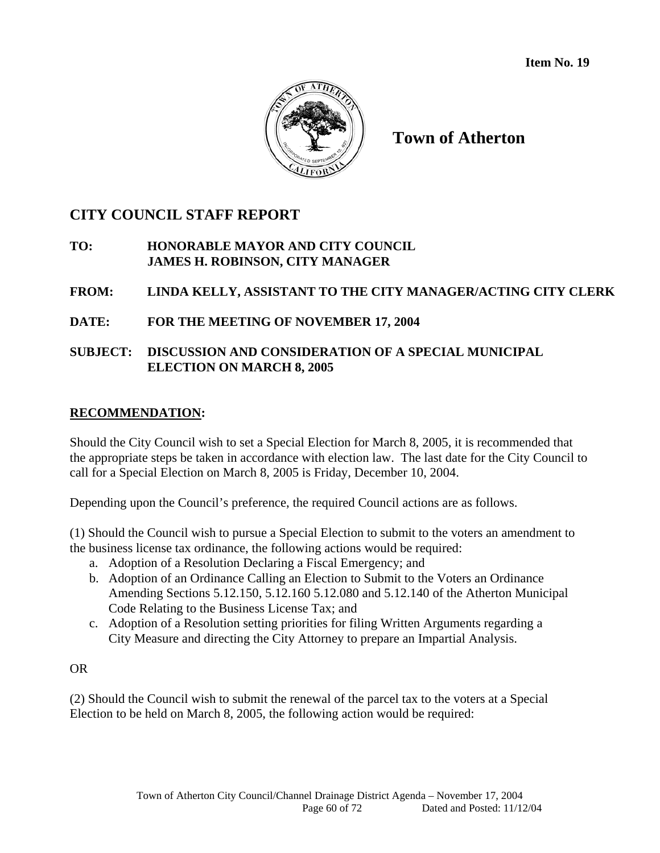**Item No. 19** 



**Town of Atherton** 

## **CITY COUNCIL STAFF REPORT**

### **TO: HONORABLE MAYOR AND CITY COUNCIL JAMES H. ROBINSON, CITY MANAGER**

### **FROM: LINDA KELLY, ASSISTANT TO THE CITY MANAGER/ACTING CITY CLERK**

### **DATE: FOR THE MEETING OF NOVEMBER 17, 2004**

### **SUBJECT: DISCUSSION AND CONSIDERATION OF A SPECIAL MUNICIPAL ELECTION ON MARCH 8, 2005**

### **RECOMMENDATION:**

Should the City Council wish to set a Special Election for March 8, 2005, it is recommended that the appropriate steps be taken in accordance with election law. The last date for the City Council to call for a Special Election on March 8, 2005 is Friday, December 10, 2004.

Depending upon the Council's preference, the required Council actions are as follows.

(1) Should the Council wish to pursue a Special Election to submit to the voters an amendment to the business license tax ordinance, the following actions would be required:

- a. Adoption of a Resolution Declaring a Fiscal Emergency; and
- b. Adoption of an Ordinance Calling an Election to Submit to the Voters an Ordinance Amending Sections 5.12.150, 5.12.160 5.12.080 and 5.12.140 of the Atherton Municipal Code Relating to the Business License Tax; and
- c. Adoption of a Resolution setting priorities for filing Written Arguments regarding a City Measure and directing the City Attorney to prepare an Impartial Analysis.

### OR

(2) Should the Council wish to submit the renewal of the parcel tax to the voters at a Special Election to be held on March 8, 2005, the following action would be required: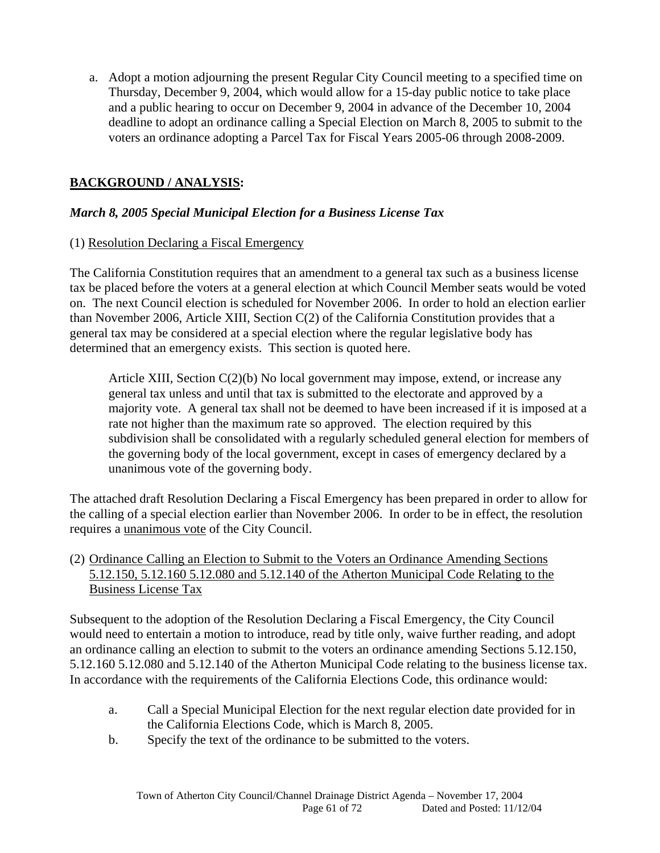a. Adopt a motion adjourning the present Regular City Council meeting to a specified time on Thursday, December 9, 2004, which would allow for a 15-day public notice to take place and a public hearing to occur on December 9, 2004 in advance of the December 10, 2004 deadline to adopt an ordinance calling a Special Election on March 8, 2005 to submit to the voters an ordinance adopting a Parcel Tax for Fiscal Years 2005-06 through 2008-2009.

### **BACKGROUND / ANALYSIS:**

#### *March 8, 2005 Special Municipal Election for a Business License Tax*

### (1) Resolution Declaring a Fiscal Emergency

The California Constitution requires that an amendment to a general tax such as a business license tax be placed before the voters at a general election at which Council Member seats would be voted on. The next Council election is scheduled for November 2006. In order to hold an election earlier than November 2006, Article XIII, Section C(2) of the California Constitution provides that a general tax may be considered at a special election where the regular legislative body has determined that an emergency exists. This section is quoted here.

Article XIII, Section C(2)(b) No local government may impose, extend, or increase any general tax unless and until that tax is submitted to the electorate and approved by a majority vote. A general tax shall not be deemed to have been increased if it is imposed at a rate not higher than the maximum rate so approved. The election required by this subdivision shall be consolidated with a regularly scheduled general election for members of the governing body of the local government, except in cases of emergency declared by a unanimous vote of the governing body.

The attached draft Resolution Declaring a Fiscal Emergency has been prepared in order to allow for the calling of a special election earlier than November 2006. In order to be in effect, the resolution requires a unanimous vote of the City Council.

### (2) Ordinance Calling an Election to Submit to the Voters an Ordinance Amending Sections 5.12.150, 5.12.160 5.12.080 and 5.12.140 of the Atherton Municipal Code Relating to the Business License Tax

Subsequent to the adoption of the Resolution Declaring a Fiscal Emergency, the City Council would need to entertain a motion to introduce, read by title only, waive further reading, and adopt an ordinance calling an election to submit to the voters an ordinance amending Sections 5.12.150, 5.12.160 5.12.080 and 5.12.140 of the Atherton Municipal Code relating to the business license tax. In accordance with the requirements of the California Elections Code, this ordinance would:

- a. Call a Special Municipal Election for the next regular election date provided for in the California Elections Code, which is March 8, 2005.
- b. Specify the text of the ordinance to be submitted to the voters.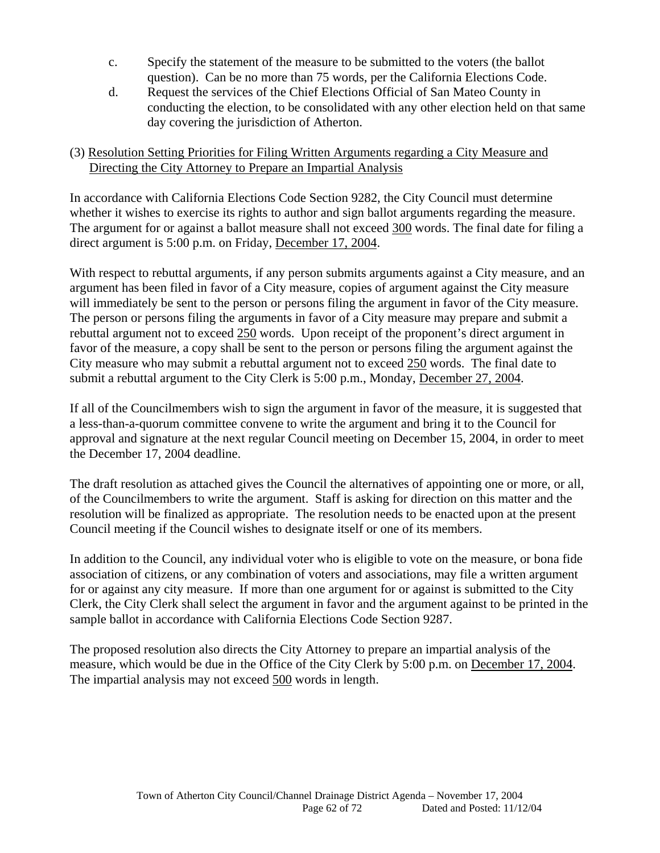- c. Specify the statement of the measure to be submitted to the voters (the ballot question). Can be no more than 75 words, per the California Elections Code.
- d. Request the services of the Chief Elections Official of San Mateo County in conducting the election, to be consolidated with any other election held on that same day covering the jurisdiction of Atherton.

### (3) Resolution Setting Priorities for Filing Written Arguments regarding a City Measure and Directing the City Attorney to Prepare an Impartial Analysis

In accordance with California Elections Code Section 9282, the City Council must determine whether it wishes to exercise its rights to author and sign ballot arguments regarding the measure. The argument for or against a ballot measure shall not exceed 300 words. The final date for filing a direct argument is 5:00 p.m. on Friday, December 17, 2004.

With respect to rebuttal arguments, if any person submits arguments against a City measure, and an argument has been filed in favor of a City measure, copies of argument against the City measure will immediately be sent to the person or persons filing the argument in favor of the City measure. The person or persons filing the arguments in favor of a City measure may prepare and submit a rebuttal argument not to exceed 250 words. Upon receipt of the proponent's direct argument in favor of the measure, a copy shall be sent to the person or persons filing the argument against the City measure who may submit a rebuttal argument not to exceed 250 words. The final date to submit a rebuttal argument to the City Clerk is 5:00 p.m., Monday, December 27, 2004.

If all of the Councilmembers wish to sign the argument in favor of the measure, it is suggested that a less-than-a-quorum committee convene to write the argument and bring it to the Council for approval and signature at the next regular Council meeting on December 15, 2004, in order to meet the December 17, 2004 deadline.

The draft resolution as attached gives the Council the alternatives of appointing one or more, or all, of the Councilmembers to write the argument. Staff is asking for direction on this matter and the resolution will be finalized as appropriate. The resolution needs to be enacted upon at the present Council meeting if the Council wishes to designate itself or one of its members.

In addition to the Council, any individual voter who is eligible to vote on the measure, or bona fide association of citizens, or any combination of voters and associations, may file a written argument for or against any city measure. If more than one argument for or against is submitted to the City Clerk, the City Clerk shall select the argument in favor and the argument against to be printed in the sample ballot in accordance with California Elections Code Section 9287.

The proposed resolution also directs the City Attorney to prepare an impartial analysis of the measure, which would be due in the Office of the City Clerk by 5:00 p.m. on December 17, 2004. The impartial analysis may not exceed 500 words in length.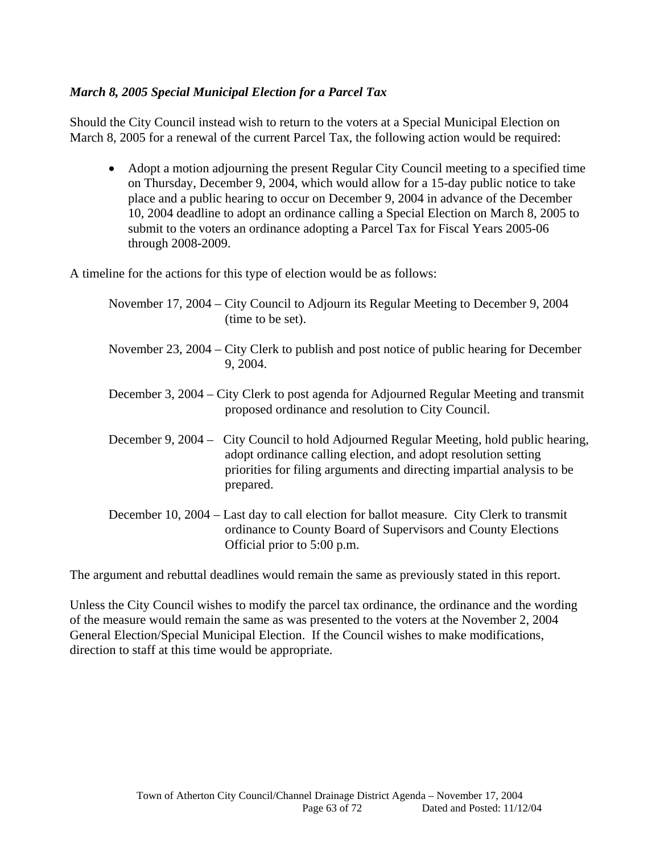### *March 8, 2005 Special Municipal Election for a Parcel Tax*

Should the City Council instead wish to return to the voters at a Special Municipal Election on March 8, 2005 for a renewal of the current Parcel Tax, the following action would be required:

• Adopt a motion adjourning the present Regular City Council meeting to a specified time on Thursday, December 9, 2004, which would allow for a 15-day public notice to take place and a public hearing to occur on December 9, 2004 in advance of the December 10, 2004 deadline to adopt an ordinance calling a Special Election on March 8, 2005 to submit to the voters an ordinance adopting a Parcel Tax for Fiscal Years 2005-06 through 2008-2009.

A timeline for the actions for this type of election would be as follows:

| November 17, 2004 – City Council to Adjourn its Regular Meeting to December 9, 2004<br>(time to be set).                                                                                                                                         |
|--------------------------------------------------------------------------------------------------------------------------------------------------------------------------------------------------------------------------------------------------|
| November 23, 2004 – City Clerk to publish and post notice of public hearing for December<br>9, 2004.                                                                                                                                             |
| December 3, 2004 – City Clerk to post agenda for Adjourned Regular Meeting and transmit<br>proposed ordinance and resolution to City Council.                                                                                                    |
| December 9, 2004 – City Council to hold Adjourned Regular Meeting, hold public hearing,<br>adopt ordinance calling election, and adopt resolution setting<br>priorities for filing arguments and directing impartial analysis to be<br>prepared. |
| December 10, 2004 – Last day to call election for ballot measure. City Clerk to transmit<br>ordinance to County Board of Supervisors and County Elections<br>Official prior to 5:00 p.m.                                                         |

The argument and rebuttal deadlines would remain the same as previously stated in this report.

Unless the City Council wishes to modify the parcel tax ordinance, the ordinance and the wording of the measure would remain the same as was presented to the voters at the November 2, 2004 General Election/Special Municipal Election. If the Council wishes to make modifications, direction to staff at this time would be appropriate.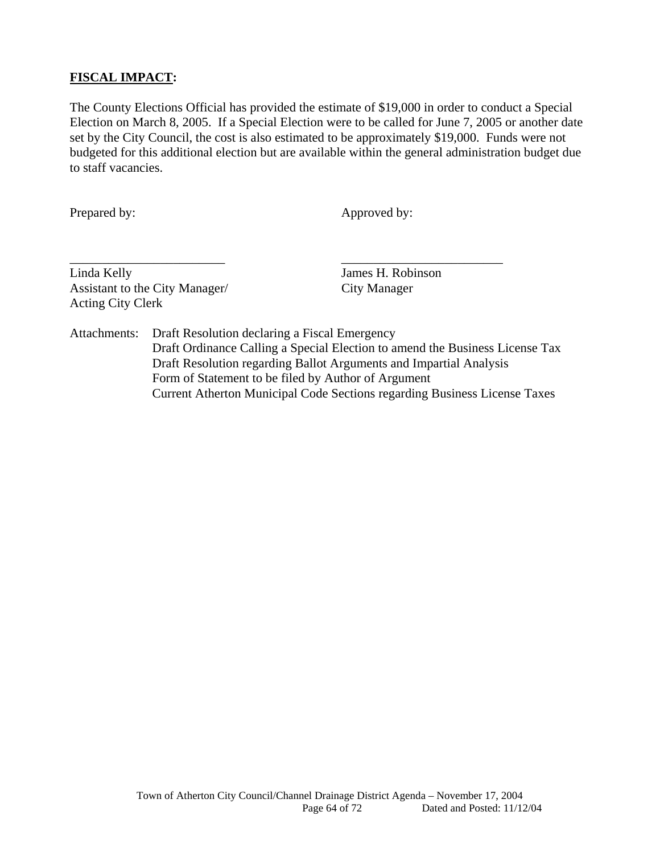### **FISCAL IMPACT:**

The County Elections Official has provided the estimate of \$19,000 in order to conduct a Special Election on March 8, 2005. If a Special Election were to be called for June 7, 2005 or another date set by the City Council, the cost is also estimated to be approximately \$19,000. Funds were not budgeted for this additional election but are available within the general administration budget due to staff vacancies.

Prepared by: Approved by:

Linda Kelly James H. Robinson Assistant to the City Manager/ City Manager Acting City Clerk

Attachments: Draft Resolution declaring a Fiscal Emergency Draft Ordinance Calling a Special Election to amend the Business License Tax Draft Resolution regarding Ballot Arguments and Impartial Analysis Form of Statement to be filed by Author of Argument Current Atherton Municipal Code Sections regarding Business License Taxes

\_\_\_\_\_\_\_\_\_\_\_\_\_\_\_\_\_\_\_\_\_\_\_\_ \_\_\_\_\_\_\_\_\_\_\_\_\_\_\_\_\_\_\_\_\_\_\_\_\_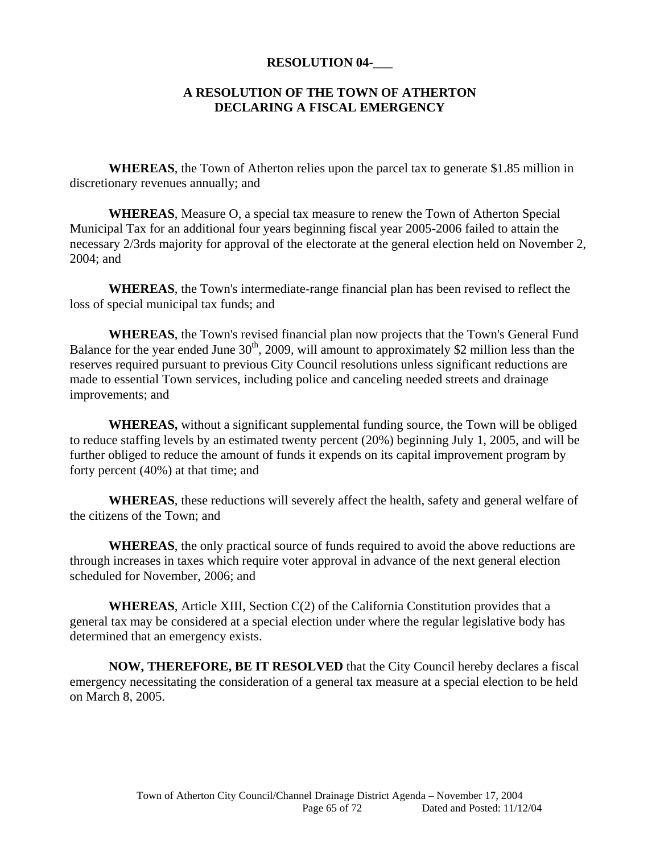#### **RESOLUTION 04-\_\_\_**

#### **A RESOLUTION OF THE TOWN OF ATHERTON DECLARING A FISCAL EMERGENCY**

 **WHEREAS**, the Town of Atherton relies upon the parcel tax to generate \$1.85 million in discretionary revenues annually; and

**WHEREAS**, Measure O, a special tax measure to renew the Town of Atherton Special Municipal Tax for an additional four years beginning fiscal year 2005-2006 failed to attain the necessary 2/3rds majority for approval of the electorate at the general election held on November 2, 2004; and

**WHEREAS**, the Town's intermediate-range financial plan has been revised to reflect the loss of special municipal tax funds; and

**WHEREAS**, the Town's revised financial plan now projects that the Town's General Fund Balance for the year ended June  $30<sup>th</sup>$ , 2009, will amount to approximately \$2 million less than the reserves required pursuant to previous City Council resolutions unless significant reductions are made to essential Town services, including police and canceling needed streets and drainage improvements; and

 **WHEREAS,** without a significant supplemental funding source, the Town will be obliged to reduce staffing levels by an estimated twenty percent (20%) beginning July 1, 2005, and will be further obliged to reduce the amount of funds it expends on its capital improvement program by forty percent (40%) at that time; and

**WHEREAS**, these reductions will severely affect the health, safety and general welfare of the citizens of the Town; and

**WHEREAS**, the only practical source of funds required to avoid the above reductions are through increases in taxes which require voter approval in advance of the next general election scheduled for November, 2006; and

**WHEREAS**, Article XIII, Section C(2) of the California Constitution provides that a general tax may be considered at a special election under where the regular legislative body has determined that an emergency exists.

**NOW, THEREFORE, BE IT RESOLVED** that the City Council hereby declares a fiscal emergency necessitating the consideration of a general tax measure at a special election to be held on March 8, 2005.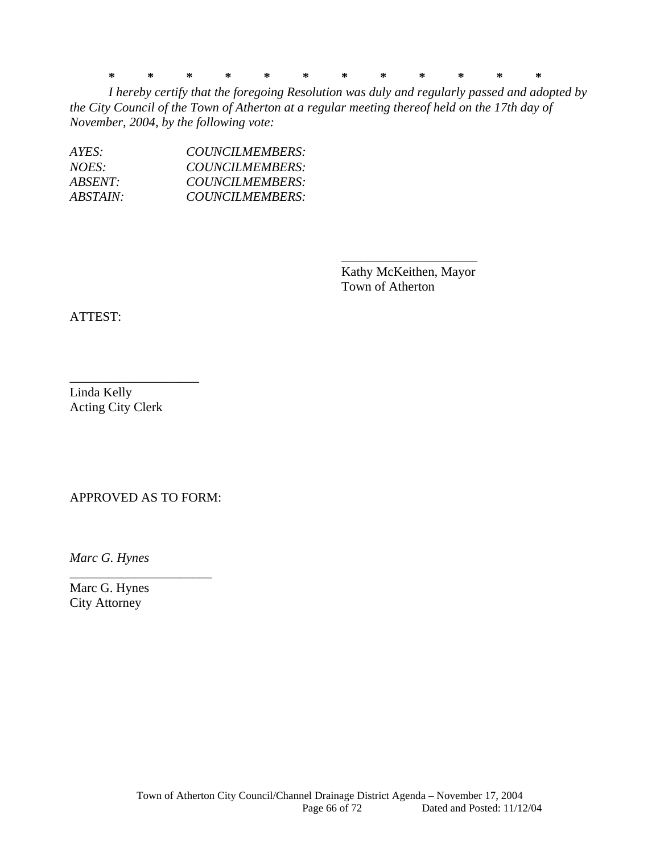**\* \* \* \* \* \* \* \* \* \* \* \*** 

*I hereby certify that the foregoing Resolution was duly and regularly passed and adopted by the City Council of the Town of Atherton at a regular meeting thereof held on the 17th day of November, 2004, by the following vote:* 

 $\overline{\phantom{a}}$  , which is a set of the contract of the contract of the contract of the contract of the contract of the contract of the contract of the contract of the contract of the contract of the contract of the contract

| AYES:           | COUNCILMEMBERS: |
|-----------------|-----------------|
| NOES:           | COUNCILMEMBERS: |
| $ABSENT \cdot$  | COUNCILMEMBERS: |
| <i>ABSTAIN:</i> | COUNCILMEMBERS: |

 Kathy McKeithen, Mayor Town of Atherton

ATTEST:

Linda Kelly Acting City Clerk

\_\_\_\_\_\_\_\_\_\_\_\_\_\_\_\_\_\_\_\_

APPROVED AS TO FORM:

\_\_\_\_\_\_\_\_\_\_\_\_\_\_\_\_\_\_\_\_\_\_

*Marc G. Hynes* 

Marc G. Hynes City Attorney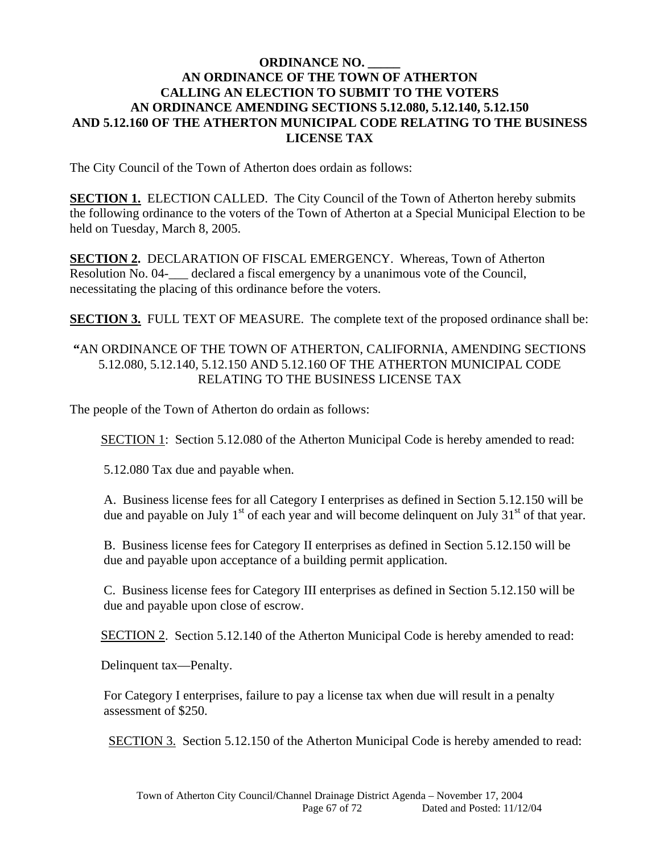#### **ORDINANCE NO. \_\_\_\_\_ AN ORDINANCE OF THE TOWN OF ATHERTON CALLING AN ELECTION TO SUBMIT TO THE VOTERS AN ORDINANCE AMENDING SECTIONS 5.12.080, 5.12.140, 5.12.150 AND 5.12.160 OF THE ATHERTON MUNICIPAL CODE RELATING TO THE BUSINESS LICENSE TAX**

The City Council of the Town of Atherton does ordain as follows:

**SECTION 1.** ELECTION CALLED. The City Council of the Town of Atherton hereby submits the following ordinance to the voters of the Town of Atherton at a Special Municipal Election to be held on Tuesday, March 8, 2005.

**SECTION 2.** DECLARATION OF FISCAL EMERGENCY. Whereas, Town of Atherton Resolution No. 04-\_\_\_ declared a fiscal emergency by a unanimous vote of the Council, necessitating the placing of this ordinance before the voters.

**SECTION 3.** FULL TEXT OF MEASURE. The complete text of the proposed ordinance shall be:

#### **"**AN ORDINANCE OF THE TOWN OF ATHERTON, CALIFORNIA, AMENDING SECTIONS 5.12.080, 5.12.140, 5.12.150 AND 5.12.160 OF THE ATHERTON MUNICIPAL CODE RELATING TO THE BUSINESS LICENSE TAX

The people of the Town of Atherton do ordain as follows:

SECTION 1: Section 5.12.080 of the Atherton Municipal Code is hereby amended to read:

5.12.080 Tax due and payable when.

A. Business license fees for all Category I enterprises as defined in Section 5.12.150 will be due and payable on July  $1<sup>st</sup>$  of each year and will become delinquent on July  $31<sup>st</sup>$  of that year.

B. Business license fees for Category II enterprises as defined in Section 5.12.150 will be due and payable upon acceptance of a building permit application.

C. Business license fees for Category III enterprises as defined in Section 5.12.150 will be due and payable upon close of escrow.

SECTION 2. Section 5.12.140 of the Atherton Municipal Code is hereby amended to read:

Delinquent tax—Penalty.

For Category I enterprises, failure to pay a license tax when due will result in a penalty assessment of \$250.

SECTION 3. Section 5.12.150 of the Atherton Municipal Code is hereby amended to read: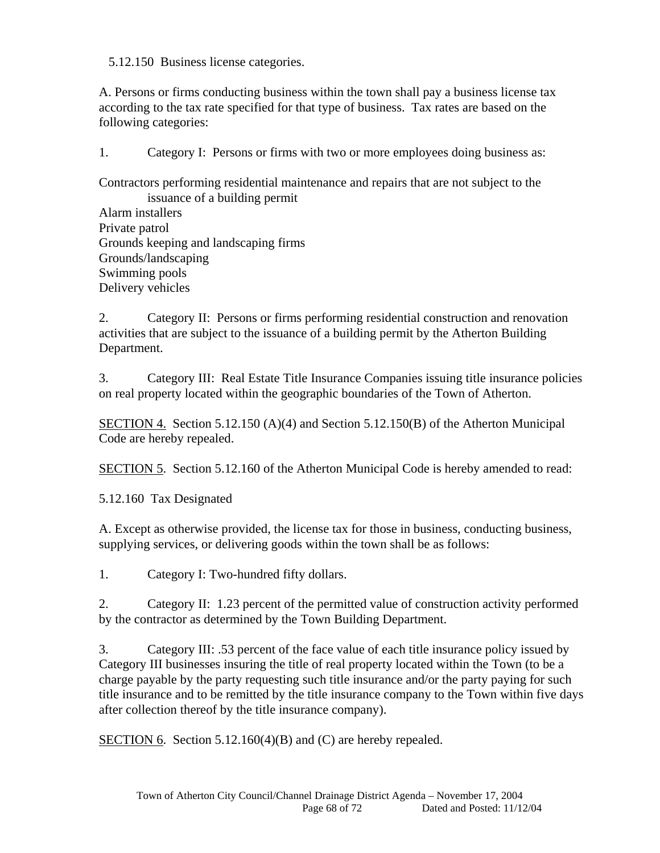5.12.150 Business license categories.

A. Persons or firms conducting business within the town shall pay a business license tax according to the tax rate specified for that type of business. Tax rates are based on the following categories:

1. Category I: Persons or firms with two or more employees doing business as:

Contractors performing residential maintenance and repairs that are not subject to the issuance of a building permit

Alarm installers Private patrol Grounds keeping and landscaping firms Grounds/landscaping Swimming pools Delivery vehicles

2. Category II: Persons or firms performing residential construction and renovation activities that are subject to the issuance of a building permit by the Atherton Building Department.

3. Category III: Real Estate Title Insurance Companies issuing title insurance policies on real property located within the geographic boundaries of the Town of Atherton.

SECTION 4. Section 5.12.150 (A)(4) and Section 5.12.150 (B) of the Atherton Municipal Code are hereby repealed.

SECTION 5. Section 5.12.160 of the Atherton Municipal Code is hereby amended to read:

5.12.160 Tax Designated

A. Except as otherwise provided, the license tax for those in business, conducting business, supplying services, or delivering goods within the town shall be as follows:

1. Category I: Two-hundred fifty dollars.

2. Category II: 1.23 percent of the permitted value of construction activity performed by the contractor as determined by the Town Building Department.

3. Category III: .53 percent of the face value of each title insurance policy issued by Category III businesses insuring the title of real property located within the Town (to be a charge payable by the party requesting such title insurance and/or the party paying for such title insurance and to be remitted by the title insurance company to the Town within five days after collection thereof by the title insurance company).

SECTION 6. Section 5.12.160(4)(B) and (C) are hereby repealed.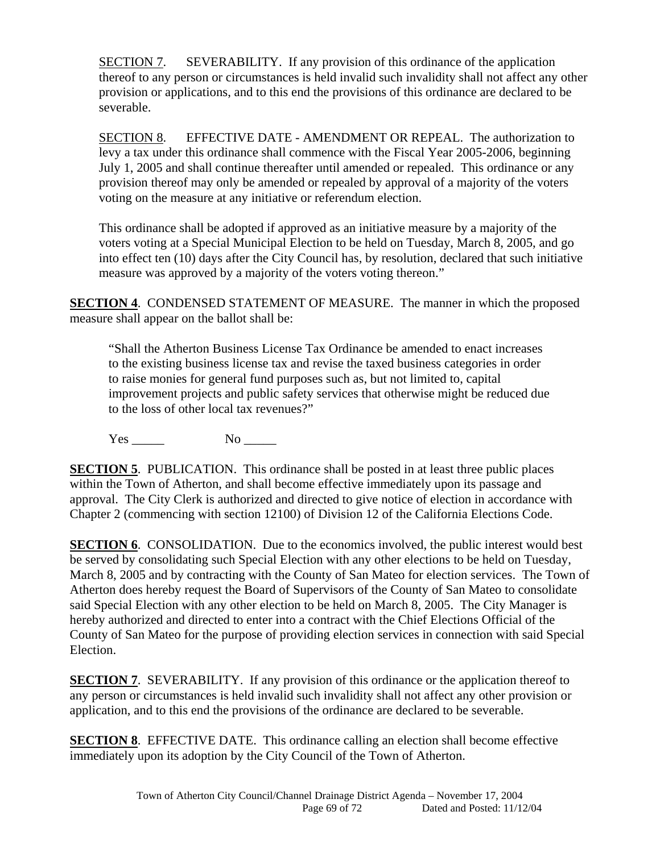SECTION 7. SEVERABILITY. If any provision of this ordinance of the application thereof to any person or circumstances is held invalid such invalidity shall not affect any other provision or applications, and to this end the provisions of this ordinance are declared to be severable.

SECTION 8. EFFECTIVE DATE - AMENDMENT OR REPEAL. The authorization to levy a tax under this ordinance shall commence with the Fiscal Year 2005-2006, beginning July 1, 2005 and shall continue thereafter until amended or repealed. This ordinance or any provision thereof may only be amended or repealed by approval of a majority of the voters voting on the measure at any initiative or referendum election.

This ordinance shall be adopted if approved as an initiative measure by a majority of the voters voting at a Special Municipal Election to be held on Tuesday, March 8, 2005, and go into effect ten (10) days after the City Council has, by resolution, declared that such initiative measure was approved by a majority of the voters voting thereon."

**SECTION 4**. CONDENSED STATEMENT OF MEASURE. The manner in which the proposed measure shall appear on the ballot shall be:

"Shall the Atherton Business License Tax Ordinance be amended to enact increases to the existing business license tax and revise the taxed business categories in order to raise monies for general fund purposes such as, but not limited to, capital improvement projects and public safety services that otherwise might be reduced due to the loss of other local tax revenues?"

Yes No

**SECTION 5.** PUBLICATION. This ordinance shall be posted in at least three public places within the Town of Atherton, and shall become effective immediately upon its passage and approval. The City Clerk is authorized and directed to give notice of election in accordance with Chapter 2 (commencing with section 12100) of Division 12 of the California Elections Code.

**SECTION 6.** CONSOLIDATION. Due to the economics involved, the public interest would best be served by consolidating such Special Election with any other elections to be held on Tuesday, March 8, 2005 and by contracting with the County of San Mateo for election services. The Town of Atherton does hereby request the Board of Supervisors of the County of San Mateo to consolidate said Special Election with any other election to be held on March 8, 2005. The City Manager is hereby authorized and directed to enter into a contract with the Chief Elections Official of the County of San Mateo for the purpose of providing election services in connection with said Special Election.

**SECTION 7.** SEVERABILITY. If any provision of this ordinance or the application thereof to any person or circumstances is held invalid such invalidity shall not affect any other provision or application, and to this end the provisions of the ordinance are declared to be severable.

**SECTION 8**. EFFECTIVE DATE. This ordinance calling an election shall become effective immediately upon its adoption by the City Council of the Town of Atherton.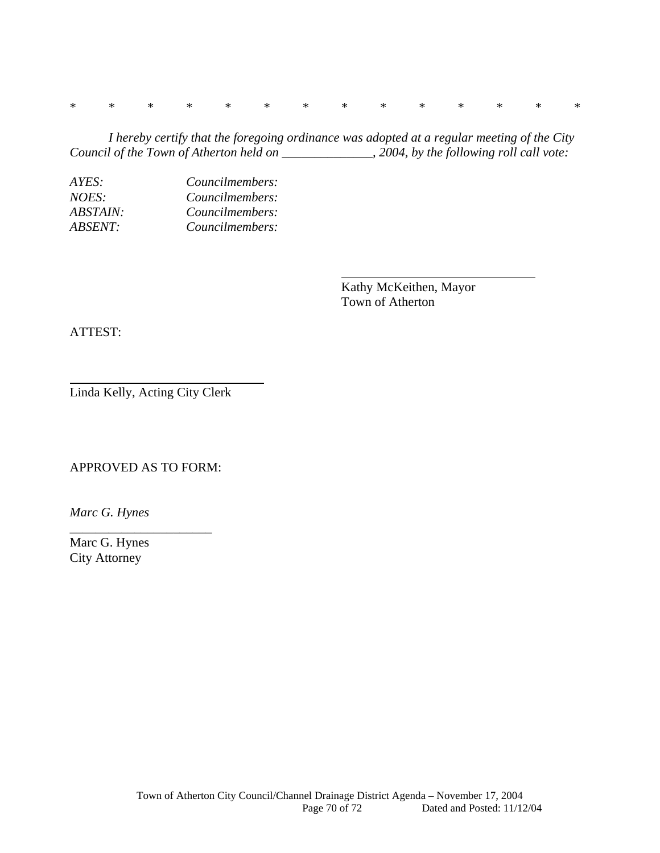\* \* \* \* \* \* \* \* \* \* \* \* \* \*

 *I hereby certify that the foregoing ordinance was adopted at a regular meeting of the City Council of the Town of Atherton held on \_\_\_\_\_\_\_\_\_\_\_\_\_\_, 2004, by the following roll call vote:* 

*AYES: Councilmembers: NOES: Councilmembers: ABSTAIN: Councilmembers: ABSENT: Councilmembers:* 

> Kathy McKeithen, Mayor Town of Atherton

ATTEST:

Linda Kelly, Acting City Clerk

APPROVED AS TO FORM:

\_\_\_\_\_\_\_\_\_\_\_\_\_\_\_\_\_\_\_\_\_\_

*Marc G. Hynes* 

Marc G. Hynes City Attorney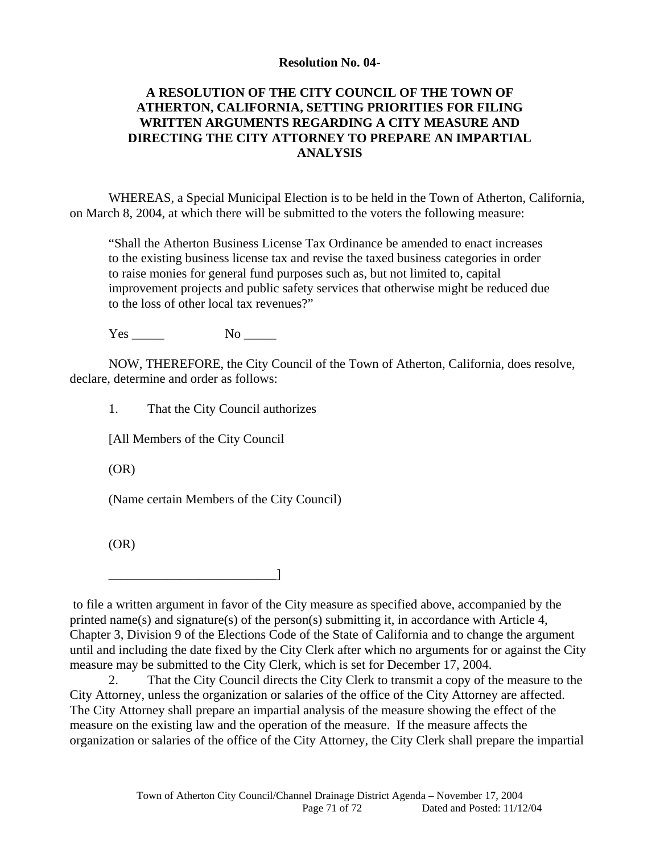#### **Resolution No. 04-**

#### **A RESOLUTION OF THE CITY COUNCIL OF THE TOWN OF ATHERTON, CALIFORNIA, SETTING PRIORITIES FOR FILING WRITTEN ARGUMENTS REGARDING A CITY MEASURE AND DIRECTING THE CITY ATTORNEY TO PREPARE AN IMPARTIAL ANALYSIS**

WHEREAS, a Special Municipal Election is to be held in the Town of Atherton, California, on March 8, 2004, at which there will be submitted to the voters the following measure:

"Shall the Atherton Business License Tax Ordinance be amended to enact increases to the existing business license tax and revise the taxed business categories in order to raise monies for general fund purposes such as, but not limited to, capital improvement projects and public safety services that otherwise might be reduced due to the loss of other local tax revenues?"

Yes \_\_\_\_ No \_\_\_\_\_

NOW, THEREFORE, the City Council of the Town of Atherton, California, does resolve, declare, determine and order as follows:

1. That the City Council authorizes

[All Members of the City Council

\_\_\_\_\_\_\_\_\_\_\_\_\_\_\_\_\_\_\_\_\_\_\_\_\_\_]

(OR)

(Name certain Members of the City Council)

(OR)

 to file a written argument in favor of the City measure as specified above, accompanied by the printed name(s) and signature(s) of the person(s) submitting it, in accordance with Article 4, Chapter 3, Division 9 of the Elections Code of the State of California and to change the argument until and including the date fixed by the City Clerk after which no arguments for or against the City measure may be submitted to the City Clerk, which is set for December 17, 2004.

2. That the City Council directs the City Clerk to transmit a copy of the measure to the City Attorney, unless the organization or salaries of the office of the City Attorney are affected. The City Attorney shall prepare an impartial analysis of the measure showing the effect of the measure on the existing law and the operation of the measure. If the measure affects the organization or salaries of the office of the City Attorney, the City Clerk shall prepare the impartial